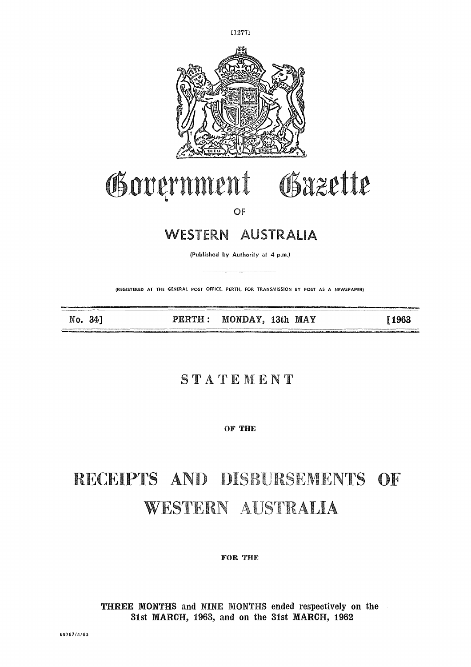

[1277]

# Gäzette Government  $\frac{1}{2}$  =  $\frac{1}{2}$  =  $\frac{1}{2}$  =  $\frac{1}{2}$  =  $\frac{1}{2}$  =  $\frac{1}{2}$  =  $\frac{1}{2}$  =  $\frac{1}{2}$  =  $\frac{1}{2}$  =  $\frac{1}{2}$  =  $\frac{1}{2}$  =  $\frac{1}{2}$  =  $\frac{1}{2}$  =  $\frac{1}{2}$  =  $\frac{1}{2}$  =  $\frac{1}{2}$  =  $\frac{1}{2}$  =  $\frac{1}{2}$  =  $\frac{1$

OF

#### **WESTERN AUSTRALIA**

(Published by Authority at 4 p.m.)

(REGISTERED AT THE GENERAL POST OFFICE, PERTH, FOR TRANSMISSION BY POST AS A NEWSPAPER)

No. 34]

PERTH: MONDAY, 13th MAY

[1963]

#### **STATEMENT**

**OF THE**

### RECEIPTS AND DISBURSEMENTS OF r 17 W L'OIL LIEUT AUDI  $\frac{1}{2}$

**FOR THE**

**THREE MONTHS** and NINE MONTHS ended respectively on the 31st MARCH, 1963, and on the 31st MARCH, 1962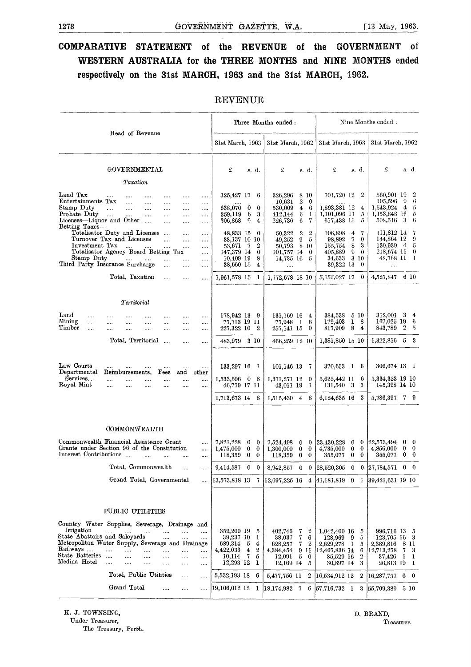#### **COMPARATIVE STATEMENT of the REVENUE of the GOVERNMENT of WESTERN AUSTRALIA for the THREE MONTHS and NINE MONTHS ended respectively on the 31st MARCH, 1963 and the 31st MARCH, 1962.**

|                                                                                                                                                                                                  |                                  |                                                  |                  |                                              |                                  |                      | <b>REVENUE</b>                                                           |                     |                             |                                                                   |                                                    |                                             |                                                                                 |                                 |                                             |                                                                             |               |                               |
|--------------------------------------------------------------------------------------------------------------------------------------------------------------------------------------------------|----------------------------------|--------------------------------------------------|------------------|----------------------------------------------|----------------------------------|----------------------|--------------------------------------------------------------------------|---------------------|-----------------------------|-------------------------------------------------------------------|----------------------------------------------------|---------------------------------------------|---------------------------------------------------------------------------------|---------------------------------|---------------------------------------------|-----------------------------------------------------------------------------|---------------|-------------------------------|
|                                                                                                                                                                                                  |                                  |                                                  |                  |                                              |                                  |                      |                                                                          |                     |                             | Three Months ended:                                               |                                                    |                                             |                                                                                 |                                 |                                             | Nine Months ended:                                                          |               |                               |
|                                                                                                                                                                                                  |                                  | Head of Revenue                                  |                  |                                              |                                  |                      | 31st March, 1963                                                         |                     |                             | 31st March, 1962                                                  |                                                    |                                             | 31st March, 1963                                                                |                                 |                                             | 31st March, 1962                                                            |               |                               |
|                                                                                                                                                                                                  |                                  | GOVERNMENTAL                                     |                  |                                              |                                  |                      | £                                                                        |                     | s. d.                       | £                                                                 | s. d.                                              |                                             | £                                                                               |                                 | s. d.                                       | £                                                                           |               | s. d.                         |
|                                                                                                                                                                                                  |                                  | Taxation                                         |                  |                                              |                                  |                      |                                                                          |                     |                             |                                                                   |                                                    |                                             |                                                                                 |                                 |                                             |                                                                             |               |                               |
| Land Tax<br>Entertainments Tax<br>Stamp Duty<br>Probate Duty<br>Licenses-Liquor and Other                                                                                                        | $\cdots$<br>$\cdots$<br>$\cdots$ | $\cdots$<br><br>$\cdots$                         | <br>$\cdots$<br> | <br>$\cdots$<br><br>                         | <br><br><br>                     | <br><br><br><br>     | 325,427 17<br>638,070<br>359,119<br>306,868                              | $\bf{0}$<br>6<br>-9 | 6<br>$\bf{0}$<br>3<br>4     | 326,296<br>10,631<br>530,009<br>412,144<br>226,736                | 8 10<br>$\overline{2}$<br>$\overline{4}$<br>6<br>6 | $\bf{0}$<br>-6<br>1<br>7                    | 701,720 12<br>1,893,381 12<br>1,101,096 11<br>617,438 15                        |                                 | 2<br>4<br>5<br>5                            | 560,901 19<br>105,596<br>1,543,924<br>1,153,848 16<br>508,516               | -9<br>4<br>-3 | 2<br>6<br>5<br>5<br>6         |
| Betting Taxes-<br>Totalisator Duty and Licenses<br>Turnover Tax and Licenses<br>Investment Tax<br>Totalisator Agency Board Betting Tax<br>Stamp Duty<br>Third Party Insurance Surcharge          |                                  | $\cdots$                                         |                  | $\cdots$<br>$\cdots$<br>$\cdots$<br>$\cdots$ | <br><br>$\cdots$<br>$\cdots$<br> | <br><br><br><br><br> | 48,833 15<br>33,137 10<br>53,671<br>147,379 14<br>10,409 19<br>38,660 15 | - 7                 | 0<br>10<br>2<br>0<br>8<br>4 | 50,322<br>49,252<br>50.793<br>101,757 14<br>14,735 16<br>$\cdots$ | $\boldsymbol{2}$<br>9<br>8 10                      | $\boldsymbol{2}$<br>5<br>$\bf{0}$<br>5      | 106,898<br>98,892<br>155,754<br>405,889<br>34,633<br>39,322 13                  | 4<br>7<br>8<br>$\boldsymbol{9}$ | 7<br>0<br>3<br>$\bf{0}$<br>3 10<br>$\theta$ | 111,812 14<br>144,864 12<br>130,939<br>218,674 11<br>48,768 11<br>          | 4             | 7<br>9<br>5<br>$\theta$<br>-1 |
|                                                                                                                                                                                                  |                                  | Total, Taxation                                  |                  | $\cdots$                                     |                                  |                      | 1,961,578 15                                                             |                     | 1                           | 1,772,678 18 10                                                   |                                                    |                                             | 5,155,027 17                                                                    |                                 | $\bf{0}$                                    | 4,527,847                                                                   |               | 6 10                          |
|                                                                                                                                                                                                  |                                  | Territorial                                      |                  |                                              |                                  |                      |                                                                          |                     |                             |                                                                   |                                                    |                                             |                                                                                 |                                 |                                             |                                                                             |               |                               |
| $\rm Land$<br>.<br>Mining<br><br>${\bf Time}$<br>                                                                                                                                                | <br>                             | <br>$\cdots$                                     | <br>.            | <br>$\cdots$                                 | $\cdots$<br>$\cdots$             | <br><br>$\cdots$     | 178,942 13<br>77,713 19 11<br>227,322 10                                 |                     | -9<br>$\boldsymbol{2}$      | 131,169 16<br>77,948 1<br>257,141 15                              |                                                    | 4<br>6<br>$\bf{0}$                          | 384,538<br>179,403<br>817,909                                                   | 1<br>8                          | 5 10<br>- 8<br>4                            | 312,001<br>167,025 19<br>843,789                                            | 3<br>2        | 4<br>6<br>-5                  |
|                                                                                                                                                                                                  |                                  | Total, Territorial                               |                  | $\ldots$                                     |                                  |                      | 483,979 3 10                                                             |                     |                             | 466,259 12 10                                                     |                                                    |                                             | 1,381,850 15 10                                                                 |                                 |                                             | 1,322,816                                                                   |               | $5\quad 3$                    |
| Law Courts<br>$\operatorname{DepartmentaI}$                                                                                                                                                      | $\cdots$<br>Reimbursements,      |                                                  |                  | $\cdots$<br>Fees                             | and                              | <br>other            | 133,297 16 1                                                             |                     |                             | 101,146 13                                                        |                                                    | - 7                                         | 370,653 1 6                                                                     |                                 |                                             | 306,674 13                                                                  |               | - 1                           |
| Services<br>Royal Mint                                                                                                                                                                           | <br>$\cdots$                     | $\cdots$                                         | <br>$\cdots$     | <br>$\cdots$                                 | <br>$\cdots$                     | <br>                 | $1,533,596$ 0<br>46,779 17 11                                            |                     | -8                          | 1,371,271 12<br>43,011 19                                         |                                                    | $\bf{0}$<br>1                               | 5,622,442 11<br>131,540 3                                                       |                                 | 6<br>3                                      | 5,334,323 19 10<br>145,398 14 10                                            |               |                               |
|                                                                                                                                                                                                  |                                  |                                                  |                  |                                              |                                  |                      | 1,713,673 14                                                             |                     | 8                           | 1,515,430                                                         | $\overline{4}$                                     | 8                                           | 6,124,635 16                                                                    |                                 | 3                                           | 5,786,397                                                                   |               | 79                            |
| Commonwealth Financial Assistance Grant<br>Grants under Section 96 of the Constitution                                                                                                           | COMMONWEALTH                     |                                                  |                  |                                              |                                  | $\cdots$<br>         | 7,821,228<br>1,475,000                                                   | 0<br>$\bf{0}$       | $\bf{0}$<br>$\bf{0}$        | 7,524,498<br>1,300,000                                            | $\bf{0}$<br>$\bf{0}$                               | $\bf{0}$<br>$\bf{0}$                        | 23,430,228<br>4,735,000                                                         | $\bf{0}$<br>$\bf{0}$            | $\bf{0}$<br>$\bf{0}$                        | 22,573,494<br>4,856,000                                                     | 0<br>$\bf{0}$ | $\bf{0}$<br>$\bf{0}$          |
| Interest Contributions                                                                                                                                                                           |                                  |                                                  | $\cdots$         | $\ddotsc$                                    |                                  |                      | 118,359                                                                  | $\bf{0}$            | 0                           | 118,359                                                           | $\bf{0}$                                           | $\bf{0}$                                    | 355,077                                                                         | $\bf{0}$                        | $\bf{0}$                                    | 355,077                                                                     | $\bf{0}$      | $\mathbf{0}$                  |
|                                                                                                                                                                                                  |                                  | Total, Commonwealth<br>Grand Total, Governmental |                  |                                              |                                  |                      | 9,414,587                                                                | 0                   | $\bf{0}$                    | 8,942,857                                                         | $\bf{0}$                                           | $\bf{0}$                                    | 28,520,305                                                                      | $\bf{0}$                        | $\bf{0}$                                    | 27,784,571                                                                  | $\bf{0}$      | $\mathbf{0}$                  |
|                                                                                                                                                                                                  |                                  |                                                  |                  |                                              |                                  |                      | 13,573,818 13                                                            |                     | 7                           | $12,697,225$ 16                                                   |                                                    | $\overline{4}$                              | 41,181,819 9 1                                                                  |                                 |                                             | $ 39,421,631$ 19 10                                                         |               |                               |
|                                                                                                                                                                                                  | PUBLIC UTILITIES                 |                                                  |                  |                                              |                                  |                      |                                                                          |                     |                             |                                                                   |                                                    |                                             |                                                                                 |                                 |                                             |                                                                             |               |                               |
| Country Water Supplies, Sewerage, Drainage and<br>Irrigation<br>State Abattoirs and Saleyards<br>Metropolitan Water Supply, Sewerage and Drainage<br>Railways<br>State Batteries<br>Medina Hotel | $\cdots$<br>$\ldots$<br>$\cdots$ | $\cdots$<br>$\cdots$<br>$\cdots$                 | <br>             | $\cdots$<br><br>$\cdots$<br>                 | <br><br><br><br>                 | <br><br><br><br>     | 359,200 19<br>39,237 10<br>689,314<br>4,422,033<br>10,114<br>12,293 12   | 5<br>4<br>7         | 5<br>ı<br>4<br>2<br>5<br>1  | 402,746<br>38,037<br>628,257<br>4,384,454<br>12,091<br>12,169 14  | 7<br>7<br>7<br>9 11<br>$\mathbf 5$                 | 2<br>6<br>$\boldsymbol{2}$<br>$\bf{0}$<br>5 | 1,042,400 16<br>128,969<br>2,829,278<br>12,467,836 14<br>35,529 16<br>30,897 14 | -9<br>- 1                       | 5<br>5<br>5<br>6<br>$\boldsymbol{2}$<br>3   | 996,716 13<br>123,705 16<br>2,389,816<br> 12,713,278<br>37,426<br>26,813 19 | 8<br>7<br>-1  | 5<br>3<br>11<br>3<br>1<br>-1  |
|                                                                                                                                                                                                  |                                  | Total, Public Utilities                          |                  |                                              |                                  |                      | 5,532,193 18                                                             |                     | 6                           | 5,477,756 11                                                      |                                                    |                                             | 2 16,534,912 12                                                                 |                                 | 2                                           | 16,287,757                                                                  | -6            | $\mathbf{0}$                  |
|                                                                                                                                                                                                  |                                  | Grand Total                                      |                  | $\cdots$                                     |                                  |                      | 19,106,012 12                                                            |                     |                             | $1 \vert 18,174,982 \vert 7$                                      |                                                    |                                             | $6 \mid 57,716,732 \mid 1$                                                      |                                 | -3                                          | 55,709,389                                                                  |               | 5 10                          |

#### REVENUE

K. J. TOWNSING, Under Treasurer,

The Treasury, Perbh.

D. BRAND, Treasurer.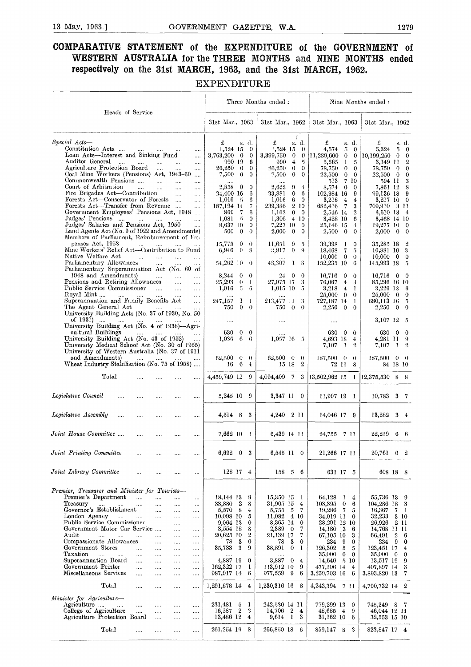#### **COMPARATIVE STATEMENT of the EXPENDITURE of the GOVERNMENT of WESTERN AUSTRALIA for the THREE MONTHS and NINE MONTHS ended respectively on the 31st MARCH, 1963, and the 31st MARCH, 1962.**

EXPENDITURE

| Heads of Service                                                                              |                                                    |                       | Three Months ended.    |                  |                      |                       |                          |                         | Nine Months ended:             |                     |                        |                                |                     |                                |
|-----------------------------------------------------------------------------------------------|----------------------------------------------------|-----------------------|------------------------|------------------|----------------------|-----------------------|--------------------------|-------------------------|--------------------------------|---------------------|------------------------|--------------------------------|---------------------|--------------------------------|
|                                                                                               |                                                    |                       | 31st Mar., 1963        |                  |                      | 31st Mar., 1962       |                          |                         | 31st Mar., 1963                |                     |                        | 31st Mar., 1962                |                     |                                |
| Special Acts-                                                                                 |                                                    |                       | £                      |                  | s. d.                | £                     |                          | f.<br>s. d.             | £                              |                     | s. d.                  | £                              |                     | s. d.                          |
| Constitution Acts<br><b>Contractor</b><br>Loan Acts—Interest and Sinking Fund                 |                                                    |                       | 1,524 15<br>3,763,200  | $\overline{0}$   | $\bf{0}$<br>$\bf{0}$ | 1,524 15<br>3,399,750 | $\mathbf{0}$             | 0<br>0                  | 4.574<br>11,289,600            | 5<br>$\bf{0}$       | $\bf{0}$               | 5,324                          | 5<br>$\overline{0}$ | $\mathbf{0}$<br>$\overline{0}$ |
| Auditor General<br>$\cdots$<br><b>Contract Contract</b>                                       | $\cdots$<br>$\cdots$                               | $\cdots$<br>$\cdots$  |                        | 990 19           | 6                    | 990                   | $\overline{\mathbf{4}}$  | 5                       | 5,665                          | 1                   | 0<br>5                 | 10,199,250<br>3,149 11         |                     | $\boldsymbol{2}$               |
| Agriculture Protection Board                                                                  |                                                    | $\cdots$              | 26,250                 | $\theta$         | $\bf{0}$             | 26,250                | 0                        | $\mathbf{0}$            | 78,750                         | $\bf{0}$            | $\mathbf{0}$           | 78,750                         | $\overline{0}$      | $\mathbf{0}$                   |
| Coal Mine Workers (Pensions) Act, 1943-60<br>Commonwealth Pensions                            |                                                    | $\ddotsc$             | 7,500                  | $\theta$         | $\theta$             | 7,500                 | $\mathbf{0}$             | $\theta$                | $22,\!500$                     | $\bf{0}$            | $\bf{0}$               | 22,500 0                       |                     | $\mathbf{0}$                   |
| Court of Arbitration<br>and the state                                                         | $\mathbf{r}$<br>$\cdots$                           | $\ldots$<br>$\cdots$  | $\cdots$<br>2,858      | $\theta$         | 0                    | 2,622                 | 9                        | 4                       | 513<br>8,574                   | $\mathbf{0}$        | 7 10<br>$\mathbf 0$    | 594 11<br>7,861 12             |                     | 3<br>8                         |
| Fire Brigades Act—Contribution                                                                | $\cdots$                                           | $\cdots$              | 34,400 16              |                  | 6                    | 33.881                | $\overline{0}$           | 6                       | 102,984 16                     |                     | 9                      | 99,136 18                      |                     | -9                             |
| Forests Act-Conservator of Forests                                                            |                                                    | $\cdots$              | 1.016 5                |                  | 6                    | 1,016                 | 6                        | $\mathbf{0}$            | 3,218                          | 4                   | 4                      | 3,217 10                       |                     | $\mathbf{0}$                   |
| Forests Act-Transfer from Revenue<br>Government Employees' Pensions Act, 1948                 |                                                    | $\cdots$<br>$\ddotsc$ | 187, 194 14<br>869     | -7               | 7<br>6               | 239,386<br>1,162      | $0 -$                    | 2 10<br>$\Omega$        | 682,416<br>2,546 14            | - 7                 | 3<br>$\overline{2}$    | 709,910<br>3,610 13            |                     | - 3-11<br>$\overline{4}$       |
| Judges' Pensions                                                                              |                                                    | $\cdots$              | 1,081                  | -5               | $\theta$             | 1,306                 |                          | 4 10                    | 3,428 10                       |                     | 6                      | 3,468 14 10                    |                     |                                |
| Judges' Salaries and Pensions Act, 1950                                                       |                                                    |                       | 8,637 10               |                  | $\mathbf{0}$         | 7,227 10              |                          | $\theta$                | 25,146 15                      |                     | 4                      | 19,277 10                      |                     | - 0                            |
| Land Agents Act (No. 9 of 1922 and Amendments)<br>Members of Parliament, Reimbursement of Ex- |                                                    |                       | 500                    | $\theta$         | $\theta$             | 2,000                 | $\bf{0}$                 | 0                       | 2,500                          | 0                   | $\theta$               | 2,000                          | $\bf{0}$            | $\overline{0}$                 |
| penses Act, 1953<br>$\ldots$                                                                  | $\cdots$                                           |                       | 15,775                 | 0                | $\theta$             | 11,651                | 9                        | 5                       | 39,398                         | - 1                 | 0                      | 35,285 18                      |                     | $\overline{2}$                 |
| Mine Workers' Relief Act—Contribution to Fund                                                 |                                                    |                       | 6,946                  | 9                | 8                    | 3,917                 | 9                        | $\Omega$                | 18,468                         | 7                   | 5                      | 10,881 10                      |                     | -3                             |
| Native Welfare Act<br>$\sim$ 1000 $\sim$<br>Parliamentary Allowances                          | $\mathbf{r}$<br>$\cdots$                           | $\cdots$              | 54,262 10              |                  | $\theta$             | 48,307                | $\mathbf{1}$             | 8                       | $10,000 \quad 0$<br>152,235 10 |                     | $\theta$<br>6          | 10,000<br>145,993 18           | $\overline{0}$      | $\overline{0}$<br>- 5          |
| Parliamentary Superannuation Act (No. 60 of                                                   |                                                    |                       |                        |                  |                      |                       |                          |                         |                                |                     |                        |                                |                     |                                |
| 1948 and Amendments)                                                                          | <b>Contractor</b><br>$\ddotsc$                     | $\cdots$              | 8,344                  | 0                | $\theta$             | 24                    | 0                        | $\Omega$                | 16,716                         | $\bf{0}$            | $\bf{0}$               | 16,716                         |                     | $0\quad 0$                     |
| Pensions and Retiring Allowances<br>Public Service Commissioner                               | $\cdots$<br>$\sim 1000$ and $\sim 100$<br>$\cdots$ | .                     | 25,293<br>1,016        | $\theta$<br>-5   | -1<br>6              | 27,075 17<br>1,015 10 |                          | 3<br>5                  | 76,067<br>3,218                | 4<br>$\overline{4}$ | 3<br>-1                | 85,296 16 10<br>3,229 13       |                     | - 6                            |
| Royal Mint                                                                                    | $\sim 100$<br>$\cdots$                             | $\cdots$<br>          | $\cdots$               |                  |                      |                       |                          |                         | 25,000 0                       |                     | $\theta$               | 25,000                         | $\overline{0}$      | $\bf{0}$                       |
| Superannuation and Family Benefits Act                                                        |                                                    | .                     | 247,157                | 1                | 1                    | 213,477 11            |                          | 3                       | 727,187 14                     |                     | -1                     | 680.113 16                     |                     | $\sqrt{5}$                     |
| The Agent General Act<br>University Building Acts (No. 37 of 1930, No. 50                     | and the contract of the contract of                | .                     | 750.                   | $\mathbf{0}$     | $\theta$             | 750.                  | $\theta$                 | $\theta$                | 2,250                          | $\overline{0}$      | $\theta$               | $2{,}250$                      | $\overline{0}$      | $\theta$                       |
| of 1931) ….                                                                                   |                                                    |                       | $\cdots$               |                  |                      | $\cdots$              |                          |                         | $\cdots$                       |                     |                        | 3,107 12                       |                     | - 5                            |
| University Building Act (No. 4 of 1938)-Agri-                                                 |                                                    |                       |                        |                  |                      |                       |                          |                         |                                |                     |                        |                                |                     |                                |
| cultural Buildings                                                                            | التبيدات التبيدات البينيات                         |                       | 630                    | $\bf{0}$         | $\bf{0}$             | $\cdots$              |                          |                         | 630                            | $\theta$            | $\bf{0}$               | 630                            | $\theta$            | $\theta$                       |
| University Building Act (No. 43 of 1952)<br>University Medical School Act (No. 30 of 1955)    |                                                    |                       | 1.035<br>              | 6                | 6                    | 1,057 16 5<br>        |                          |                         | 4,693 18<br>7,107              | -1                  | 4<br>$\mathbf{2}$      | 4,281 11<br>7,107              | 1                   | -9<br>$\boldsymbol{2}$         |
| University of Western Australia (No. 37 of 1911                                               |                                                    |                       |                        |                  |                      |                       |                          |                         |                                |                     |                        |                                |                     |                                |
| and Amendments)<br>$\sim 100$                                                                 |                                                    |                       | 62,500                 | $\mathbf{0}$     | $\mathbf{0}$         | 62,500 0              |                          | $\mathbf{0}$            | 187,500 0                      |                     | 0                      | 187,500                        | $\overline{0}$      | - 0                            |
| Wheat Industry Stabilisation (No. 75 of 1958)                                                 |                                                    |                       | 16                     | 6                | 4                    |                       | 15 18                    | $\mathbf{2}$            |                                | 72 11               | 8                      |                                | 84 18 10            |                                |
| Total                                                                                         |                                                    |                       | 4,459,749 12           |                  | 9                    | 4,094,409             | $7\phantom{.0}$          | 3                       |                                |                     |                        | 13,502,962 15 1 12,375,530 8 8 |                     |                                |
| Legislative Council<br>.                                                                      | <br>                                               |                       | 5,245 10 9             |                  |                      | 3,347 11 0            |                          |                         | 11,997 19 1                    |                     |                        | 10,783                         |                     | $3 \t7$                        |
| Legislative Assembly<br><br>.                                                                 | <br>                                               | $\cdots$              | 4,514 8 3              |                  |                      | 4,240 2 11            |                          |                         | 14,046 17 9                    |                     |                        | 13,282                         |                     | $3\quad 4$                     |
| Joint House Committee<br>$\cdots$                                                             | $\cdots$<br>                                       | $\cdots$              | 7,662 10 1             |                  |                      | 6,439 14 11           |                          |                         | 24,755 7 11                    |                     |                        | 22,219                         |                     | 66                             |
| Joint Printing Committee                                                                      |                                                    | $\cdots$              | 6,692 0 3              |                  |                      | 6,545 11 0            |                          |                         | 21,266 17 11                   |                     |                        | 20,761 6 2                     |                     |                                |
|                                                                                               |                                                    |                       |                        |                  |                      |                       |                          |                         |                                |                     |                        |                                |                     |                                |
| Joint Labrary Committee<br>$\cdots$                                                           |                                                    | $\cdots$              |                        | 128 17 4         |                      | 158 5 6               |                          |                         | 631 17 5                       |                     |                        | 608 18 8                       |                     |                                |
| Premier, Treasurer and Minister for Tourists-                                                 |                                                    |                       |                        |                  |                      |                       |                          |                         |                                |                     |                        |                                |                     |                                |
| Premier's Department<br>$\cdots$                                                              | <br>$\cdots$                                       | $\cdots$              | 18,144 13              |                  | 9                    | 15,350 15             |                          | -1                      | 64,128                         | 1                   | $\overline{4}$         | 55,736 13                      |                     | -9                             |
| Treasury<br>$\sim 100$<br>$\cdots$                                                            | <br>$\cdots$                                       | $\cdots$              | 33,880                 | $\boldsymbol{2}$ | 8                    | 31,905 15             |                          | $\overline{\mathbf{4}}$ | 103,395                        | $\bf{0}$            | 6                      | 104,286 18                     |                     | 3                              |
| Governor's Establishment<br>London Agency<br>$\sim$<br>$\cdots$                               | $\ldots$<br><br>$\cdots$<br>$\cdots$               | <br>                  | 5,570<br>10,098 10     | - 8              | 4<br>5               | 5,755<br>11,082       | $\overline{5}$<br>4 10   | 7                       | 19,286<br>34,019 11            | -7                  | 5<br>$\overline{0}$    | 16,367<br>32,233               | 7                   | -1<br>3 10                     |
| Public Service Commissioner                                                                   | $\cdots$<br>$\cdots$                               |                       | $9,064$ 13             |                  | $\bf{0}$             | 8,365 14              |                          | 0                       | 28,291 12 10                   |                     |                        | 26,926                         |                     | 2 11                           |
| Government Motor Car Service                                                                  | $\cdots$                                           |                       | 3,554 18               |                  | 8                    | 2,389                 | $\overline{\phantom{0}}$ | 7                       | 14,180 13                      |                     | -6                     | 14,768 11 11                   |                     |                                |
| Audit<br>$\cdots$<br>$\cdots$<br><br>Compassionate Allowances                                 | <br>                                               |                       | 20,625 10<br>78        | -3               | 2<br>0               | 21,139 17<br>78       | -3                       | 7<br>$\mathbf{0}$       | 67,105 10<br>234               | -9                  | 3<br>$\bf{0}$          | 66,491<br>234                  | 2<br>$^{9}$         | 6<br>$\bf{0}$                  |
| Government Stores<br>.                                                                        | <br>$\cdots$<br><br>                               | <br>                  | 35,733                 | 3                | 9                    | 38,891                | $\overline{0}$           | 1                       | 126,302                        | 5                   | 5                      | 123,451 17                     |                     | $\boldsymbol{4}$               |
| Taxation<br>$\cdots$<br><br>$\cdots$                                                          | $\cdots$<br>                                       |                       |                        |                  |                      |                       |                          |                         | 35,000                         | $\bf{0}$            | $\bf{0}$               | $35,000 \quad 0$               |                     | $\bf{0}$                       |
| Superannuation Board<br>.<br>Government Printer                                               | $\cdots$<br>$\cdots$                               |                       | 4,887 19<br>162,322 17 |                  | $\theta$<br>1        | 3,887<br>113,912 10   | $\bf{0}$                 | $\overline{4}$<br>9     | 14,640<br>477,106 14           |                     | 5 10<br>$\overline{4}$ | 13,517 19<br>407,897 14        |                     | 9<br>3                         |
| <br>Miscellaneous Services<br>                                                                | <br><br><br>                                       | $\ddotsc$<br>         | 987,917 14             |                  | 6                    | 977,559               | 9                        | 6                       | 3,259,703 16                   |                     | -6                     | 3,893,820 13                   |                     | 7                              |
|                                                                                               |                                                    |                       |                        |                  |                      |                       |                          |                         |                                |                     |                        |                                |                     |                                |
| Total<br>                                                                                     | $\cdots$<br>$\ldots$                               | $\cdots$              | 1,291,878 14           |                  | 4                    | 1,230,316 16 8        |                          |                         | 4,243,394 7 11                 |                     |                        | 4,790,732 14 2                 |                     |                                |
| Minister for Agriculture-<br>Agriculture                                                      |                                                    |                       | 231,481                |                  | 1                    | 242,530 14 11         |                          |                         | 779,299 13                     |                     | $\mathbf{0}$           |                                |                     |                                |
| $\cdots$<br><br>College of Agriculture<br>$\cdots$                                            | $\cdots$<br>$\cdots$<br>$\ldots$<br>$\ldots$       | <br>$\cdots$          | 16,287                 | 5<br>$\sqrt{2}$  | 3                    | 14,706 2              |                          | $\overline{4}$          | 48,685                         | $\overline{4}$      | 9                      | 745,249<br>46,044 12 11        | 8                   | - 7                            |
| Agriculture Protection Board                                                                  | <br>$\cdots$                                       | $\cdots$              | 13,486 12              |                  | $\overline{4}$       | 9,614 1               |                          | 3                       | 31,162 10                      |                     | 6                      | 32,553 15 10                   |                     |                                |
| Total<br>$\ldots$                                                                             | $\ldots$<br>$\ldots$                               | $\ldots$              | 261,254 19             |                  | 8                    | 266,850 18            |                          | 6                       | 859,147                        | 8                   | 3                      | 823,847 17 4                   |                     |                                |
|                                                                                               |                                                    |                       |                        |                  |                      |                       |                          |                         |                                |                     |                        |                                |                     |                                |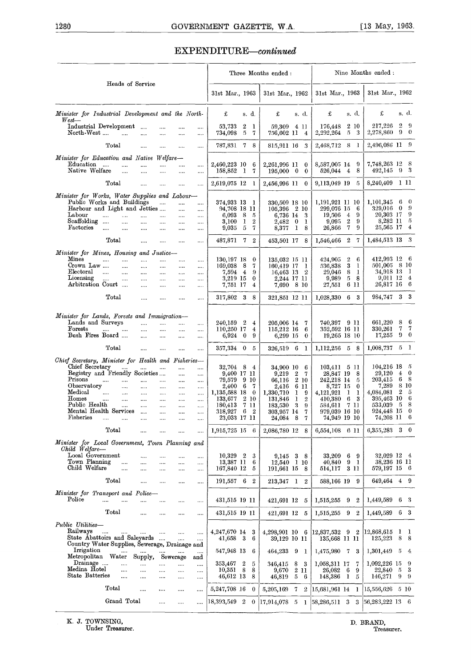# 1280<br>
GOVERNMENT GAZETTE, W.A.<br>
EXPENDITURE—continued EXPENDITURE-continued

|                                                                                                                                                                                                                 |                                                                                                                                                                      |                                                                          |                                                                  |                                                                                              |                                                                                                             |                       |                                                                             | Three Months ended:                                                                              |                            |                                                               |                                                                                                                    |                                 |                                  | Nine Months ended :                                                                                             |                          |                                                                                          |
|-----------------------------------------------------------------------------------------------------------------------------------------------------------------------------------------------------------------|----------------------------------------------------------------------------------------------------------------------------------------------------------------------|--------------------------------------------------------------------------|------------------------------------------------------------------|----------------------------------------------------------------------------------------------|-------------------------------------------------------------------------------------------------------------|-----------------------|-----------------------------------------------------------------------------|--------------------------------------------------------------------------------------------------|----------------------------|---------------------------------------------------------------|--------------------------------------------------------------------------------------------------------------------|---------------------------------|----------------------------------|-----------------------------------------------------------------------------------------------------------------|--------------------------|------------------------------------------------------------------------------------------|
|                                                                                                                                                                                                                 | Heads of Service                                                                                                                                                     |                                                                          |                                                                  |                                                                                              | 31st Mar., 1963                                                                                             |                       |                                                                             | 31st Mar., 1962                                                                                  |                            |                                                               | 31st Mar., 1963                                                                                                    |                                 |                                  | 31st Mar., 1962                                                                                                 |                          |                                                                                          |
| Minister for Industrial Development and the North-<br>$West$ —                                                                                                                                                  |                                                                                                                                                                      |                                                                          |                                                                  |                                                                                              | £                                                                                                           |                       | s. d.                                                                       | £                                                                                                |                            | s. d.                                                         | £                                                                                                                  |                                 | s. d.                            | £                                                                                                               |                          | s. d.                                                                                    |
| Industrial Development<br>North-West                                                                                                                                                                            | $\dddotsc$<br>$\cdots$                                                                                                                                               | <br>$\cdots$                                                             | <br>$\cdots$                                                     | <br>                                                                                         | 53,733<br>734,098                                                                                           | $\boldsymbol{2}$<br>5 | -1<br>7                                                                     | 59,309<br>756,602 11                                                                             |                            | 4 11<br>4                                                     | 176,448<br>2,292,264                                                                                               |                                 | 2 10<br>$5 \quad 3$              | 217,226<br>2,278,860                                                                                            |                          | $2\overline{9}$<br>$9 \quad 0$                                                           |
| Total                                                                                                                                                                                                           | $\cdots$                                                                                                                                                             | $\cdots$                                                                 |                                                                  |                                                                                              | 787,831                                                                                                     | $\mathbf{7}$          | 8                                                                           | 815,911 16 3                                                                                     |                            |                                                               | 2,468,712 8                                                                                                        |                                 | - 1                              | 2,496,086 11 9                                                                                                  |                          |                                                                                          |
| Minister for Education and Native Welfare-<br>Education<br>التنبيان<br>Native Welfare                                                                                                                           | $\cdots$<br>$\cdots$<br>$\cdots$<br>$\cdots$                                                                                                                         | $\cdots$<br>$\cdots$                                                     |                                                                  | <br>$\cdots$                                                                                 | 2,460,223 10<br>158,852 1                                                                                   |                       | 6<br>7                                                                      | 2,261,996 11<br>$195,000 \quad 0$                                                                |                            | $\bf{0}$<br>$\bf{0}$                                          | 8,587,005 14<br>526,044 4                                                                                          |                                 | 9<br>8                           | 7,748,263 12 8<br>492,145                                                                                       |                          | 9 <sup>3</sup>                                                                           |
| Total                                                                                                                                                                                                           | $\cdots$                                                                                                                                                             |                                                                          | $\cdots$<br>                                                     |                                                                                              | 2,619,075 12                                                                                                |                       | -1                                                                          | 2,456,996 11                                                                                     |                            | $\bf{0}$                                                      | 9,113,049 19                                                                                                       |                                 | 5                                | 8,240,409                                                                                                       |                          | 1 11                                                                                     |
| Minister for Works, Water Supplies and Labour-                                                                                                                                                                  |                                                                                                                                                                      |                                                                          |                                                                  |                                                                                              |                                                                                                             |                       |                                                                             |                                                                                                  |                            |                                                               |                                                                                                                    |                                 |                                  |                                                                                                                 |                          |                                                                                          |
| Public Works and Buildings<br>Harbour and Light and Jetties<br>Labour<br>$\cdots$<br>Scaffolding<br>Factories<br>$\ldots$                                                                                       | $\cdots$<br>$\cdots$<br>$\cdots$<br>$\cdots$<br>$\ldots$<br>$\cdots$                                                                                                 | $\cdots$<br>$\cdots$<br><br>$\cdots$                                     | $\cdots$<br>$\ldots$<br>$\cdots$<br>$\cdots$<br>$\cdots$         | $\cdots$<br>$\cdots$<br><br>$\cdots$<br>$\cdots$                                             | 374,933 13<br>94,708 18 11<br>6,093<br>3.100<br>9,035                                                       | 8<br>1<br>5           | -1<br>-5<br>$\boldsymbol{2}$<br>7                                           | 330,509 18 10<br>105,396<br>6,736 14<br>2,482<br>8,377                                           | 2 10<br>$\bf{0}$<br>1      | 3<br>1<br>8                                                   | 1,191,921 11 10<br>299,076 15<br>19,506<br>9,095<br>26,866                                                         | $\overline{4}$<br>2<br>7        | 6<br>9<br>9<br>9                 | 1,101,345<br>329,016<br>20,303 17 9<br>8,282 11<br>25,565 17                                                    |                          | 6 0<br>$0 \quad 9$<br>- 5<br>$\overline{4}$                                              |
| Total                                                                                                                                                                                                           | $\cdots$                                                                                                                                                             |                                                                          |                                                                  |                                                                                              | 487,871                                                                                                     | 7                     | $\boldsymbol{2}$                                                            | 453,501 17 8                                                                                     |                            |                                                               | 1,546,466 2                                                                                                        |                                 | -7                               | 1,484,513 13 3                                                                                                  |                          |                                                                                          |
| Minister for Mines, Housing and Justice-<br>Mines<br>$\cdots$<br>Crown Law<br>$E$ lectoral<br>$\cdots$<br>Licensing<br><br>Arbitration Court                                                                    | $\cdots$<br>$\cdots$<br>$\cdots$<br>$\dots$ .<br>$\cdots$<br>$\cdots$<br>$\cdots$<br>$\cdots$<br>$\cdots$                                                            | $\cdots$<br>$\cdots$<br>$\cdots$<br>$\cdots$<br>$\cdots$                 | <br><br>$\cdots$<br><br>                                         | <br><br>$\cdots$<br><br>                                                                     | 130,197 18<br>169,038<br>7,594 4<br>3,219 15<br>7,751 17                                                    | - 8                   | $\bf{0}$<br>7<br>-9<br>$\bf{0}$<br>4                                        | 135,032 15 11<br>160,419 17<br>16,463 13<br>2,244 17 11<br>7,690 8 10                            |                            | 1<br>2                                                        | 424,905<br>536,838<br>29,046<br>9,989<br>27,551                                                                    | $\boldsymbol{2}$<br>3<br>8<br>5 | 6<br>-1<br>$\bf{l}$<br>8<br>6 11 | $412,993$ 12 6<br>$501,005$ 8 10<br>34,918 13 1<br>9,011 12 4<br>26,817 16 6                                    |                          |                                                                                          |
| Total                                                                                                                                                                                                           | $\cdots$                                                                                                                                                             |                                                                          |                                                                  | $\cdots$                                                                                     | 317,802                                                                                                     | 3                     | 8                                                                           | 321,851 12 11                                                                                    |                            |                                                               | 1,028,330                                                                                                          |                                 | 6 3                              | 984,747                                                                                                         |                          | 3 <sup>3</sup>                                                                           |
| Minister for Lands, Forests and Immigration-<br>Lands and Surveys<br>Forests<br><br>Bush Fires Board<br>Total                                                                                                   | $\cdots$<br>$\cdots$<br>$\cdots$<br>$\cdots$                                                                                                                         | $\cdots$<br>$\cdots$<br>                                                 | <br>$\cdots$<br>                                                 | <br><br>$\cdots$                                                                             | 240,159<br>110,250 17<br>6,924<br>357,334 0                                                                 | 2<br>$\bf{0}$         | 4<br>$\overline{4}$<br>9<br>5                                               | 205,006 14<br>115,212 16<br>6,299 15                                                             | -6                         | 7<br>6<br>0<br>1                                              | 740,397 9 11<br>352,592 16 11<br>19,265 18 10<br>1,112,256 5 8                                                     |                                 |                                  | 661,220<br>330,261<br>17,255<br>1,008,737                                                                       | 8                        | -6<br>77<br>90<br>$5\quad1$                                                              |
| Chief Secretary, Minister for Health and Fisheries-                                                                                                                                                             | $\cdots$                                                                                                                                                             | $\cdots$                                                                 | $\cdots$                                                         | $\cdots$                                                                                     |                                                                                                             |                       |                                                                             | 326,519                                                                                          |                            |                                                               |                                                                                                                    |                                 |                                  |                                                                                                                 |                          |                                                                                          |
| Chief Secretary<br>Registry and Friendly Societies<br>Prisons<br><br>Observatory<br>Medical<br>$\cdots$<br>Homes<br>$\cdots$<br>Public Health<br>Mental Health Services<br>Fisheries                            | $\cdots$<br>$\cdots$<br>$\cdots$<br>$\cdots$<br>$\cdots$<br>$\cdots$<br>$\cdots$<br>$\cdots$<br>$\cdots$<br>$\cdots$<br>$\cdots$<br>$\cdots$<br>$\ldots$<br>$\cdots$ | $\cdots$<br>$\cdots$<br>$\ldots$<br>$\cdots$<br>$\cdots$<br>$\cdots$<br> | <br>$\cdots$<br>$\cdots$<br>$\cdots$<br><br><br><br>$\cdots$<br> | $\cdots$<br>$\cdots$<br>$\cdots$<br>$\cdots$<br>$\cdots$<br>$\ldots$<br>$\cdots$<br>$\ldots$ | 32,704 8<br>9,400 17 11<br>79.579<br>2,400<br>1,135,588 18<br>133,677<br>180,413<br>318,927<br>23,033 17 11 | 6<br>6                | $\overline{4}$<br>9 10<br>7<br>$\bf{0}$<br>2 10<br>7 11<br>$\boldsymbol{2}$ | 34,900 10<br>9,219<br>66,116<br>2.416<br>1,330,710<br>131,846<br>183,530<br>303,957 14<br>24,084 | 2<br>6<br>1<br>1<br>3<br>8 | 6<br>7<br>2 10<br>-11<br>9<br>$\boldsymbol{2}$<br>9<br>7<br>7 | 103,411<br>28,847 19<br>242,218 14<br>8,727 15<br>4,121,921<br>410,380<br>584,611<br>979,039 16 10<br>74,949 19 10 | - 511<br>1<br>6                 | 8<br>5<br>0<br>1<br>-3<br>7 11   | $104,216$ 18<br>29,120<br>$203,\!415$<br>7,289<br>4,084,081<br>395,463 10<br>533,039<br>924,448 15<br>74,208 11 | $\overline{4}$<br>6<br>2 | - 5<br>$\overline{\phantom{0}}$<br>- 8<br>8 10<br>- 5<br>-6<br>58<br>$\overline{0}$<br>6 |
| Total                                                                                                                                                                                                           |                                                                                                                                                                      |                                                                          |                                                                  |                                                                                              | 1,915,725 15 6                                                                                              |                       |                                                                             | 2,086,780 12 8                                                                                   |                            |                                                               | 6,554,108 6 11                                                                                                     |                                 |                                  | $6,355,283$ 3 0                                                                                                 |                          |                                                                                          |
| Minister for Local Government, Town Planning and<br>Child Welfare-<br>Local Government<br>Town Planning<br>Child Welfare                                                                                        | $\cdots$<br><br>$\cdots$<br>                                                                                                                                         | <br>                                                                     | <br><br>                                                         | <br><br>$\cdots$                                                                             | 10,329 2<br>13,387 11<br>167,840 12                                                                         |                       | -3<br>6<br>5                                                                | 9,145 3 8<br>12,540 1 10<br>191,661 15                                                           |                            | 8                                                             | 33,209<br>40,840<br>514,117                                                                                        | 9                               | 69<br>- 1<br>3 1 1               | 32,029 12 4<br>38,236 16 11<br>579,197 15 6                                                                     |                          |                                                                                          |
| Total<br>Minister for Transport and Police-                                                                                                                                                                     | $\cdots$                                                                                                                                                             |                                                                          |                                                                  | $\cdots$                                                                                     | 191,557 6                                                                                                   |                       | $\overline{2}$                                                              | 213,347 1 2                                                                                      |                            |                                                               | 588,166 19                                                                                                         |                                 | 9                                | 649,464 4 9                                                                                                     |                          |                                                                                          |
| Police<br>$\cdots$                                                                                                                                                                                              | $\cdots$<br>                                                                                                                                                         |                                                                          |                                                                  | $\ldots$                                                                                     |                                                                                                             |                       |                                                                             | 421,691 12 5                                                                                     |                            |                                                               | 1,515,255                                                                                                          | 9                               | 2                                | 1,449,589                                                                                                       |                          | 6 <sup>3</sup>                                                                           |
| $_{\rm Total}$                                                                                                                                                                                                  |                                                                                                                                                                      |                                                                          |                                                                  |                                                                                              |                                                                                                             |                       |                                                                             | 421,691 12 5                                                                                     |                            |                                                               | 1,515,255 9                                                                                                        |                                 | $\boldsymbol{2}$                 | 1,449,589                                                                                                       |                          | 6 <sup>3</sup>                                                                           |
| Public Utilities-<br>Railways<br><br>State Abattoirs and Saleyards<br>Country Water Supplies, Sewerage, Drainage and<br>Irrigation<br>Metropolitan Water Supply,<br>Drainage<br>Medina Hotel<br>State Batteries | $\cdots$<br><br>$\cdots$<br>                                                                                                                                         | <br><br>                                                                 | <br>$\cdots$<br>Sewerage<br>$\cdots$<br>                         | $\cdots$<br>$\cdots$<br><br>and<br><br>                                                      | 4,247,670 14<br>41,658 3<br>547,948 13<br>$353,\!467$<br>10,351 8<br>46,612 13                              | 2                     | -3<br>-6<br>6<br>5<br>8                                                     | 4,298,901 10 6<br>39,129 10 11<br>464,233 9 1<br>346,415<br>9,670                                | 8                          | - 3<br>2 1 1                                                  | 12,837,532 9 2<br>135,668 11 11<br>1,475,980 7<br>1,058,311 17<br>26,082                                           | 6                               | 3<br>7<br>9                      | $ 12,868,615 \quad 1 \quad 1$<br>125,223<br>1,301,449<br>1,092,226 15 9<br>22,840<br>146,271                    | -5<br>$5\quad 3$         | 8 8<br>$-4$                                                                              |
| Total                                                                                                                                                                                                           | $\cdots$<br><br>                                                                                                                                                     | <br>                                                                     | $\cdots$                                                         | $\cdots$                                                                                     | 5,247,708 16                                                                                                |                       | 8<br>$\bf{0}$                                                               | 46,819                                                                                           | -5                         | -6                                                            | 148,386 1<br>5,205,169 7 2 (15,681,961 14 1                                                                        |                                 | 5                                | 15,556,626 5 10                                                                                                 |                          | -9-9                                                                                     |
|                                                                                                                                                                                                                 | Grand Total                                                                                                                                                          |                                                                          | <br>                                                             | <br>                                                                                         | 18,393,549 2                                                                                                |                       | $\theta$                                                                    | $ 17,914,078 \quad 5 \quad 1 \quad  58,286,511 \quad 3 \quad 3$                                  |                            |                                                               |                                                                                                                    |                                 |                                  | 56,283,222 13 6                                                                                                 |                          |                                                                                          |

K. J. TOWNSING,<br>Under Treasurer.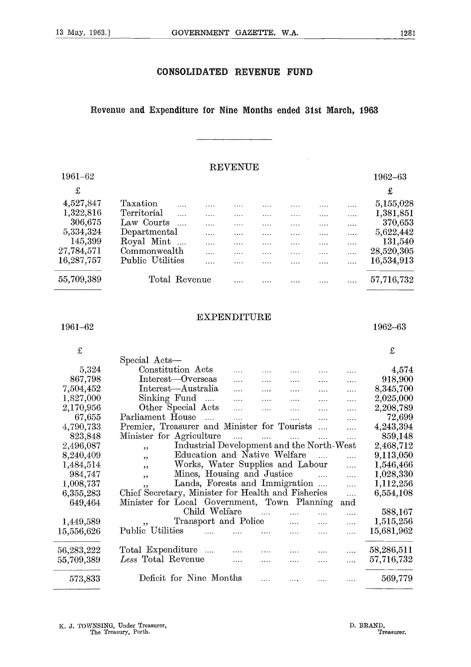#### **CONSOLIDATED REVENUE FUND**

#### **Revenue and Expenditure for Nine Months ended 31st March, 1963**

#### **REVENUE**

| 1961-62<br>£<br>4,527,847<br>Taxation<br>$\cdots$<br>1,322,816<br>Territorial<br>.<br>.<br>.<br>.<br>306,675<br>Law Courts<br>.<br>.<br>.<br>.<br>.<br>5,334,324<br>Departmental<br>.<br>.<br>.<br>.<br>.<br>Royal Mint<br>145,399<br>.<br>.<br>27,784,571<br>Commonwealth<br>.<br>.<br>.<br>.<br>.<br>.<br>16,287,757<br>Public Utilities | 1962-63    |
|--------------------------------------------------------------------------------------------------------------------------------------------------------------------------------------------------------------------------------------------------------------------------------------------------------------------------------------------|------------|
|                                                                                                                                                                                                                                                                                                                                            |            |
|                                                                                                                                                                                                                                                                                                                                            | £          |
|                                                                                                                                                                                                                                                                                                                                            | 5,155,028  |
|                                                                                                                                                                                                                                                                                                                                            | 1,381,851  |
|                                                                                                                                                                                                                                                                                                                                            | 370,653    |
|                                                                                                                                                                                                                                                                                                                                            | 5,622,442  |
|                                                                                                                                                                                                                                                                                                                                            | 131,540    |
|                                                                                                                                                                                                                                                                                                                                            | 28,520,305 |
| .                                                                                                                                                                                                                                                                                                                                          | 16,534,913 |
| 55,709,389<br>Total Revenue                                                                                                                                                                                                                                                                                                                | 57,716,732 |
|                                                                                                                                                                                                                                                                                                                                            |            |
|                                                                                                                                                                                                                                                                                                                                            |            |

#### **EXPENDITURE**

 $1961-62$  and  $1962-63$ 

 $\pounds$ 

 $\ddot{\phantom{a}}$ 

 $\pounds$ 

|                  | Special Acts—                                                             |            |            |
|------------------|---------------------------------------------------------------------------|------------|------------|
| 5,324            | Constitution Acts<br>$\cdots$<br>$\cdots$<br>.<br>.                       | .          | 4,574      |
| 867,798          | Interest-Overseas<br>$\cdots$<br>.<br>.<br>.                              | .          | 918,900    |
| 7,504,452        | Interest-Australia<br>$\cdots$<br>.<br>$\cdots$<br>.                      | .          | 8,345,700  |
| 1,827,000        | $\text{Sinking Fund}$<br>$\cdots$<br>$\cdots$<br>.<br>.                   | .          | 2,025,000  |
| 2,170,956        | Other Special Acts<br>$\cdots$<br>$\cdots$<br>.<br>.                      | .          | 2,208,789  |
| 67,655           | Parliament House<br>$\ldots$ . The set of $\mathbb{R}^n$<br>$\cdots$<br>. | .          | 72,699     |
| 4,790,733        | Premier, Treasurer and Minister for Tourists<br>$\ldots$                  | $\cdots$   | 4,243,394  |
| 823,848          | Minister for Agriculture<br>المتداري المتداري المتداري المتدار            | .          | 859,148    |
| 2,496,087        | Industrial Development and the North-West<br>5.5                          |            | 2,468,712  |
| 8,240,409        | Education and Native Welfare<br>, 3                                       | .          | 9,113,050  |
| 1,484,514        | Works, Water Supplies and Labour<br>, ,                                   | $\cdots$   | 1,546,466  |
| 984,747          | Mines, Housing and Justice<br>$\overline{\phantom{a}}$<br>, ,             | $\dddotsc$ | 1,028,330  |
| 1,008,737        | Lands, Forests and Immigration<br>, ,                                     | $\cdots$   | 1,112,256  |
| 6,355,283        | Chief Secretary, Minister for Health and Fisheries                        | $\cdots$   | 6,554,108  |
| 649,464          | Minister for Local Government, Town Planning                              | and        |            |
|                  | Child Welfare<br>$\ldots$<br>.                                            | .          | 588,167    |
| 1,449,589        | Transport and Police<br>$\ldots$<br>$55^{\circ}$<br>$\cdots$              | .          | 1,515,256  |
| $15,\!556,\!626$ | Public Utilities<br>$\ldots$<br>.                                         | .          | 15,681,962 |
| 56,283,222       | Total Expenditure<br>$\cdots$<br>.                                        | .          | 58,286,511 |
| 55,709,389       | Less Total Revenue<br>$\cdots$<br>.<br>.                                  | $\cdots$   | 57,716,732 |
| 573,833          | Deficit for Nine Months<br>.                                              | $\cdots$   | 569,779    |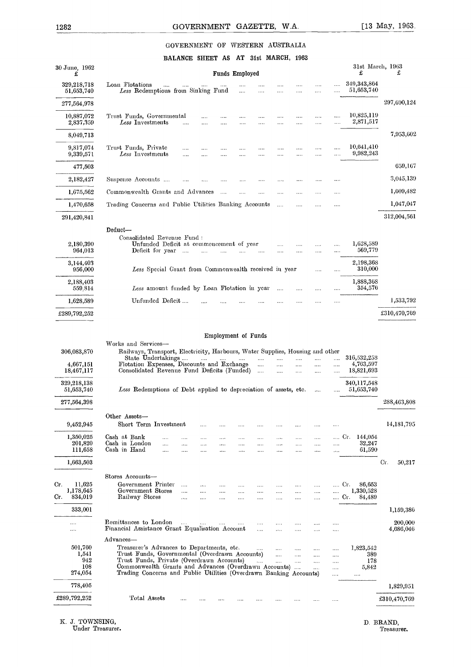#### GOVERNMENT OF WESTERN AUSTRALIA

|                           |                                                                                                                                          |                                                       |                      |                                      |                                  |                          |                                  | GOVERNMENT GAZETTE, W.A.             |                                  |                          |                      | $[13 \text{ May}, 1963]$  |
|---------------------------|------------------------------------------------------------------------------------------------------------------------------------------|-------------------------------------------------------|----------------------|--------------------------------------|----------------------------------|--------------------------|----------------------------------|--------------------------------------|----------------------------------|--------------------------|----------------------|---------------------------|
|                           |                                                                                                                                          |                                                       |                      |                                      |                                  |                          |                                  | GOVERNMENT OF WESTERN AUSTRALIA      |                                  |                          |                      |                           |
| 30 June, 1962             |                                                                                                                                          |                                                       |                      |                                      |                                  |                          |                                  | BALANCE SHEET AS AT 31st MARCH, 1963 |                                  |                          |                      | 31st March, 1963          |
| £                         |                                                                                                                                          |                                                       |                      |                                      |                                  | Funds Employed           |                                  |                                      |                                  |                          |                      | £                         |
| 329,218,718<br>51,653,740 | Loan Flotations<br>Less Redemptions from Sinking Fund                                                                                    |                                                       |                      |                                      |                                  | $\sim$                   | $\cdots$                         | <br>                                 | .                                | $\cdots$                 | .                    | 349,343,864<br>51,653,740 |
| 277,564,978               |                                                                                                                                          |                                                       |                      |                                      |                                  |                          |                                  |                                      |                                  |                          |                      |                           |
| 10,887,072<br>2,837,359   | Trust Funds, Governmental<br>Less Investments                                                                                            |                                                       | $\cdots$             |                                      | <br>$\cdots$                     |                          |                                  | <br>                                 | .                                | <br>                     | $\cdots$<br>$\cdots$ | 10,825,119<br>2,871,517   |
| 8,049,713                 |                                                                                                                                          |                                                       |                      |                                      |                                  |                          |                                  |                                      |                                  |                          |                      |                           |
| 9,817,074<br>9,339,571    | Trust Funds, Private<br>Less Investments                                                                                                 |                                                       | $\cdots$<br>.        |                                      | $\cdots$                         | $\cdots$                 |                                  | $\cdots$<br>                         | .                                | $\cdots$                 |                      | 10,641,410<br>9,982,243   |
| 477,503                   |                                                                                                                                          |                                                       |                      |                                      |                                  |                          |                                  |                                      |                                  |                          |                      |                           |
| 2,182,427                 | Suspense Accounts                                                                                                                        |                                                       |                      |                                      |                                  |                          |                                  | $\cdots$                             |                                  |                          | $\cdots$             |                           |
| 1,675,562                 | Commonwealth Grants and Advances                                                                                                         |                                                       |                      |                                      | $\cdots$                         | $\cdots$                 | $\cdots$                         |                                      |                                  |                          | $\cdots$             |                           |
| 1,470,658                 | Trading Concerns and Public Utilities Banking Accounts                                                                                   |                                                       |                      |                                      |                                  |                          |                                  | $\ldots$                             | $\cdots$                         |                          | $\cdots$             |                           |
| 291,420,841               |                                                                                                                                          |                                                       |                      |                                      |                                  |                          |                                  |                                      |                                  |                          |                      |                           |
|                           | Deduct-<br>Consolidated Revenue Fund :                                                                                                   |                                                       |                      |                                      |                                  |                          |                                  |                                      |                                  |                          |                      |                           |
| 2,180,390<br>964,013      | Deficit for year                                                                                                                         | Unfunded Deficit at commencement of year              | $\sim$ 1111          | $\ldots$                             | $\cdots$                         | $\cdots$                 | .                                | <br>                                 |                                  | <br>                     | $\cdots$<br>$\cdots$ | 1,628,589<br>569,779      |
| 3,144,403                 |                                                                                                                                          |                                                       |                      |                                      |                                  |                          |                                  |                                      |                                  |                          |                      | 2,198,368                 |
| 956,000                   |                                                                                                                                          | Less Special Grant from Commonwealth received in year |                      |                                      |                                  |                          |                                  |                                      |                                  | $\cdots$                 | $\cdots$             | 310,000<br>1,888,368      |
| 2,188,403<br>559.814      |                                                                                                                                          | Less amount funded by Loan Flotation in year          |                      |                                      |                                  |                          |                                  | $\cdots$                             | $\cdots$                         | $\cdots$                 |                      | 354,576                   |
| 1,628,589                 | Unfunded Deficit                                                                                                                         |                                                       |                      |                                      |                                  |                          |                                  |                                      |                                  |                          |                      |                           |
| £289,792,252              |                                                                                                                                          |                                                       |                      |                                      |                                  |                          |                                  |                                      |                                  |                          |                      |                           |
|                           |                                                                                                                                          |                                                       |                      |                                      |                                  | Employment of Funds      |                                  |                                      |                                  |                          |                      |                           |
| 306,083,870               | Works and Services-<br>Railways, Transport, Electricity, Harbours, Water Supplies, Housing and other                                     |                                                       |                      |                                      |                                  |                          |                                  |                                      |                                  |                          |                      |                           |
| 4,667,151                 | State Undertakings<br>Flotation Expenses, Discounts and Exchange                                                                         |                                                       |                      | $\cdots \qquad \cdots \qquad \cdots$ |                                  |                          | $\cdots$<br>$\ldots$ .           | $\cdots$<br>$\cdots$                 | $\cdots$<br>$\cdots$             | <br>                     | $\cdots$<br>         | 316,532,258<br>4,763,597  |
| 18,467,117                | Consolidated Revenue Fund Deficits (Funded)                                                                                              |                                                       |                      |                                      |                                  |                          | $\sim$                           |                                      | $\ldots$                         |                          |                      | 18,821,693                |
| 329,218,138<br>51,653,740 | Less Redemptions of Debt applied to depreciation of assets, etc.                                                                         |                                                       |                      |                                      |                                  |                          |                                  |                                      |                                  |                          |                      | 340,117,548<br>51,653,740 |
| 277,564,398               |                                                                                                                                          |                                                       |                      |                                      |                                  |                          |                                  |                                      |                                  |                          |                      |                           |
|                           | Other Assets-                                                                                                                            |                                                       |                      |                                      |                                  |                          |                                  |                                      |                                  |                          |                      |                           |
| 9,452,945<br>1,350,025    | Short Term Investment<br>Cash at Bank                                                                                                    |                                                       |                      | $\cdots$                             | $\cdots$                         |                          |                                  |                                      |                                  |                          |                      | Cr. 144,054               |
|                           | Cash in London<br>Cash in Hand                                                                                                           | $\ldots$<br>$\cdots$                                  | $\cdots$<br>         | <br>$\cdots$<br>                     | $\cdots$<br>$\cdots$<br>$\cdots$ | $\cdots$<br><br>$\cdots$ | $\cdots$<br>$\cdots$<br>$\cdots$ | <br>$\cdots$<br>$\cdots$             | $\cdots$<br>$\cdots$<br>$\cdots$ | <br><br>$\cdots$         | .<br>                | 32,247<br>61,590          |
| 201,820                   |                                                                                                                                          |                                                       |                      |                                      |                                  |                          |                                  |                                      |                                  |                          |                      |                           |
| 111,658<br>1,663,503      |                                                                                                                                          |                                                       |                      |                                      |                                  |                          |                                  |                                      |                                  |                          |                      |                           |
|                           | Stores Accounts-                                                                                                                         |                                                       |                      |                                      |                                  |                          |                                  |                                      | <br>$\cdots$                     | .<br>                    | Cr.                  | 86,653<br>1,330,528       |
| 11,625<br>1,178,645       | Government Printer<br>Government Stores                                                                                                  |                                                       | $\cdots$<br>$\cdots$ | $\cdots$<br>                         | $\cdots$<br>$\cdots$             | .                        |                                  | $\ldots$                             |                                  |                          | Cr.                  | 84,489                    |
| 834,019                   | Railway Stores                                                                                                                           |                                                       | $\sim$               | $\cdots$                             | $\cdots$                         | $\cdots$                 | $\cdots$                         | $\cdots$                             | $\cdots$                         | $\cdots$                 |                      |                           |
| 333,001                   |                                                                                                                                          |                                                       |                      |                                      |                                  |                          |                                  |                                      |                                  |                          |                      |                           |
| <br>                      | Remittances to London<br>Financial Assistance Grant Equalisation Account                                                                 |                                                       | $\sim$ . $\sim$      | $\ldots$                             | <b>Service</b>                   | $\cdots$                 | $\ldots$<br>$\ddotsc$            | $\cdots$<br>$\ldots$                 | <br>$\cdots$                     | $\cdots$<br>$\cdots$     | .<br>.               |                           |
|                           | Advances-                                                                                                                                |                                                       |                      |                                      |                                  |                          |                                  |                                      |                                  |                          |                      |                           |
| 501,760<br>1,541<br>942   | Treasurer's Advances to Departments, etc.<br>Trust Funds, Governmental (Overdrawn Accounts)<br>Trust Funds, Private (Overdrawn Accounts) |                                                       |                      |                                      |                                  |                          | $\sim 100$<br>$\mathbf{r}$       | $\dots$ .<br>$\cdots$<br>$\cdots$    | $\cdots$<br>$\cdots$<br>         | <br>$\cdots$<br>$\cdots$ | <br>$\ldots$<br>     | 1,823,542<br>389<br>178   |
| 108<br>274,054            | Commonwealth Grants and Advances (Overdrawn Accounts)<br>Trading Concerns and Public Utilities (Overdrawn Banking Accounts)              |                                                       |                      |                                      |                                  |                          |                                  |                                      |                                  | $\cdots$                 | $\cdots$<br>         |                           |
| Cr.<br>Cr.<br>778,405     |                                                                                                                                          |                                                       |                      |                                      |                                  |                          |                                  |                                      |                                  |                          |                      | 5,842                     |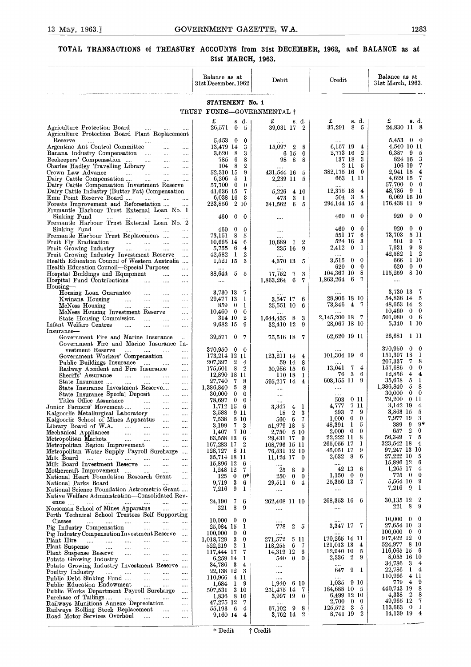# 13 May, 1963.] **GOVERNMENT GAZETTE, W.A.** 1283<br> **TOTAL TRANSACTIONS of TREASURY ACCOUNTS from 31st DECEMBER, 1962, and BALANCE as at** 31st MARCH, 1963. **TOTAL TRANSACTIONS of TREASURY ACCOUNTS from 31st DECEMBER, 1962, and BALANCE as at 31st MARCH, 1963.**

| TOTAL TRANSACTIONS of TREASURY ACCOUNTS from 31st DECEMBER, 1962, and BALANCE as at                                                                                     | 31st MARCH, 1963.                                        |                                            |                                                                  |                                                                     |
|-------------------------------------------------------------------------------------------------------------------------------------------------------------------------|----------------------------------------------------------|--------------------------------------------|------------------------------------------------------------------|---------------------------------------------------------------------|
|                                                                                                                                                                         | Balance as at<br>31st December, 1962                     | Debit                                      | Credit                                                           | Balance as at<br>31st March, 1963.                                  |
|                                                                                                                                                                         | STATEMENT No. 1<br>TRUST FUNDS-GOVERNMENTAL +            |                                            |                                                                  |                                                                     |
|                                                                                                                                                                         | £<br>s. d.                                               | £<br>s. d. 1                               | 8. d.<br>£                                                       | £<br>s. d.                                                          |
| Agriculture Protection Board<br>$\cdots$<br>$\cdots$<br>$\cdots$<br>Agriculture Protection Board Plant Replacement                                                      | 26,571 0<br>- 5                                          | 39,031 17 2                                | 37,291 8 5                                                       | 24,830 11 8                                                         |
| Reserve<br>and the state of the state of the<br>$\ldots$ . $\ldots$<br>$\cdots$<br>$\sim 100$ km s $^{-1}$<br>Argentine Ant Control Committee<br>$\sim 100$<br>$\cdots$ | $5,453$ 0<br>$\bf{0}$<br>13,479 14<br>3                  | 15,097 2<br>- 8                            | 6,157 19 4                                                       | 5,453 0 0<br>4,540 10 11                                            |
| Banana Industry Compensation<br>$\cdots$<br>Beekeepers' Compensation<br>$\cdots$                                                                                        | $3,620$ 8<br>3<br>785 6<br>8                             | 6 15 0<br>98 8 8                           | 2,773 16<br>$^{2}$<br>137 18<br>3                                | 6,387 9 5<br>- 3<br>824 16                                          |
| Charles Hadley Travelling Library<br>$\ldots$ .<br>Crown Law Advance<br>المنباب المنباب المنبات<br>$\ldots$                                                             | 104 8<br>$\boldsymbol{2}$<br>52,310 15<br>9              | 431,544 16<br>- 5                          | $2\,11$<br>- 5<br>382,175 16 0                                   | - 7<br>106 19<br>$\frac{4}{3}$<br>2,941 15                          |
| Dairy Cattle Compensation<br>$\cdots$<br>Dairy Cattle Compensation Investment Reserve                                                                                   | 6,206<br>1<br>- 5<br>57,700 0<br>$\bf{0}$                | 2,239 11<br>- 5                            | 663 1 11<br>$\cdots$                                             | - 7<br>4,629 15<br>57,700 0 0                                       |
| Dairy Cattle Industry (Butter Fat) Compensation<br>$\cdots$                                                                                                             | 7<br>41,636 15<br>6,038 16<br>-3                         | 5,226 4 10<br>473<br>3<br>-1               | 12,375 18 4<br>504 3<br>8                                        | 48,786 9 1<br>6,069 16 10                                           |
| Forests Improvement and Reforestation<br>Fremantle Harbour Trust External Loan No. 1                                                                                    | $2\,10$<br>223,856                                       | 341,562 6<br>- 5                           | 294,144 15<br>4                                                  | 176,438 11 9                                                        |
| Sinking Fund<br>$\cdots$<br>and the same of<br>Fremantle Harbour Trust External Loan No. 2                                                                              | 460<br>$\bf{0}$<br>$\bf{0}$                              |                                            | $\mathbf{0}$<br>$\theta$<br>460.                                 | 920<br>$\theta$<br>- 0                                              |
| Sinking Fund<br><b>Contractor</b><br>and the same<br>$\ldots$<br>$\cdots$<br>Fremantle Harbour Trust Replacement<br>$\cdots$                                            | 460<br>$\bf{0}$<br>$\theta$<br>73,151 8<br>5             | $\cdots$<br>                               | 460<br>$\bf{0}$<br>$\theta$<br>551 17<br>6                       | 920<br>$0\quad 0$<br>73,703 5 11                                    |
| Fruit Fly Eradication<br>$\ldots$<br>Fruit Growing Industry<br>$\ldots$                                                                                                 | 10,665 14<br>6<br>4<br>5,755 6                           | 10,689<br>2<br>$\mathbf{I}$<br>235 16<br>9 | 524 16<br>3<br>$2,412$ 0<br>-1                                   | 501 9 7<br>7,931 9 8                                                |
| Fruit Growing Industry Investment Reserve<br>$\ldots$<br>Health Education Council of Western Australia                                                                  | 42,582 1<br>$\boldsymbol{2}$<br>1,521 15<br>3            | <br>4,370 13<br>5                          | $3{,}515$<br>$\mathbf{0}$<br>$\bf{0}$                            | 42,582<br>12<br>666 1 10                                            |
| Health Education Council-Special Purposes<br>$\cdots$<br>Hospital Buildings and Equipment<br>$\mathcal{L}_{\text{max}}$ .<br>$\cdots$                                   | 88,644 5<br>5                                            | -7<br>3<br>77,752                          | 620<br>$\bf{0}$<br>$\bf{0}$<br>8<br>$104,367$ 10                 | 620<br>$0\quad 0$<br>115,259 8 10                                   |
| Hospital Fund Contributions<br>$\mathcal{L}_{\text{max}}$ . The same<br>$\cdots$<br>$\cdots$<br>$Housing-$                                                              |                                                          | $1,863,264$ 6<br>$\mathbf 7$               | $1,863,264$ 6 7                                                  | $\cdots$                                                            |
| Housing Loan Guarantee<br>$\sim$ $\sim$ $\sim$ $\sim$<br>$\cdots$<br>$\cdots$<br>Kwinana Housing<br><b>Section</b><br>$\cdots$                                          | 3,730 13<br>7<br>29,477 13<br>1                          | 6<br>3,547 17                              | 28,906 18 10                                                     | 3,730 13<br>- 7<br>54,836 14 5                                      |
| McNess Housing<br>$\cdots$<br>$\sim$ $\sim$<br>$\cdots$<br>$\cdots$<br>McNess Housing Investment Reserve<br>$\cdots$                                                    | 859 0<br>1<br>$10,460 \quad 0$<br>$\bf{0}$               | 25,551 10<br>-6                            | 73,346 4 7                                                       | 48,653 14 2<br>$10,460 \quad 0 \quad 0$                             |
| State Housing Commission<br>$\cdots$<br>Infant Welfare Centres<br>$\cdots$<br>$\cdots$<br>$\cdots$<br>$\ldots$                                                          | $\boldsymbol{2}$<br>314 10<br>9,682 15<br>9              | 1,644,435 8<br>3<br>32,410 12<br>- 9       | 2,145,200 18 7<br>28,067 18 10                                   | $501,080$ 0 6<br>5,340<br>1 10                                      |
| Insurance-<br>Government Fire and Marine Insurance<br>$\cdots$                                                                                                          | 39,577 0<br>- 7                                          | 75,516 18<br>-7                            | 62,620 19 11                                                     | 26,681<br>-1-11                                                     |
| Government Fire and Marine Insurance In-<br>vestment Reserve<br>المتناد المتداد المتداد<br>$\cdots$                                                                     | 370,950 0 0                                              |                                            |                                                                  | 370,950 0 0                                                         |
| Government Workers' Compensation<br>$\cdots$<br>Public Buildings Insurance _<br>$\cdots$                                                                                | 173,214 12 11<br>207,397 2<br>$\overline{4}$             | 123,211 14 4<br>59 14<br>-8                | $101,304$ 19 6<br>$\cdots$                                       | 151,307 18 1<br>78<br>207,337                                       |
| Railway Accident and Fire Insurance<br>Sheriffs' Assurance<br>$\cdots$                                                                                                  | $\boldsymbol{2}$<br>175.601 8<br>12,890 18 11            | 30,956 15<br>6<br>110 18 1                 | 74<br>$13{,}041$<br>76 3 6                                       | 157,686 0<br>$\bf{0}$<br>12,856<br>$\overline{4}$<br>$\overline{4}$ |
| State Insurance<br>$\cdots$<br>$\ldots$<br>State Insurance Investment Reserve<br>$\cdots$                                                                               | 27,740<br>78<br>1,386,840 5<br>-8                        | 595,217 14 4<br>$\cdots$                   | 603,155 11 9<br>$\ldots$                                         | 5<br>35,678<br>-1<br>1,386,840 5 8                                  |
| State Insurance Special Deposit<br>$\sim 100$ and $\sim 100$<br>$\ldots$<br>$\sim$                                                                                      | $30,000 \quad 0 \quad 0$<br>78,697 0 0                   | $\cdots$<br>$\cdots$                       | $\cdots$<br>011<br>503                                           | $30,000 \quad 0 \quad 0$<br>79,200 0 11                             |
| Titles Office Assurance Junior Farmers' Movement<br>$\ldots$<br>$\cdots$                                                                                                | $1,712$ 15 6<br>3,588<br>-911                            | 3,347 4 1<br>18 2<br>3                     | 7 11<br>4,777<br>7<br>293<br>9                                   | 3,142 19 4<br>3,863 15<br>5                                         |
| Kalgoorlie Metallurgical Laboratory<br>Kalgoorlie School of Mines Apparatus<br>$\ldots$<br>Library Board of W.A.<br>$\cdots$                                            | 7,538<br>5 10<br>7 <sub>3</sub><br>3,199                 | 7<br>560 6<br>51,979 18 5                  | $\mathbf{0}$<br>1,000<br>$\bf{0}$<br>48,391<br>$\mathbf{1}$<br>5 | 3<br>7,977 19<br>$9*$<br>389 9                                      |
| Mechanical Appliances<br>Metropolitan Markets<br>$\cdots$<br>$\cdots$                                                                                                   | 1,407 7 10<br>63,558 13 6                                | 2,750 5 10<br>29,431 17 9                  | $2,000 \quad 0$<br>$\bf{0}$<br>22,222 11<br>8                    | $\overline{2}$<br>$\bf{0}$<br>657<br>56,349<br>$\mathbf{7}$<br>5    |
| Metropolitan Region Improvement<br>$\cdots$<br>Metropolitan Water Supply Payroll Surcharge                                                                              | 167,283 17 2<br>128,727 8 11                             | 108,796 15 11<br>76,531 12 10              | 265,055 17<br>1<br>45,051 17<br>9                                | 323,542 18 4<br>97,247 13 10                                        |
| Milk Board <sup>77</sup><br>Milk Board Investment Reserve                                                                                                               | 35,714 18 11<br>15,896 12<br>6                           | $11,124$ 17 0<br>                          | 2,632 8<br>6                                                     | 27,222 10 5<br>15,896 12<br>- 6                                     |
| Mothercraft Improvement<br>$\cdots$<br>National Heart Foundation Research Grant<br>$\sim$ 1000 $\mu$                                                                    | 1,248 12<br>7<br>125 0<br>$0*$                           | 25<br>- 8<br>- 9<br>$250 \t 0 \t 0$        | 42 13<br>6<br>$1,150 \quad 0$<br>$\bf{0}$                        | 1,265 17<br>4<br>775 0 0                                            |
| National Parks Board<br>سندرج المتداح المتداح المتداح<br>National Science Foundation Astrometric Grant                                                                  | 9,719<br>-3<br>6<br>7,216<br>- 9<br>1                    | 29,511 6 4<br>$\cdots$                     | 25,356 13<br>7<br>$\ldots$                                       | 5,564 10 9<br>7,216 9 1                                             |
| Native Welfare Administration—Consolidated Rev-<br>enue<br>$\cdots$                                                                                                     | 24,190<br>$\mathbf{7}$<br>6                              | 262,408 11 10                              | 268,353 16 6                                                     | 2<br>30,135 12                                                      |
| Norseman School of Mines Apparatus<br><b>Contractor</b><br>Perth Technical School Trustees Self Supporting                                                              | 221<br>9<br>8                                            | $\ldots$ .                                 | $\ldots$                                                         | 8<br>221<br>-9                                                      |
| Classes<br>المستحدث المتناد المتناد المتناد المتناد<br>$\cdots$<br>Pig Industry Compensation<br>$\cdots$                                                                | $10,000 \quad 0$<br>$\bf{0}$<br>25,084 15<br>1           | 778<br>2 5                                 | 3,347 17 7                                                       | $10,000 \quad 0 \quad 0$<br>27,654 10 3                             |
| Pig Industry Compensation Investment Reserve<br>Plant Hire<br>$\cdots$                                                                                                  | $100,000 \quad 0$<br>$\bf{0}$<br>1,018,729 3<br>$\bf{0}$ | $\ldots$<br>271,572<br>-511                | 170,265 14 11                                                    | $100,000 \quad 0 \quad 0$<br>$917,422$ 12 0                         |
| Plant Suspense<br>$\cdots$<br>Plant Suspense Reserve<br>$\cdots$                                                                                                        | 522,219 2 1<br>7<br>117,444 17                           | 118,255 6 7<br>14,319 12<br>- 6            | 121,013 13<br>4<br>12,940 10<br>5                                | 524,977 8 10<br>$116,065$ 15 6                                      |
| Potato Growing Industry<br>$\cdots$<br>Potato Growing Industry Investment Reserve                                                                                       | 6,259 14<br>1<br>34,786 3<br>$\overline{4}$              | 540<br>$0\quad 0$<br>$\cdots$              | 2,336 2<br>9                                                     | 8,055 16 10<br>34,786<br>34                                         |
| المسامي السباب السباري السباب<br>Poultry Industry<br>$\cdots$<br>Public Debt Sinking Fund<br>$\cdots$                                                                   | 22,138 12 3<br>110,966<br>4 11                           | $\cdots$                                   | 9 1<br>647<br>$\cdots$                                           | 22,786<br>$1\quad 4$<br>110,966 4 11                                |
| Public Education Endowment<br>$\cdots$<br>Public Works Department Payroll Sureharge                                                                                     | 1,684<br>19<br>3 10<br>507,531                           | $1,940 \quad 610$<br>251,475 14<br>- 7     | 1,035 9 10<br>184,688 10 5                                       | 779 4 9<br>440,743 19 8                                             |
| Purchase of Tailings<br><b>Second</b><br>Railways Munitions Annexe Depreciation<br>$\ldots$ .                                                                           | 1,836 8 10<br>47,275 12 7                                | 3,997 19 0<br>                             | 6,499 12 10<br>2,700 0<br>$\bf{0}$                               | 2 8<br>4,338<br>49,965 12 7                                         |
| Railways Rolling Stock Replacement<br>$\sim$ $\sim$<br>Road Motor Services Overhaul<br>$\ldots$                                                                         | 55,193 6 4<br>$9,160$ 14 4                               | 67,102 9 8<br>3,762 14 2                   | 125,572 3<br>5<br>8,741 19 2                                     | $113,663$ 0 1<br>14,139 19 4                                        |
|                                                                                                                                                                         |                                                          |                                            |                                                                  |                                                                     |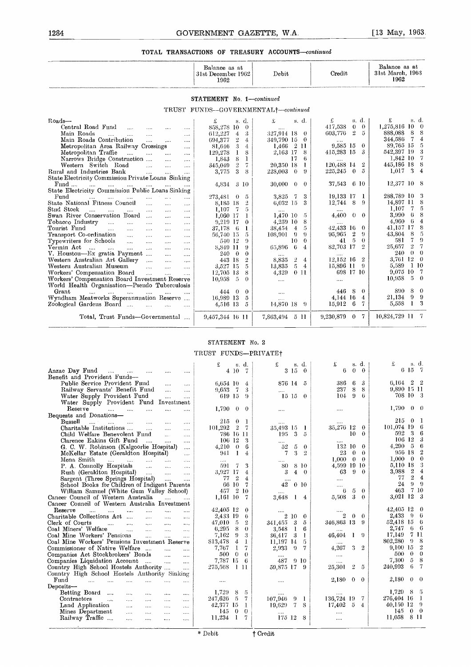|                                                                                                                                                                                                                                                                                     |                                                                        | Balance as at<br>31st December 1962<br>1962          |                |                                               | Debit                                             |                |                      | Credit                        |                                                         | Balance as at<br>31st March, 1963<br>1962    |
|-------------------------------------------------------------------------------------------------------------------------------------------------------------------------------------------------------------------------------------------------------------------------------------|------------------------------------------------------------------------|------------------------------------------------------|----------------|-----------------------------------------------|---------------------------------------------------|----------------|----------------------|-------------------------------|---------------------------------------------------------|----------------------------------------------|
|                                                                                                                                                                                                                                                                                     |                                                                        | STATEMENT No. 1-continued                            |                |                                               |                                                   |                |                      |                               |                                                         |                                              |
|                                                                                                                                                                                                                                                                                     |                                                                        | TRUST FUNDS-GOVERNMENTAL+-continued                  |                |                                               |                                                   |                |                      |                               |                                                         |                                              |
| Roads-                                                                                                                                                                                                                                                                              |                                                                        | £                                                    |                | s d.                                          | £                                                 |                | s. d.                | £                             | s. d.                                                   | £<br>s. d.                                   |
| Central Road Fund<br>$\cdots$                                                                                                                                                                                                                                                       | $\cdots$<br>$\cdots$                                                   | 858,278 10                                           |                | $\theta$                                      |                                                   |                |                      | 417,538                       | $\theta$<br>$\Omega$                                    | 1,275,816 10<br>- 0                          |
| Main Roads<br>$\cdots$<br>$\cdots$<br>$\cdots$                                                                                                                                                                                                                                      | $\cdots$                                                               | 612,227                                              | 4              | 3                                             | 327,914 18 0                                      |                |                      | 603,776                       | $\overline{2}$<br>-5                                    | -8<br>888,088<br>8                           |
| Main Roads Contribution<br>$\sim$ . $\sim$                                                                                                                                                                                                                                          | $\cdots$<br>$\cdots$                                                   | 694,377                                              | $\mathbf{2}$   | $\overline{4}$                                | 349,790 15 0                                      |                |                      |                               |                                                         | 344,586<br>$\overline{4}$<br>- 7             |
| Metropolitan Area Railway Crossings                                                                                                                                                                                                                                                 | $\cdots$                                                               | 81,646                                               | -3             | $\overline{4}$                                | $1,466$ 2 11                                      |                |                      | 9,585 15                      | $\theta$                                                | 89,765 15<br>-5                              |
| Metropolitan Traffic<br>$\mathbf{r}$<br>$\sim 10^{-11}$                                                                                                                                                                                                                             | $\sim$<br>$\cdots$                                                     | 129,278                                              | $\mathbf{1}$   | 8                                             | 2,163 17                                          |                | -8                   | 415,283 15                    | -3                                                      | -3<br>542,397 19                             |
| Narrows Bridge Construction                                                                                                                                                                                                                                                         | $\cdots$<br>$\ldots$ .                                                 | 1,843                                                | 8              | 1                                             |                                                   | 17             | 6                    |                               |                                                         | -7<br>1,842 10                               |
| Western Switch Road<br>$\sim 100$                                                                                                                                                                                                                                                   | $\ldots$<br>$\cdots$                                                   | 345,049                                              | $\overline{2}$ | $\tau$                                        | 20.350 18                                         |                | -1                   | 120,488 14                    | $\overline{2}$                                          | -8<br>445,186 18                             |
| Rural and Industries Bank<br>$\sim 100$                                                                                                                                                                                                                                             | $\sim$<br>$\cdots$                                                     | 3,775                                                | $\mathbf{3}$   | 8                                             | 228,003                                           | $\theta$       | $\Omega$             | 225,245                       | $\bf{0}$<br>5                                           | -3<br>1.017<br>$\overline{4}$                |
| State Electricity Commission Private Loans Sinking                                                                                                                                                                                                                                  |                                                                        |                                                      |                |                                               |                                                   |                |                      |                               |                                                         |                                              |
| $Find \dots$<br>$\mathbf{r}$ and $\mathbf{r}$ and $\mathbf{r}$                                                                                                                                                                                                                      |                                                                        | 4,834                                                |                | $3\,10$                                       | $30,000 \quad 0$                                  |                | $\theta$             | 37,543                        | 6 10                                                    | 12,377 10<br>- 8                             |
| State Electricity Commission Public Loans Sinking                                                                                                                                                                                                                                   |                                                                        |                                                      |                |                                               |                                                   |                |                      |                               |                                                         |                                              |
| Fund<br>$\cdots$                                                                                                                                                                                                                                                                    |                                                                        | 273,481 0                                            |                | 5                                             | 3,825 7                                           |                | 3                    | 19,133 17 1                   |                                                         | 288,789 10<br>-3                             |
| State National Fitness Council<br>$\sim$ .                                                                                                                                                                                                                                          | $\cdots$<br>$\cdots$                                                   | 8,185 18                                             |                | 2                                             | 6.032 15                                          |                | 3                    | 12,744 8                      | -9                                                      | 14,897 11<br>8<br>-5                         |
| ${\rm Stud\,\; Stock}$<br>التبيد المتبدا<br><b>Contractor</b><br>$\sim$                                                                                                                                                                                                             | $\cdots$<br>$\cdots$                                                   | 1.107                                                | $\mathbf{7}$   | 5                                             |                                                   |                |                      |                               |                                                         | 1.107<br>- 7<br>8                            |
| Swan River Conservation Board                                                                                                                                                                                                                                                       | $\cdots$<br>$\cdots$                                                   | 1.060 17                                             |                | L                                             | 1,470 10                                          |                | $\tilde{\mathbf{5}}$ | 4.400                         | $0\quad 0$                                              | 3.990<br>- 6                                 |
| $\bf{To bacco}$ $\bf{Industry}$<br>$\sim 100$                                                                                                                                                                                                                                       | $\sim$ . $\sim$<br>$\sim$                                              | 9,219 17                                             |                | $\theta$                                      | $4,259$ 10                                        |                | 8                    |                               |                                                         | 4,960<br>$\boldsymbol{4}$<br>- 6             |
| Tourist Fund<br>$\cdots$                                                                                                                                                                                                                                                            | $\cdots$<br>$\cdots$                                                   | 37,178                                               | - 6            | 1                                             | 38,454                                            | $\overline{4}$ | -5                   | 42,433 16                     | $\Omega$                                                | 8<br>41,157 17<br>$\sqrt{2}$<br>- 8          |
| Transport Co-ordination<br>$\sim$ 1000 $\sim$<br>$\sim 100$                                                                                                                                                                                                                         | $\sim$ . $\sim$<br>$\cdots$                                            | 56,740 15                                            |                | 5                                             | 108,901                                           | - 9            | -9                   | 95,965                        | $\boldsymbol{2}$<br>9<br>$\theta$                       | 43,804<br>$\Omega$<br>581<br>7               |
| Typewriters for Schools<br><b>College</b><br>$\cdots$                                                                                                                                                                                                                               | $\cdots$<br>$\cdots$                                                   | 540 12                                               |                | 9<br>9                                        |                                                   | 10.            | $\theta$             | 41<br>82,703 17               | -5<br>$\mathcal{D}$                                     | $-2$<br>-7<br>25,657                         |
| Vermin Act<br>and the mail<br>$\sim$ 100 $\sim$<br>$\sim$<br>V. Houston-Ex gratia Payment                                                                                                                                                                                           | $\cdots$<br>$\sim 100$                                                 | 8,849 11<br>$240 \quad 0$                            |                | $\theta$                                      | 65,896                                            | - 6            | -4                   |                               |                                                         | $\theta$<br>$\theta$<br>240                  |
|                                                                                                                                                                                                                                                                                     | $\sim$<br>                                                             |                                                      |                | $\overline{2}$                                | 8,835                                             | $\overline{2}$ | $\overline{4}$       | $\cdots$<br>12,152 16         | $\overline{2}$                                          | $3.761$ 12 0                                 |
| Western Australian Art Gallery                                                                                                                                                                                                                                                      | $\cdots$<br>$\ldots$                                                   | 443 18                                               |                | 5                                             |                                                   | $\sqrt{2}$     | $\overline{4}$       | 15,896 11                     | - 9                                                     | 5,589<br>1 10                                |
| Western Australian Museum<br>$\sim 10$                                                                                                                                                                                                                                              | $\cdots$<br>$\ldots$ .                                                 | 3,527 15                                             |                |                                               | 13,835                                            |                |                      |                               |                                                         | -7                                           |
|                                                                                                                                                                                                                                                                                     |                                                                        |                                                      |                |                                               |                                                   |                |                      |                               |                                                         | -5<br>$\theta$                               |
|                                                                                                                                                                                                                                                                                     |                                                                        |                                                      |                |                                               |                                                   |                |                      |                               |                                                         |                                              |
|                                                                                                                                                                                                                                                                                     |                                                                        |                                                      |                |                                               |                                                   |                |                      |                               |                                                         | 8<br>$\Omega$                                |
|                                                                                                                                                                                                                                                                                     |                                                                        |                                                      |                |                                               |                                                   |                |                      |                               |                                                         | -9<br>-9                                     |
|                                                                                                                                                                                                                                                                                     |                                                                        |                                                      |                |                                               |                                                   |                |                      |                               |                                                         | $1 \quad 3$                                  |
|                                                                                                                                                                                                                                                                                     |                                                                        |                                                      |                |                                               |                                                   |                |                      |                               |                                                         |                                              |
| Total, Trust Funds-Governmental                                                                                                                                                                                                                                                     |                                                                        | 9,457,344 16 11                                      |                |                                               | 7,863,494 5 11                                    |                |                      | 9,230,879                     | $0 \quad 7$                                             | 10,824,729 11 7                              |
| Workers' Compensation Board<br>$\sim$<br>Workers' Compensation Board Investment Reserve<br>World Health Organisation-Pseudo Tuberculosis<br>Grant<br>and and the state of the state<br>$\sim 100$<br>Wyndham Meatworks Superannuation Reserve<br>Zoological Gardeus Board<br>$\sim$ | $\mathcal{L}_{\rm{max}}$<br>$\cdots$<br>$\sim$<br>$\sim 100$<br>$\sim$ | 12,705 13<br>10,958<br>4440<br>16,989 13<br>4,516 13 | - 5            | 8<br>$\Omega$<br>$\theta$<br>5<br>$\tilde{D}$ | 4,329<br>$\cdots$<br>$\cdots$<br>.<br>14,870 18 9 |                | -0-11                | <br>446<br>4,144 16<br>15,912 | 698 17 10<br>8<br>$\bf{0}$<br>$\overline{4}$<br>7<br>-6 | 9,075,10<br>10,958<br>890<br>21.134<br>5,558 |
|                                                                                                                                                                                                                                                                                     |                                                                        | STATEMENT No. 2                                      |                |                                               |                                                   |                |                      |                               |                                                         |                                              |
|                                                                                                                                                                                                                                                                                     |                                                                        | TRUST FUNDS-PRIVATE+                                 |                |                                               |                                                   |                |                      |                               |                                                         |                                              |
|                                                                                                                                                                                                                                                                                     |                                                                        | £                                                    |                | s d                                           | £                                                 |                | s. d.                | Ł                             | s. d.                                                   | £<br>s d.                                    |
| Anzac Day Fund                                                                                                                                                                                                                                                                      |                                                                        |                                                      | $4\,10\,7$     |                                               |                                                   | $3\,15\,0$     |                      | 6.                            | $0\quad 0$                                              | 6 15 7                                       |
| and the state of<br>$\cdots$<br>Benefit and Provident Funds-                                                                                                                                                                                                                        | $\cdots$                                                               |                                                      |                |                                               |                                                   |                |                      |                               |                                                         |                                              |
| Public Service Provident Fund                                                                                                                                                                                                                                                       |                                                                        |                                                      |                |                                               | 876 14                                            |                | -5                   | 386                           | 6<br>3                                                  | $6,164$ 2                                    |
| Railway Servants' Benefit Fund                                                                                                                                                                                                                                                      | $\cdots$<br>$\cdots$                                                   | 6,654 10<br>$9.653 \quad 7$                          |                | 4<br>3                                        |                                                   |                |                      | 237                           | 8<br>8                                                  | 9,890 15 11                                  |
| Water Supply Provident Fund                                                                                                                                                                                                                                                         | $\cdots$                                                               | 619 15                                               |                | $\Omega$                                      | $\cdots$<br>15 15                                 |                | $\theta$             | 104                           | 9<br>$\mathfrak{b}$                                     | 708 10<br>- 3                                |
|                                                                                                                                                                                                                                                                                     | $\cdots$<br>$\cdots$                                                   |                                                      |                |                                               |                                                   |                |                      |                               |                                                         |                                              |

#### STATEMENT No. 2

| wyndham Meatworks Superanniation Reserve<br>Zoological Gardeus Board<br>$\sim$ .<br>$\mathcal{L}_{\text{max}}$<br>$\sim 100$                               | 16,989 13<br>4,516 13 | $\partial$<br>5                      | $\cdots$<br>14,870 18 9         | 4,144 10<br>$\pm$<br>$15,912 \quad 6$<br>-7 | 21,104<br>v<br>- 77<br>1 3<br>5,558   |
|------------------------------------------------------------------------------------------------------------------------------------------------------------|-----------------------|--------------------------------------|---------------------------------|---------------------------------------------|---------------------------------------|
| Total, Trust Funds-Governmental                                                                                                                            | 9,457,344 16 11       |                                      | 7,863,494 5 11                  | 9,230,879 0<br>$\sqrt{7}$                   | 10,824,729 11 7                       |
|                                                                                                                                                            | STATEMENT No. 2       |                                      |                                 |                                             |                                       |
|                                                                                                                                                            | TRUST FUNDS-PRIVATE+  |                                      |                                 |                                             |                                       |
|                                                                                                                                                            | £                     | s d                                  | £<br>s. d.                      | £<br>s. d.                                  | £<br>s d.                             |
| Anzac Day Fund<br>and the state of the<br>$\cdots$<br>$\cdots$<br>Benefit and Provident Funds-                                                             |                       | $4\,10$<br>-7                        | $3\quad15\quad0$                | 6<br>$\theta$<br>$\bf{0}$                   | 6 15 7                                |
| Public Service Provident Fund<br><br>$\cdots$                                                                                                              | 6,654 10              | 4                                    | 876 14 5                        | 386<br>6<br>3                               | $6,164$ 2 2                           |
| Railway Servants' Benefit Fund<br>$\sim$ $\sim$<br>$\cdots$                                                                                                | $9,653$ 7             | 3                                    | $\cdots$                        | 237<br>8<br>8                               | 9,890 15 11                           |
| Water Supply Provident Fund<br>$\cdots$<br>$\cdots$                                                                                                        | 619 15                | $\Omega$                             | $15 \; 15 \; 0$                 | $\Omega$<br>$\mathfrak{g}$<br>104           | 708 10 3                              |
| Water Supply Provident Fund Investment                                                                                                                     |                       |                                      |                                 |                                             | 1,790<br>$0 \quad 0$                  |
| Reserve<br><b>Contract</b><br>$\sim 100$<br>$\cdots$<br>$\cdots$<br>$\cdots$                                                                               | 1,790                 | $\theta$<br>$\theta$                 | $\cdots$                        |                                             |                                       |
| Bequests and Donations-<br>Bussell                                                                                                                         | 215                   | $\theta$<br>$\mathbf{1}$             |                                 |                                             | 215<br>$0-1$                          |
| <b>Security</b><br><b>Contract Contract</b><br><b>County</b> County<br>$\sim 100$<br>$\ldots$<br>$\cdots$<br>Charitable Institutions<br>$\sim$<br>$\cdots$ | 101,292               | -2<br>-7                             | 35,493 15 1                     | 35,276 12 0                                 | 101,074 19 6                          |
| $\cdots$<br>Child Welfare Benevolent Fund<br>$\bar{z}_1$ .<br>$\ldots$                                                                                     |                       | 786 16 11                            | 195<br>- 3<br>-5                | 10<br>$\theta$                              | 3 <sub>6</sub><br>592                 |
| Clarence Eakins Gift Fund<br><b>Castle Committee</b><br>$\cdots$<br>$\cdots$                                                                               | 106 12                | 3                                    | $\cdots$                        | .                                           | 106 12<br>3                           |
| G. C. W. Robinson (Kalgoorlie Hospital)<br>$\sim$ 10 $\mu$                                                                                                 | 4,210                 | $\theta$<br>6                        | 5<br>52<br>$\bf{0}$             | 132 10<br>$\theta$                          | -6<br>4,290<br>5.                     |
| McKellar Estate (Geraldton Hospital)<br>$\cdots$                                                                                                           | 941                   | $\mathbf{I}$<br>4                    | 3<br>7<br>$\overline{2}$        | 23<br>$\bf{0}$<br>$\theta$                  | $\boldsymbol{2}$<br>956 18            |
| Mena Smith<br>and the same<br><b>Contract Contract Contract Contract Contract</b><br>$\mathcal{L}_{\mathcal{F}}$                                           | $\cdots$              |                                      | $\cdots$                        | 1,000<br>$\theta$<br>$\Omega$               | $\theta$<br>1.000<br>$\mathbf{0}$     |
| P. A. Connolly Hospitals<br><b>Contractor</b><br>$\sim$<br>$\cdots$                                                                                        | 591                   | $\overline{7}$<br>3                  | 8 10<br>80                      | 4,599 19 10                                 | 5,110 18<br>-3                        |
| Rush (Geraldton Hospital)<br>$\cdots$<br>$\ldots$                                                                                                          | 3.927 17              | 4                                    | $\overline{4}$<br>$\theta$<br>3 | 9<br>$\Omega$<br>63                         | 24<br>3,988                           |
| Sargent (Three Springs Hospital)<br>$\sim 100$<br>$\sim$                                                                                                   | 77                    | $\overline{2}$<br>4                  |                                 |                                             | $2^{\circ}$<br>77<br>$\boldsymbol{4}$ |
| School Books for Children of Indigent Parents                                                                                                              | 66 10                 | $\overline{7}$                       | 42<br>0 <sub>10</sub>           | .                                           | $9 - 9$<br>24                         |
| William Samuel (White Gum Valley School)                                                                                                                   | 457                   | $\overline{2}$<br>-10                |                                 | $\theta$<br>5<br>6                          | 7 10<br>463                           |
| Cancer Council of Western Australia<br>$\cdots$                                                                                                            | 1,161 10              | 7                                    | 3.648<br>- 1<br>$\frac{4}{3}$   | 5,508<br>$\mathcal{Z}$<br>$\theta$          | 3.021 12 3                            |
| Cancer Council of Western Australia Investment                                                                                                             |                       |                                      |                                 |                                             |                                       |
| Reserve<br>$\cdots$<br><br>$\cdots$<br>$\cdots$<br>$\cdots$<br>$\cdots$                                                                                    | 42,405 12             | $\theta$                             |                                 |                                             | 42,405 12 0                           |
| Charitable Collections Act<br>$\cdots$<br>$\cdots$<br>$\cdots$                                                                                             | 2,433 19              | 6                                    | 2100                            | $\theta$<br>$\theta$                        | 2.433<br>96                           |
| Clerk of Courts<br><b>Contractor</b><br><b>Section</b><br>$\ldots$<br>$\ldots$<br>$\cdots$                                                                 | 47,010                | $\overline{2}$<br>- 5                | 341,455 3<br>5                  | 346,863 13<br>- 9                           | 52.418 15 6                           |
| Coal Miners' Welfare<br>$\ddotsc$<br>$\cdots$<br>$\cdots$<br>$\cdots$                                                                                      | 6,295                 | 8<br>$\theta$                        | 6<br>3,548<br>-1                |                                             | 6 <sub>6</sub><br>2.747<br>7 11       |
| Coal Mine Workers' Pensions<br>$\mathbf{r}$<br>$\cdots$<br>$\ldots$                                                                                        | 7,162                 | 9<br>3                               | -3<br>$\mathbf{I}$<br>36.417    | 46,404<br>$1 \quad 9$                       | 17.149<br>802,280<br>$9 -$<br>8       |
| Coal Mine Workers' Pensions Investment Reserve                                                                                                             | 813,478               | 4<br>-1                              | 5<br>11,197 14                  | $\cdots$<br>3<br>$-2$                       | 9,100 15 2                            |
| Commissioner of Native Welfare<br>$\sim 100$<br>$\sim 100$                                                                                                 | 7,767                 | -1<br>7                              | 2,933<br>- 9<br>7               | 4,267                                       | 500<br>$0 \quad 0$                    |
| Companies Act Stockbrokers' Bonds<br>$\sim$<br>$\sim$                                                                                                      | 500<br>7,787 15       | $\theta$<br>$\theta$<br>$\mathbf{6}$ | 487                             |                                             | 5<br>- 8<br>7,300                     |
| Companies Liquidation Account<br>and the state<br>$\cdots$<br>Country High School Hostels Authority                                                        | 275,568               | 1 11                                 | -9-10<br>59,875 17 9            | 25,301<br>$\boldsymbol{2}$<br>5             | 6<br>$\overline{7}$<br>240,993        |
| $\ddotsc$<br>Country High School Hostels Authority Sinking                                                                                                 |                       |                                      |                                 |                                             |                                       |
| Find<br><b>Sales</b><br>$\ldots$<br>$\cdots$<br>$\mathbf{r}$<br>$\cdots$                                                                                   |                       |                                      |                                 | 2,180<br>$\Omega$<br>$\theta$               | 2,180<br>$\Omega$<br>- 0              |
| $\cdots$<br>Deposits-                                                                                                                                      |                       |                                      | $\cdots$                        |                                             |                                       |
| Betting Board<br>$\cdots$<br>$\cdots$<br>$\cdots$<br>$\cdots$                                                                                              | 1,729                 | 8<br>-5                              |                                 |                                             | 1,729<br>8 5                          |
| Contractors<br>$\sim 100$<br>$\ldots$<br>$\cdots$<br>$\cdots$<br>$\sim$ $\sim$                                                                             | 247,626               | -5<br>7                              | 107,946<br>- 1<br>-9            | 136,724 19<br>7                             | 276,404 16 1                          |
| Land Application<br>$\cdots$<br>$\cdots$<br>$\cdots$<br>$\ldots$                                                                                           | 42,377 15             | 1                                    | 19,629<br>-7<br>8               | 17,402<br>- 5<br>$\overline{4}$             | 40,150 12 9                           |
| Mines Department<br>$\cdots$<br>$\cdots$<br>$\sim$<br>$\cdots$                                                                                             | 145                   | $\theta$<br>$\theta$                 |                                 | $\cdots$                                    | $0 \quad 0$<br>145                    |
| Railway Traffic<br>$\sim$ .<br>$\cdots$<br>$\cdots$<br>$\ldots$                                                                                            | 11,234                | -1<br>7                              | 175 12 8                        | $\cdots$                                    | 11,058 8 11                           |
|                                                                                                                                                            |                       |                                      |                                 |                                             |                                       |
|                                                                                                                                                            | * Debit.              |                                      | + Credit                        |                                             |                                       |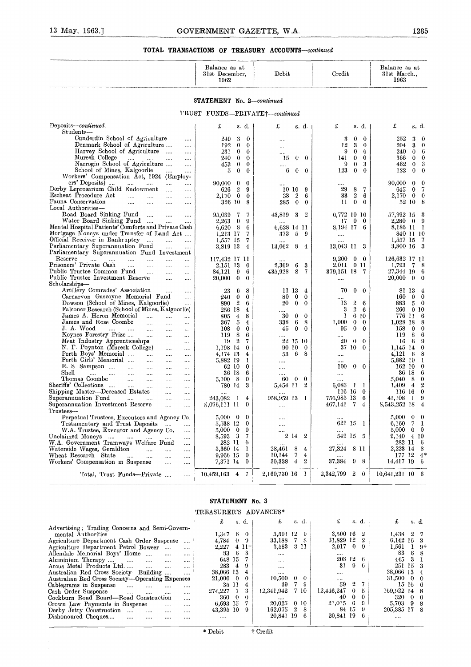|                                                                                                                              | Balance as at<br>31st December.<br>1962     |                      | Debit                       |                  | Credit                                                    | Balance as at<br>31st March<br>1963            |
|------------------------------------------------------------------------------------------------------------------------------|---------------------------------------------|----------------------|-----------------------------|------------------|-----------------------------------------------------------|------------------------------------------------|
|                                                                                                                              | <b>STATEMENT</b> No. 2-continued            |                      |                             |                  |                                                           |                                                |
|                                                                                                                              | TRUST FUNDS-PRIVATE <sup>+</sup> -continued |                      |                             |                  |                                                           |                                                |
| Deposits-continued.<br>Students-                                                                                             | £<br>s. d.                                  |                      | £                           | s. d.            | £<br>s. d.                                                | £<br>s. d.                                     |
| Cunderdin School of Agriculture<br>$\cdots$                                                                                  | 249<br>3                                    | $\bf{0}$             |                             |                  | 3<br>$\bf{0}$<br>$\bf{0}$                                 | 252<br>3<br>$\bf{0}$                           |
| Denmark School of Agriculture<br><br>Harvey School of Agriculture<br>$\cdots$                                                | $\bf{0}$<br>192<br>231<br>$\bf{0}$          | $\theta$<br>$\theta$ | $\cdots$                    |                  | 3<br>12<br>$\theta$<br>9<br>$\bf{0}$<br>6                 | 204<br>3<br>$\bf{0}$<br>6<br>240<br>$\bf{0}$   |
| Muresk College<br><br>$\cdots$                                                                                               | $\bf{0}$<br>240                             | $\theta$             | $\cdots$<br>$\theta$<br>-15 | $\bf{0}$         | 141<br>$\bf{0}$<br>$\bf{0}$                               | 366<br>$\bf{0}$<br>$\bf{0}$                    |
| Narrogin School of Agriculture<br>                                                                                           | $\bf{0}$<br>453                             | $\bf{0}$             |                             |                  | $\bf{0}$<br>3<br>9                                        | 462<br>$\theta$<br>3                           |
| School of Mines, Kalgoorlie<br><br>Workers' Compensation Act, 1924 (Employ-                                                  | $\bf{0}$<br>5                               | $\theta$             | 6<br>$\bf{0}$               | $\bf{0}$         | 123<br>$\bf{0}$<br>$\theta$                               | 122<br>$\bf{0}$<br>$\theta$                    |
| ers' Deposits)<br>$\cdots$<br>$\cdots$<br>                                                                                   | 90,000<br>$\bf{0}$                          | $\theta$             |                             |                  | .                                                         | 90,000<br>$\theta$<br>$\bf{0}$                 |
| Derby Leprosarium Child Endowment<br>$\cdots$<br>                                                                            | $\,2$<br>626                                | 9                    | 10 10                       | 9                | 8<br>29<br>7                                              | 7<br>645<br>$\theta$                           |
| Escheat Procedure Act<br>$\ddotsc$<br>$\cdots$<br>$\cdots$<br>$\cdots$<br>Fauna Conservation                                 | $\bf{0}$<br>2,170                           | $\theta$<br>8        | 33<br>$\overline{2}$        | 6                | $\boldsymbol{2}$<br>33<br>6<br>11<br>$\bf{0}$<br>$\theta$ | 2,170<br>$\bf{0}$<br>$\bf{0}$<br>52 10<br>-8   |
| $\cdots$<br>$\cdots$<br>$\cdots$<br><br>Local Authorities-                                                                   | 326 10                                      |                      | $\bf{0}$<br>285             | $\bf{0}$         |                                                           |                                                |
| Road Board Sinking Fund<br>$\cdots$<br>$\cdots$<br>$\cdots$                                                                  | 95,039<br>7                                 | 7                    | 43,819<br>3                 | 2                | 6,772 10 10                                               | 57,992 15<br>3                                 |
| Water Board Sinking Fund<br>$\sim$<br>Mental Hospital Patients' Comforts and Private Cash                                    | 2,263<br>0                                  | 9                    |                             |                  | $\bf{0}$<br>17<br>$\bf{0}$                                | $2,280 \quad 0$<br>9                           |
| Mortgage Moncys under Transfer of Land Act                                                                                   | -8<br>6,620<br>1,213 17                     | 6<br>7               | 6.628 14 11<br>-5<br>373    | 9                | 8,194 17 6<br>                                            | 8,186 11<br>- 1<br>840 11 10                   |
| Official Receiver in Bankruptcy<br>$\cdots$<br>aas.<br>$\cdots$                                                              | 1,557 15                                    | 7                    |                             |                  |                                                           | 1,557 15<br>7                                  |
| Parliamentary Superannuation Fund<br>$\cdots$<br>                                                                            | 3,819 13                                    | 4                    | 13,062<br>8                 | $\overline{4}$   | 13,043 11 3                                               | -3<br>3,800 16                                 |
| Parliamentary Superannuation Fund Investment<br>Reserve<br>$\cdots$<br>$\cdots$<br>$\cdots$<br>$\cdots$<br>$\sim$ $\sim$<br> | 117,432 17 11                               |                      |                             |                  | 9,200<br>$\bf{0}$<br>$\mathbf{0}$                         | 126,632 17 11                                  |
| Prisoners' Private Cash<br>$\cdots$<br>$\sim$<br>$\cdots$<br>$\cdots$                                                        | 2,151 13                                    | $\bf{0}$             | 2,369<br>6                  | 3                | 2,011 0 11                                                | 1,793<br>-7<br>8                               |
| Public Trustee Common Fund<br>$\sim$<br>$\cdots$<br>$\cdots$                                                                 | 84,121<br>9                                 | 6                    | 435,928<br>8                | 7                | 379,151 18 7                                              | 27,344 19<br>6                                 |
| Public Trustee Investment Reserve<br>$\cdots$<br><br>Scholarships-                                                           | $\bf{0}$<br>20,000                          | 0                    |                             |                  |                                                           | 20,000<br>$\bf{0}$<br>0                        |
| Artillery Comrades' Association<br>                                                                                          | 6<br>23                                     | 8                    | 11 13                       | 4                | 70<br>$\bf{0}$<br>- 0                                     | 81 13<br>4                                     |
| Carnarvon Gascoyne Memorial Fund<br>                                                                                         | $\bf{0}$<br>240                             | $\bf{0}$             | 80<br>$\bf{0}$              | $\bf{0}$         |                                                           | 160<br>$\bf{0}$<br>$\bf{0}$                    |
| Dowson (School of Mines, Kalgoorlie)<br><br>Falconer Research (School of Mines, Kalgoorlie)                                  | $\boldsymbol{2}$<br>890<br>256 18           | 6<br>4               | $\theta$<br>20              | $\bf{0}$         | $\boldsymbol{2}$<br>13<br>6<br>$\boldsymbol{2}$<br>3<br>6 | 883<br>5<br>$\bf{0}$<br>260<br>0 <sub>10</sub> |
| James A. Heron Memorial<br>$\cdots$<br><br>                                                                                  | 4<br>805                                    | 8                    | 30<br>$\bf{0}$              | $\bf{0}$         | 1<br>6 10                                                 | 776 11<br>6                                    |
| James and Rose Coombe<br>$\sim$ $\sim$<br><br>                                                                               | 5<br>367                                    | 4                    | 6<br>338                    | 8                | 1,000<br>$\bf{0}$<br>$\bf{0}$                             | 1,028 18<br>8                                  |
| J. A. Wood<br>$\cdots$ $\cdots$<br>$\cdots$<br>$\cdots$<br>$\ddotsc$<br>Keynes Forestry Prize<br>$\cdots$                    | $\bf{0}$<br>108<br>8<br>119                 | $\bf{0}$<br>6        | $\bf{0}$<br>45              | 0                | $\theta$<br>95<br>0                                       | 158<br>$\bf{0}$<br>0<br>8<br>119<br>6          |
| <br>$\ddotsc$<br>Meat Industry Apprenticeships<br>$\cdots$<br>                                                               | $\boldsymbol{2}$<br>19                      | 7                    | 22 15 10                    |                  | <br>20<br>$\mathbf{0}$<br>$\bf{0}$                        | 16<br>6<br>9                                   |
| N. F. Poynton (Muresk College)<br>$\cdots$<br>$\cdots$                                                                       | 1,198 14                                    | 0                    | 90 10                       | $\bf{0}$         | 37 10<br>$\bf{0}$                                         | 1,145 14<br>0                                  |
| Perth Boys' Memorial<br>$\cdots$<br>$\cdots$<br><br>Perth Girls' Memorial                                                    | 4,174 13                                    | 4<br>1               | 6<br>53                     | 8                |                                                           | 4,121<br>- 6<br>8<br>5,882 19<br>-1            |
| $\cdots$<br>$\cdots$<br><br>R. S. Sampson<br>$\cdots$<br>$\cdots$<br><br>$\cdots$                                            | 5,882 19<br>62 10                           | $\bf{0}$             | <br>                        |                  | $\bf{0}$<br>100<br>$\overline{\phantom{0}}$               | 162 10<br>$\Omega$                             |
| $_{\rm Shell}$<br>$\cdots$<br>$\cdots$<br>$\cdots$<br>$\cdots$<br><br>                                                       | 36 18                                       | 6                    |                             |                  |                                                           | 36 18<br>6                                     |
| Thomas Coombe<br>$\cdots$<br>$\cdots$<br><br><br>Sheriffs' Collections                                                       | $5,100$ 8<br>780 14                         | $\bf{0}$<br>3        | 0<br>60<br>5,454 11         | $\bf{0}$<br>-2   | <br>6,083<br>- 1                                          | 5,040<br>8<br>$\bf{0}$<br>2<br>1,409<br>4      |
| $\sim$ 1000 $\sim$<br>$\cdots$<br>$\cdots$<br><br>Shipping Master-Deceased Estates<br>$\cdots$<br>                           |                                             |                      |                             |                  | -1<br>116 16<br>$\bf{0}$                                  | 116 16<br>$\bf{0}$                             |
| Superannuation Fund<br>$\sim$ 1000 $\mu$<br>$\cdots$<br><br>                                                                 | 243,082<br>-1                               | 4                    | 958,959 13                  | - 1              | 756,985 13<br>6                                           | 9<br>41.108<br>1                               |
| Superannuation Investment Rescrve<br><br>                                                                                    | 8,076,111 11                                | 0                    |                             |                  | - 7<br>467,141<br>4                                       | 8,543,252 18<br>4                              |
| ${\rm Trustees}$ —<br>Perpetual Trustees, Executors and Agency Co.                                                           | $5,000 \quad 0$                             | $\bf{0}$             |                             |                  |                                                           | $5,000 \quad 0$<br>$\mathbf{0}$                |
| Testamentary and Trust Deposits<br>                                                                                          | 5,538 12                                    | $\bf{0}$             | $\cdots$                    |                  | 621 15 1                                                  | 6,160<br>-7<br>-1                              |
| W.A. Trustee, Executor and Agency Co.<br>                                                                                    | 5,000 0                                     | $\bf{0}$             |                             |                  |                                                           | 5,000<br>$\bf{0}$<br>- 0                       |
| Unclaimed Moneys<br>$\ldots$<br><br>W.A. Government Tramways Welfare Fund<br>                                                | 8,593 3<br>282 11                           | 7<br>6               | 2<br>14                     | $\boldsymbol{2}$ | 549 15 5                                                  | 9,140<br>4 10<br>282 11<br>b                   |
| Waterside Wages, Geraldton<br><br>.<br>                                                                                      | 3,360 14                                    | 1                    | 28,461<br>8                 | 4                | 8 11<br>27,324                                            | 2,223 14<br>8                                  |
| Wheat Rescarch-State<br><br><br>                                                                                             | 9,966 15                                    | $\bf{0}$             | 7<br>10,144                 | 4                |                                                           | $4*$<br>177 12                                 |
| Workers' Compensation in Suspense<br><br>                                                                                    | 7,371 14                                    | $\bf{0}$             | $30{,}338$<br>4             | 2                | 37,384<br>98                                              | 14,417 19<br>6                                 |
| Total, Trust Funds---Private<br>                                                                                             | $10,459,163$ 4                              | 7                    | 2,160,730 16                | 1                | 2,342,799<br>$^{2}$<br>$\bf{0}$                           | 10,641,231 10 6                                |
|                                                                                                                              |                                             |                      |                             |                  |                                                           |                                                |

#### **STATEMENT** No. 3

#### TREASURER'S ADVANCES\*

|                                                                                                                |                      | STATEMENT No. 3         |            |            |                       |          |                      |                    |                  |                |                       |              |                       |
|----------------------------------------------------------------------------------------------------------------|----------------------|-------------------------|------------|------------|-----------------------|----------|----------------------|--------------------|------------------|----------------|-----------------------|--------------|-----------------------|
|                                                                                                                |                      |                         |            |            | TREASURER'S ADVANCES* |          |                      |                    |                  |                |                       |              |                       |
|                                                                                                                |                      | £                       |            | s. d.      | £                     |          | s. d.                | £                  |                  | s. d.          | £                     |              | s. d.                 |
| Advertising; Trading Concerns and Semi-Govern-<br>mental Authorities<br>$\cdots$<br>$\cdots$                   |                      | 1,347                   | 6          | $\theta$   | 3,591 12              |          | 9                    | 3,500 16           |                  | 2              | 1,438                 | $\mathbf{2}$ | - 7                   |
| Agriculture Department Cash Order Suspense<br>Agriculture Department Petrol Bowser<br>$\cdots$                 | $\cdots$             | 4,784<br>2,227          | $\theta$   | 9<br>4 11† | 33,188<br>3,583       |          | 7 8<br>3 11          | 31,829 12<br>2,917 | $\bf{0}$         | 9              | $6,142$ 16 3<br>1,561 |              | -9†                   |
| Allendale Memorial Boys' Home<br>$\cdots$                                                                      | $\cdots$<br>         | 83                      | 6          | 8          | $\cdots$              |          |                      |                    |                  |                | 83                    | 6            |                       |
| Aluminium Therapy<br><b>Contractor</b><br>$\mathbf{r}$<br>$\cdots$<br>Arcus Metal Products Ltd<br>$\cdots$<br> | $\cdots$<br>$\cdots$ | 648 15<br>283           | 4          | 9          | <br>.                 |          |                      | $203\ \ 12$<br>31  | 9                | 6<br>6         | 445<br>251            | З<br>-15     | - 3                   |
| Australian Red Cross Society-Building<br>Australian Red Cross Society-Operating Expenses                       |                      | 38,066 13<br>21,000     | $^{\circ}$ | 4<br>0     | <br>10,500            | $\theta$ | -0                   |                    |                  |                | 38,066 13<br>31,500   | - 0          | - 0                   |
| Cablegrams in Suspense<br>$\cdots$                                                                             |                      | 35 11                   |            | 4          | 39                    |          | 9                    | <br>59             | $\boldsymbol{2}$ | $\overline{7}$ | 15 16                 |              | - 6                   |
| Cash Order Suspense<br>$\cdots$<br>$\cdots$<br>$\cdots$<br>Cockburn Road Board-Road Construction               | $\cdots$<br>$\cdots$ | 274.227<br>360          | $\bf{0}$   | 3<br>0     | 12,341,942<br>        |          | 7 10                 | 12,446,247<br>40   | 0                | h.<br>0        | 169,922 14<br>320     | $\mathbf{0}$ | - 8<br>$\overline{0}$ |
| Crown Law Payments in Suspense<br>$\cdots$<br>Derby Jetty Construction                                         |                      | $6,693$ 15<br>43,395 10 |            | 9          | 20,025<br>162,075     | $^{2}$   | 0 <sub>10</sub><br>8 | 21,015             | 6<br>84 15       | 9<br>9         | 5,703<br>205,385 17 8 | -9           | -8                    |
| $\sim$ $\sim$ $\sim$<br>$\cdots$<br>Dishonoured Cheques<br>$\sim$<br>$\cdots$                                  | <br>                 |                         |            |            | 20,841 19             |          | 6                    | 20,841 19          |                  | 6              |                       |              |                       |
|                                                                                                                |                      | * Debit                 |            |            | † Credit              |          |                      |                    |                  |                |                       |              |                       |
|                                                                                                                |                      |                         |            |            |                       |          |                      |                    |                  |                |                       |              |                       |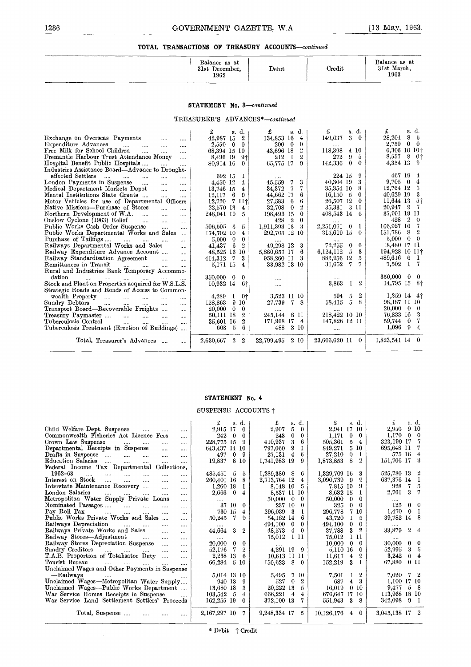|                       |                                            |       | -----  |                                      |
|-----------------------|--------------------------------------------|-------|--------|--------------------------------------|
|                       | Balance as at<br>31st<br>December.<br>1962 | Debit | Credit | Balance as at<br>31st March,<br>1963 |
| __<br>________<br>___ |                                            |       |        |                                      |

#### **STATEMENT** No. *3-continued*

|                                                                                                                                                                                                                                                                                                                                                                                                                                                                                                                                                                                                                                                                                                                                                                                                                                                                                                                                                                                                                                                                        | Balance as at<br>31st December.<br>1962                                                                                                                                                                                                                                                                           | Debit                                                                                                                                                                                                                                                                                                                   | Credit                                                                                                                                                                                                                                                                                                          | Balance as at<br>31st March.<br>1963                                                                                                                                                                                                                                                                                                |
|------------------------------------------------------------------------------------------------------------------------------------------------------------------------------------------------------------------------------------------------------------------------------------------------------------------------------------------------------------------------------------------------------------------------------------------------------------------------------------------------------------------------------------------------------------------------------------------------------------------------------------------------------------------------------------------------------------------------------------------------------------------------------------------------------------------------------------------------------------------------------------------------------------------------------------------------------------------------------------------------------------------------------------------------------------------------|-------------------------------------------------------------------------------------------------------------------------------------------------------------------------------------------------------------------------------------------------------------------------------------------------------------------|-------------------------------------------------------------------------------------------------------------------------------------------------------------------------------------------------------------------------------------------------------------------------------------------------------------------------|-----------------------------------------------------------------------------------------------------------------------------------------------------------------------------------------------------------------------------------------------------------------------------------------------------------------|-------------------------------------------------------------------------------------------------------------------------------------------------------------------------------------------------------------------------------------------------------------------------------------------------------------------------------------|
|                                                                                                                                                                                                                                                                                                                                                                                                                                                                                                                                                                                                                                                                                                                                                                                                                                                                                                                                                                                                                                                                        | <b>STATEMENT</b> No. 3-continued                                                                                                                                                                                                                                                                                  |                                                                                                                                                                                                                                                                                                                         |                                                                                                                                                                                                                                                                                                                 |                                                                                                                                                                                                                                                                                                                                     |
|                                                                                                                                                                                                                                                                                                                                                                                                                                                                                                                                                                                                                                                                                                                                                                                                                                                                                                                                                                                                                                                                        | TREASURER'S ADVANCES*-continued                                                                                                                                                                                                                                                                                   |                                                                                                                                                                                                                                                                                                                         |                                                                                                                                                                                                                                                                                                                 |                                                                                                                                                                                                                                                                                                                                     |
| Exchange on Overseas Payments<br>$\sim$<br><br>Expenditure Advances<br><b><i>Committee States</i></b><br>$\cdots$<br>$\cdots$<br><br>Free Milk for School Children<br>$\cdots$<br>$\cdots$<br>$\cdots$<br>Fremantle Harbour Trust Attendance Money<br>$\ddotsc$<br>Hospital Benefit Public Hospitals<br>$\mathbf{a}$<br>$\cdots$                                                                                                                                                                                                                                                                                                                                                                                                                                                                                                                                                                                                                                                                                                                                       | s. d.<br>£<br>$\overline{2}$<br>42,987 15<br>2,550 0<br>$\theta$<br>68,394 15 10<br>8,496 19<br>9†<br>80.914 16<br>$\theta$                                                                                                                                                                                       | £<br>s. d.<br>134,853 16<br>$\overline{4}$<br>200 0<br>$\bf{0}$<br>43.696 18<br>$\overline{2}$<br>$\overline{2}$<br>212<br>- 1<br>65,775 17<br>$\Omega$                                                                                                                                                                 | s. d.<br>£<br>149,637<br>30<br>118,398<br>4 10<br>272<br>9<br>5<br>142,336<br>$\bf{0}$<br>$\Omega$                                                                                                                                                                                                              | s. d.<br>£<br>28,204<br>86<br>2,750<br>$0\quad 0$<br>6,306 10 10+<br>8,557<br>8<br>- Oi<br>4.354 13<br>$\Omega$                                                                                                                                                                                                                     |
| Industries Assistance Board—Advance to Drought-<br>affected Settlers<br><b>Secondary</b><br>aaaan.<br>$\mathbf{r}$<br>$\sim$ $\sim$<br>$\cdots$<br>London Payments in Suspense<br>$\cdots$<br>$\cdots$<br>$\cdots$<br>Medical Department Markets Depot<br>$\mathbf{L}$<br>$\cdots$<br>Mental Institutions State Grants<br>$\sim$ $\sim$<br>i.<br>Motor Vehicles for use of Departmental Officers<br>Native Missions—Purchase of Stores<br>$\mathbf{L}$<br><br>Northern Development of W.A.<br>$\sim$ $\sim$<br>$\mathbf{r}$<br>i.<br>Onslow Cyclone (1963) Relief<br>$\sim$ $\sim$<br>$\cdots$<br>$\mathbf{r}$<br>Public Works Cash Order Suspense<br>$\sim$ 1000 $\sim$<br>$\mathbf{r}$<br>Public Works Departmental Works and Sales<br>Purchase of Tailings<br>المندار المتدار المتدار<br>$\cdots$<br>Railways Departmental Works and Sales<br>$\ddotsc$<br>Railway Expenditure Advance Account<br>$\sim$<br>Railway Standardisation Agreement<br>$\sim$ $\sim$<br>$\mathbf{r}$<br>Remittances in Transit<br>and the company of the company of<br>$\sim$<br>$\cdots$ | 692 15<br>1<br>4.450 12<br>4<br>13,746 15<br>4<br>12.117<br>6<br>9<br>12.720<br>7 II†<br>23,570 13<br>4<br>248,041 19<br>5.<br>$\cdots$<br>506,605 3<br>5<br>174,702 10<br>$\overline{4}$<br>5,000<br>$\bf{0}$<br>$\bf{0}$<br>6<br>$\overline{2}$<br>41.437<br>48,525 16 10<br>414,312<br>3<br>7<br>5,171 15<br>4 | <br>$\mathbf{7}$<br>3<br>45,559<br>7<br>34,372<br>$\mathbf{7}$<br>44,662 17<br>6<br>27,583<br>6<br>-6<br>32,708<br>$^{2}$<br>$\bf{0}$<br>198,493 15<br>$\theta$<br>$^{\circ}2$<br>$\theta$<br>428<br>- 3<br>1,911,393 13<br>292,703 12 10<br>3<br>49,298 12<br>5,880,657 17<br>- 6<br>958,260 11<br>- 3<br>33,982 13 10 | 224 15<br>9<br>40.304 19<br>3<br>8<br>35,354 10<br>16.150 5<br>$\theta$<br>26,507 12<br>$\overline{0}$<br>35.331<br>3 11<br>408,543 14 6<br>2,251,071<br>$\theta$<br>-1<br>315.619 15<br>$\overline{0}$<br>6<br>72,255<br>$\bf{0}$<br>6,124,112<br>$5\overline{5}$<br>3<br>882,956 12<br>5<br>7<br>31,652<br>-7 | 467 19<br>-4<br>$9,705 \quad 0$<br>4<br>12,764 12<br>3<br>40,629 19<br>3<br>$5+$<br>11,644 13<br>- 7<br>20,947<br>- 9<br>37,991 19 11<br>428<br>$\overline{2}$<br>- 0<br>166,927 16<br>-7<br>$\overline{2}$<br>151,786<br>- 8<br>$\theta$ 0<br>5,000<br>18,480 17 11<br>194,928 10 11+<br>489,616<br>-6<br>- 1<br>7,502<br>-1<br>-7 |
| Rural and Industries Bank Temporary Accommo-<br>dation<br>and the material and the same<br>$\ldots$<br>Stock and Plant on Properties acquired for W.S.L.S.<br>Strategic Roads and Roads of Access to Common-<br>wealth Property<br>$\sim$<br>$\cdots$                                                                                                                                                                                                                                                                                                                                                                                                                                                                                                                                                                                                                                                                                                                                                                                                                  | $350,000 \quad 0$<br>$\bf{0}$<br>10.932 14<br>-61<br>- 0†<br>4,289<br>1                                                                                                                                                                                                                                           | $\cdots$<br>$\cdots$<br>3,523 II IO                                                                                                                                                                                                                                                                                     | 3,863<br>$^{9}$<br>$\mathbf{I}$<br>$\overline{2}$<br>594<br>5                                                                                                                                                                                                                                                   | 350,000<br>$\mathbf{0}$<br>- 0<br>14,795 15<br>- 81<br>1,359 14 41                                                                                                                                                                                                                                                                  |
| Sundry Debtors<br>$\sim$<br>$\ddot{\phantom{a}}$<br>$\mathbf{r}$<br>$\cdots$<br>$\cdots$<br>Transport Board-Recoverable Freights<br>$\cdots$<br>Treasury Paymaster<br>$\mathbf{r}$<br>التبيان المنبا<br>$\mathbf{r}_{\mathrm{max}}$<br>Tuberculosis Control<br>$\cdots$<br>$\ddotsc$<br>$\cdots$<br>Tuberculosis Treatment (Erection of Buildings)                                                                                                                                                                                                                                                                                                                                                                                                                                                                                                                                                                                                                                                                                                                     | 9<br>128,863<br>10<br>20,000<br>$\bf{0}$<br>$\bf{0}$<br>50,111 18<br>$\mathbf{2}$<br>35,601 16<br>$\mathbf{2}$<br>-5<br>6<br>608                                                                                                                                                                                  | 27,739<br>8<br>7<br>- 8 II<br>245,144<br>171,968 17 4<br>3 10<br>488                                                                                                                                                                                                                                                    | 58,415<br>5<br>- 8<br>218,422 10 10<br>147,826 12 11<br>                                                                                                                                                                                                                                                        | 98,187 11 10<br>$20,000 \quad 0$<br>$\theta$<br>- 3<br>76,833 16<br>- 7<br>59,744 0<br>$\overline{4}$<br>$1,096$ 9                                                                                                                                                                                                                  |
| Total, Treasurer's Advances<br>$\cdots$                                                                                                                                                                                                                                                                                                                                                                                                                                                                                                                                                                                                                                                                                                                                                                                                                                                                                                                                                                                                                                | 2,630,667 2<br>$\boldsymbol{2}$                                                                                                                                                                                                                                                                                   | 22,799,495 2 10                                                                                                                                                                                                                                                                                                         | 23,606,620 11 0                                                                                                                                                                                                                                                                                                 | 1,823,541 14 0                                                                                                                                                                                                                                                                                                                      |

#### **STATEMENT No. 4**

#### SUSPENSE ACCOUNTS †

|                                                                                           | STATEMENT No. 4                                                 |                                             |                                            |                                    |
|-------------------------------------------------------------------------------------------|-----------------------------------------------------------------|---------------------------------------------|--------------------------------------------|------------------------------------|
|                                                                                           | SUSPENSE ACCOUNTS +                                             |                                             |                                            |                                    |
|                                                                                           | s. d.                                                           | £<br>s d.                                   | s. d.<br>£                                 | £<br>s. d.                         |
| Child Welfare Dept. Suspense<br>and the company of the company<br>$\cdots$                | 2,915 17<br>$\bf{0}$                                            | 2,907<br>5<br>$\bf{0}$                      | 2,941 17 10                                | 2,950<br>9 10                      |
| Commonwealth Fisheries Act Licence Fees<br>                                               | 242 0<br>$\bf{0}$                                               | $\bf{0}$<br>243<br>$\bf{0}$                 | 1,171<br>$0\quad 0$                        | 1,170<br>$0\quad 0$                |
| Crown Law Suspense<br>assault of the<br>$\cdots$                                          | 228,775 15<br>-9                                                | 410,937<br>3<br>6                           | 505,361<br>5<br>-4                         | 7<br>323,199 17                    |
| Departmental Receipts in Suspense<br>$\cdots$<br>$\cdots$                                 | 643,437 14 10                                                   | 9<br>1<br>797,060                           | 849,271<br>5 10                            | 7<br>695,648 II                    |
| Drafts in Suspense<br>$\ddotsc$<br>$\mathbf{1}$<br>$\cdots$<br>$\cdots$                   | 497<br>$\bf{0}$<br>- 9                                          | 27,131<br>$\overline{4}$<br>6               | 27,210<br>$\theta$<br>- 1                  | 575 16<br>$\overline{4}$           |
| Education Salaries<br>$\cdots$<br>$\cdots$                                                | 8 10<br>19,837                                                  | 1,741,983 19<br>9                           | 8<br>$^{9}$<br>1,873,853                   | -3<br>151,706 17                   |
| Federal Income Tax Departmental Collections.                                              |                                                                 |                                             |                                            |                                    |
| 1962-63<br>$\cdots$<br>$\ddotsc$<br>$\cdots$<br>                                          | 485.451 5<br>5                                                  | 1,289,380 8<br>6                            | - 3<br>1,329,709 16                        | 525,780 13 2                       |
| Interest on Stock<br>$\cdots$<br>$\cdots$<br>$\cdots$<br>                                 | 260,401 16<br>-8                                                | 2,713,764 12<br>$\overline{4}$              | 3,090,739 9<br>-9                          | 637,376 14 1                       |
| Interstate Maintenance Recovery                                                           | -1<br>1,260 18                                                  | 8,148 10<br>5                               | 9<br>7,815 19                              | $\mathbf{7}$<br>5<br>928           |
| London Salaries<br>$\cdots$<br>$\cdots$<br>$\cdots$<br>$\cdots$<br>$\cdots$               | 2,666<br>$\mathbf{0}$<br>4                                      | 8,537 11 10                                 | 8,632 15<br>- 1                            | $\overline{7}$<br>3<br>2,761       |
| Metropolitan Water Supply Private Loans<br>$\cdots$                                       | $\cdots$                                                        | 50,000<br>$\mathbf{0}$<br>$\bf{0}$          | 50,000<br>$\overline{\phantom{0}}$<br>- 0  |                                    |
| Nominated Passages<br>$\cdots$<br>$\cdots$                                                | 37 10<br>$\Omega$                                               | 237 10<br>0                                 | $\bf{0}$<br>325<br>$\bf{0}$                | $0 \quad 0$<br>125                 |
| Pay Roll Tax<br>$\mathbf{L}$<br>$\cdots$<br>$\cdots$                                      | 730 15<br>$\overline{4}$                                        | 296,039<br>-3<br>1                          | 296,778<br>7 10                            | 0 <sub>1</sub><br>1,470            |
| Public Works Private Works and Sales<br>$\cdots$                                          | $\overline{7}$<br>50,245<br>9                                   | 6<br>54,182 14                              | 43,720<br>5<br>Ι.                          | 39,782 14 8                        |
| Railways Depreciation<br>and the<br>$\cdots$                                              |                                                                 | 494,100<br>0<br>$\bf{0}$                    | 494,100<br>$\bf{0}$<br>$\theta$            |                                    |
| Railways Private Works and Sales<br>$\cdots$                                              | 44,664 3<br>2                                                   | 48,573<br>$\bf{0}$<br>$\overline{4}$        | 3 <sub>2</sub><br>37,788                   | 33,879<br>$\boldsymbol{2}$<br>4    |
| Railway Stores-Adjustment<br>$\cdots$<br>$\cdots$<br>Railway Stores Depreciation Suspense | $\cdots$                                                        | I II<br>75,012                              | 75,012<br>1 H                              | $0\quad 0$                         |
| $\cdots$<br>Sundry Creditors                                                              | $20,000 \quad 0$<br>$\bf{0}$<br>- 7<br>$\boldsymbol{2}$         | $\cdots$                                    | 10,000<br>$0\quad 0$<br>$\overline{0}$     | 30,000<br>3 <sub>5</sub><br>52,995 |
| $\cdots$<br>T.A.B. Proportion of Totalisator Duty                                         | 52,176<br>2,238 13<br>-6                                        | 4,291 19 9<br>10,613 11 11                  | 5,110 16<br>II,617<br>$\overline{4}$<br>-9 | 3,242<br>64                        |
| $\cdots$<br>Tourist Bureau<br><b>Sales Control</b>                                        | 66,284<br>-510                                                  | 150,623<br>- 8<br>$\mathbf{0}$              | 152,219<br>3<br>- 1                        | 67,880<br>0 11                     |
| and the<br>$\cdots$<br>Unclaimed Wages and Other Payments in Suspense                     |                                                                 |                                             |                                            |                                    |
| -Railways<br>المستحدث المساري المساري المساري                                             | 5,014 13 10                                                     | 5,495<br>7 10                               | $\overline{2}$<br>7,501<br>$\mathbf{I}$    | $7\quad 2$<br>7,020                |
| Unclaimed Wages-Metropolitan Water Supply                                                 | 940 13<br>- 9                                                   | $\overline{\mathbf{2}}$<br>527<br>$\bf{0}$  | - 3<br>$\overline{4}$<br>687               | 1,100 17 10                        |
| Unclaimed Wages---Public Works Department                                                 | 13,680 18<br>3                                                  | 20,222 13<br>5                              | 16,019<br>0 <sub>10</sub>                  | 9,477<br>5 8                       |
| War Service Homes Receipts in Suspense                                                    | 103,542<br>- 5<br>4                                             | 666,221<br>$\overline{4}$<br>$\overline{4}$ | 676,647 17<br>-10                          | 113,968 18 10                      |
| War Service Land Settlement Settlers' Proceeds                                            | 162,255 19<br>$\theta$                                          | 372,100 13<br>7                             | - 3<br>551,943<br>-8                       | 342,098<br>9 <sub>1</sub>          |
|                                                                                           |                                                                 |                                             |                                            |                                    |
| Total, Suspense<br>$\cdots$                                                               | 2,167,297 10<br>7                                               | 9,248,334 17<br>5                           | $10,126,176$ 4 0                           | 3,045,138 17 2                     |
|                                                                                           |                                                                 |                                             |                                            |                                    |
|                                                                                           | $\mathbf{w}$ The $\mathbf{r}$ and $\mathbf{r}$ and $\mathbf{r}$ |                                             |                                            |                                    |

÷.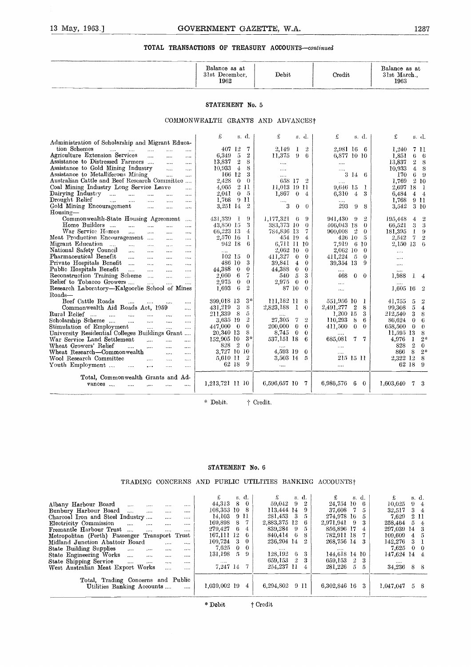| _________ | Balance as at<br>31st<br>December,<br>1962 | Debit<br><b>A THE THE WARD OF REPORT FOR DRIVING WITH</b> | Credit | Balance as at<br>31st March.,<br>1963<br>______ |
|-----------|--------------------------------------------|-----------------------------------------------------------|--------|-------------------------------------------------|
|           |                                            |                                                           |        |                                                 |

#### **STATEMENT** No. 5

|                                                                                                                           |                                                  | Balance as at<br>31st December,<br>1962   | Debit                                         | Credit                              | Balance as at<br>31st March.,<br>1963        |
|---------------------------------------------------------------------------------------------------------------------------|--------------------------------------------------|-------------------------------------------|-----------------------------------------------|-------------------------------------|----------------------------------------------|
|                                                                                                                           |                                                  | STATEMENT No. 5                           |                                               |                                     |                                              |
|                                                                                                                           |                                                  | COMMONWEALTH GRANTS AND ADVANCES?         |                                               |                                     |                                              |
| Administration of Scholarship and Migrant Educa-                                                                          |                                                  | £<br>s. d.                                | £<br>s. d.                                    | £<br>s. d.                          | £<br>s. d.                                   |
| tion Schemes                                                                                                              |                                                  | 407 12<br>7                               | 2,149<br>$\overline{2}$                       | 2,981 16 6                          | 1.240                                        |
| $\bar{\mathcal{L}}$<br>$\sim 10^{-10}$<br>$\sim 100$<br>$\sim$<br>Agriculture Extension Services<br>$\ddotsc$<br>$\cdots$ | $\sim$                                           | 6,349<br>$\ddot{\circ}$<br>$\overline{2}$ | 1<br>11,375<br>$9 -$<br>6                     | 6,877 10 10                         | 7 11<br>1.851<br>$6\quad 6$                  |
| Assistance to Distressed Farmers<br>$\sim$                                                                                | $\cdots$                                         | 13.837<br>$\overline{2}$<br>8             |                                               |                                     | 13,837<br>28                                 |
| Assistance to Gold Mining Industry                                                                                        | $\cdots$                                         | 10.933 4<br>8                             | $\cdots$                                      | $\cdots$                            | $4 \quad 8$                                  |
| $\ddotsc$<br>Assistance to Metalliferous Mining                                                                           | $\mathcal{L}_{\mathbf{1},\mathbf{2},\mathbf{3}}$ | 166 12<br>3                               | $\ldots$                                      |                                     | 10,933<br>$6-9$<br>170                       |
| $\sim$<br>Australian Cattle and Beef Research Committee                                                                   | $\cdots$                                         | 2.428<br>$\mathbf{0}$<br>$\theta$         | $\cdots$<br>658 17 2                          | 3 14 6                              | 1,769<br>210                                 |
|                                                                                                                           |                                                  | 2 11                                      |                                               | $\cdots$                            |                                              |
| Coal Mining Industry Long Service Leave<br>Dairying Industry                                                              | $\cdots$                                         | 4.065<br>2.041<br>$\mathbf{0}$<br>- 5     | 11,013 19 11                                  | 9,646 15<br>-1<br>3                 | 2,697 18 1<br>6.484<br>$4\quad 4$            |
| $\cdots$<br>$\cdots$<br>Drought Relief<br>$\ddotsc$                                                                       | $\cdots$                                         | 1.768<br>911                              | $1,867 \quad 0$<br>$\overline{4}$             | 6,310<br>$\bf 4$                    | 1.768<br>911                                 |
| $\sim 10^{-1}$<br>$\ldots$<br>$\cdots$<br>Gold Mining Encouragement                                                       | $\sim$ $\sim$                                    | 3,251 14<br>$\overline{2}$                | 3<br>$\theta$<br>$\theta$                     | 293<br>9<br>8                       | 3,542<br>3 10                                |
| $\mathbf{r}$<br>$\overline{a}$<br>$Housing-$                                                                              | $\ldots$                                         |                                           |                                               |                                     |                                              |
| Commonwealth-State Housing Agreement                                                                                      |                                                  | 431,339<br>- 1<br>9                       | $1,177,321$ 6<br>- 9                          | 941,430 9<br>$\overline{2}$         | 195,448<br>4<br>$\frac{2}{2}$                |
| Home Builders<br>$\cdots$<br>$\sim$<br>$\dddotsc$                                                                         | $\sim$<br>$\cdots$                               | 43,850 15<br>3                            | 383,373 10<br>$\theta$                        | 406,043 18<br>$\theta$              | 66.521<br>3 <sup>3</sup>                     |
| War Service Homes<br>$\ddotsc$<br>$\cdots$<br>$\ddotsc$                                                                   | $\dddotsc$                                       | 66,223 13<br>$\overline{4}$               | 784,836 13<br>7                               | 900,008<br>$-2$<br>$\theta$         | 181,395<br>$1 - 9$                           |
| Meat Production Encouragement<br>$\cdots$                                                                                 | $\cdots$                                         | 2,570 16<br>T.                            | 454 19<br>$\overline{4}$                      | 426 10<br>$\sqrt{5}$                | 2,542 7 2                                    |
| Migrant Education<br>$\ddotsc$<br>$\cdots$                                                                                |                                                  | 942 18<br>6                               | 6,711 11 10                                   | 7,919 6 10                          | 2,150 13 6                                   |
| National Safety Council<br>$\cdots$<br>$\cdots$<br>$\cdots$                                                               |                                                  | $\cdots$                                  | 2,062 10<br>$\overline{0}$                    | 2.062 10<br>$\theta$                | .                                            |
| Pharmaceutical Benefit<br>$\cdots$<br>$\cdots$<br>$\cdots$                                                                | $\ldots$                                         | $102$ 15<br>$\theta$                      | 411.327<br>$\bf{0}$<br>$\theta$               | 411,224<br>- 5<br>$\Omega$          |                                              |
| Private Hospitals Benefit<br>$\ddots$<br>$\dddotsc$                                                                       | $\cdots$                                         | 486 10<br>3                               | 39,841<br>$\overline{4}$<br>$\bf{0}$          | 39,354 13<br>9                      | $\ldots$                                     |
| Public Hospitals Benefit<br>$\dddotsc$<br>$\cdots$<br>$\cdots$                                                            | $\cdots$                                         | 44.388<br>$\overline{0}$<br>$\theta$      | 44.388<br>$\theta$<br>$\theta$                |                                     | .                                            |
| Reconstruction Training Scheme<br>$\cdots$                                                                                | $\cdots$                                         | $\overline{7}$<br>-6<br>2.060             | $\tilde{D}$<br>3<br>540                       | 468<br>$0 \quad 0$                  | 1,988<br>$1\quad4$                           |
| Relief to Tobacco Growers<br>$\cdots$                                                                                     |                                                  | 2.975<br>$\theta$<br>$\Omega$             | 2,975<br>$\overline{\phantom{0}}$<br>$\theta$ |                                     |                                              |
| Research Laboratory-Kalgoorlie School of Mines                                                                            |                                                  | $\overline{2}$<br>1,693<br>6              | 87 10<br>$\theta$                             | $\ldots$                            | 1,605 16<br>$-2$                             |
| Roads-                                                                                                                    |                                                  |                                           |                                               |                                     |                                              |
| Beef Cattle Roads<br>$\ddotsc$<br>$\cdots$                                                                                | $\cdots$                                         | 399,018 13<br>$3*$                        | 111,182 11<br>8                               | 551,956 10<br>1                     | 41,755<br>5<br>2                             |
| Commonwealth Aid Roads Act, 1959                                                                                          | $\cdots$                                         | 3<br>8<br>431,219                         | 2,823,188 1<br>$\theta$                       | 2.491.277<br>$\boldsymbol{2}$<br>-8 | 99.308<br>5<br>$\overline{4}$                |
| Rural Relief<br>$\mathbf{1}$<br>$\ddotsc$<br>$\cdots$<br>$\mathbf{1}$                                                     | $\cdots$                                         | 211.339 8<br>5                            |                                               | 1.200 15<br>3                       | 212,540<br>3<br>-8                           |
| Scholarship Scheme<br>$\ddotsc$<br>$\ddotsc$<br>$\ddotsc$                                                                 | $\ldots$                                         | $\overline{2}$<br>3,635 19                | 27.305<br>$\sqrt{7}$<br>$\overline{2}$        | 110.293<br>8<br>6                   | 86,624<br>$\theta$<br>- 6                    |
| Stimulation of Employment                                                                                                 | $\cdots$                                         | 447,000<br>$\overline{0}$<br>$\bf{0}$     | 200,000<br>$\overline{0}$<br>$\theta$         | 411,500<br>$\theta$<br>$\theta$     | 658,500<br>$\overline{\ }$<br>$\overline{0}$ |
| University Residential Colleges Buildings Grant                                                                           |                                                  | 20,340 13<br>8                            | 8,745<br>$\overline{\phantom{0}}$<br>$\bf{0}$ |                                     | 11,595 13<br>8                               |
| War Service Land Settlement<br>$\ldots$<br>$\cdots$                                                                       |                                                  | $3*$<br>152,905 10                        | 537,151 18<br>-6                              | 685,081<br>7 7                      | $2*$<br>4,976<br>-1                          |
| Wheat Growers' Relief<br>$\cdots$<br>$\cdots$<br>                                                                         |                                                  | $\overline{2}$<br>$\Omega$<br>828         |                                               | .                                   | $\overline{2}$<br>$\theta$<br>828            |
| Wheat Research-Commonwealth<br>$\cdots$                                                                                   | $\cdots$                                         | 3,727 10 10                               | 4.593 19<br>$\bf{0}$                          | $\cdots$                            | $2*$<br>866<br>-8                            |
| Wool Research Committee<br>$\cdots$<br>$\cdots$                                                                           | $\cdots$                                         | 5,610 11<br>$\overline{2}$                | 3,503 14<br>-5                                | 215 15 11                           | 2,322 12<br>-8                               |
| Youth Employment<br>$\ddotsc$<br>$\cdots$<br>                                                                             | $\cdots$                                         | $\Omega$<br>62 18                         | $\cdots$                                      |                                     | 62 18<br>$\cdot$ 9                           |
|                                                                                                                           |                                                  |                                           |                                               |                                     |                                              |
| Total, Commonwealth Grants and Ad-                                                                                        |                                                  |                                           |                                               |                                     |                                              |
| vances<br>$\sim$ $\sim$<br>$\sim 100$<br>$\ddotsc$                                                                        | $\cdots$                                         | 1,213,721 11 10                           | 6,596,657 10 7                                | 6,986,576 6 0                       | $1,603,640$ 7 3                              |
|                                                                                                                           |                                                  |                                           |                                               |                                     |                                              |
|                                                                                                                           |                                                  |                                           |                                               |                                     |                                              |
|                                                                                                                           |                                                  | * Debit.                                  | † Credit.                                     |                                     |                                              |
|                                                                                                                           |                                                  |                                           |                                               |                                     |                                              |

#### **STATEMENT No. 6**

#### TRADING CONCERNS AND PUBLIC UTILITIES BANKING ACCOUNTSI

|                                                                                                                                                                                                                                                                                                                                                                                                                                                                                                                                                                                                                  | * Debit.                                                                                                                                                                                                                      | † Credit.                                                                                                                                                                                                                                                                                                                                                                      |                                                                                                                                                                                                                                    |                                                                                                                                                                                                                                                             |
|------------------------------------------------------------------------------------------------------------------------------------------------------------------------------------------------------------------------------------------------------------------------------------------------------------------------------------------------------------------------------------------------------------------------------------------------------------------------------------------------------------------------------------------------------------------------------------------------------------------|-------------------------------------------------------------------------------------------------------------------------------------------------------------------------------------------------------------------------------|--------------------------------------------------------------------------------------------------------------------------------------------------------------------------------------------------------------------------------------------------------------------------------------------------------------------------------------------------------------------------------|------------------------------------------------------------------------------------------------------------------------------------------------------------------------------------------------------------------------------------|-------------------------------------------------------------------------------------------------------------------------------------------------------------------------------------------------------------------------------------------------------------|
|                                                                                                                                                                                                                                                                                                                                                                                                                                                                                                                                                                                                                  |                                                                                                                                                                                                                               |                                                                                                                                                                                                                                                                                                                                                                                |                                                                                                                                                                                                                                    |                                                                                                                                                                                                                                                             |
|                                                                                                                                                                                                                                                                                                                                                                                                                                                                                                                                                                                                                  |                                                                                                                                                                                                                               |                                                                                                                                                                                                                                                                                                                                                                                |                                                                                                                                                                                                                                    |                                                                                                                                                                                                                                                             |
|                                                                                                                                                                                                                                                                                                                                                                                                                                                                                                                                                                                                                  | STATEMENT No. 6                                                                                                                                                                                                               |                                                                                                                                                                                                                                                                                                                                                                                |                                                                                                                                                                                                                                    |                                                                                                                                                                                                                                                             |
|                                                                                                                                                                                                                                                                                                                                                                                                                                                                                                                                                                                                                  |                                                                                                                                                                                                                               | TRADING CONCERNS AND PUBLIC UTILITIES BANKING ACCOUNTS+                                                                                                                                                                                                                                                                                                                        |                                                                                                                                                                                                                                    |                                                                                                                                                                                                                                                             |
| Albany Harbour Board<br>$\cdots$<br>$\cdots$<br>Bunbury Harbour Board<br>$\mathbf{L}$<br>$\cdots$<br><br>Charcoal Iron and Steel Industry<br>Electricity Commission<br>$\cdots$<br>$\cdots$<br>$\cdots$<br>Fremantle Harbour Trust<br>$\cdots$<br>$\cdots$<br>$\cdots$<br>Metropolitan (Perth) Passenger Transport Trust<br>Midland Junction Abattoir Board<br>$\cdots$<br>State Building Supplies<br>$\sim$<br>$\cdots$<br>$\cdots$<br>State Engineering Works<br>$\cdots$<br>$\cdots$<br>$\cdots$<br>State Shipping Service<br>$\cdots$<br>$\cdots$<br>$\sim$<br>West Australian Meat Export Works<br>$\cdots$ | £<br>44,313<br>8<br>$\cdots$<br>108,353 10<br><br>14,103<br>.<br>169,898<br>8<br><br>279,427<br>6<br><br>167,111 12<br>109,724<br>3<br><br>7,625<br>$\bf{0}$<br><br>$\sqrt{2}$<br>131,198<br><br><br>$\cdots$<br>7,247 14<br> | £<br>s. d.<br>s. d.<br>9<br>$\boldsymbol{2}$<br>$\bf{0}$<br>59,042<br>113,444 14<br>8<br>9<br>9 11<br>281,453<br>- 3<br>5<br>7<br>2,883,375 12<br>6<br>839,284 9<br>$\overline{4}$<br>5<br>840,414 6<br>8<br>6<br>236,204 14<br>$\overline{2}$<br>$\bf{0}$<br>$\bf{0}$<br>$\Omega$<br>128,192<br>3<br>-6<br>659,153<br>$\frac{1}{2}$<br>3<br>254,237 11<br>7<br>$\overline{4}$ | £<br>s. d.<br>24,754 10<br>-6<br>37,608<br>7<br>5<br>274,978 16<br>5<br>2,971,941<br>-9<br>3<br>856,896 17<br>4<br>782,911 18<br>7<br>268,756 14<br>144,618 14 10<br>$\overline{2}$<br>659,153<br>3<br>5<br>281,226<br>$\tilde{p}$ | £<br>s. d.<br>10,025<br>94<br>34<br>32,517<br>$\mathbf{2}$<br>7,629<br>11<br>258,464<br>5<br>4<br>297,039 14<br>-3<br>$\sqrt{5}$<br>109,609<br>4<br>3<br>142,276<br>1<br>7,625<br>$\theta$<br>$\theta$<br>147,624 14<br>$\overline{4}$<br><br>8 8<br>34,236 |
| Total, Trading Concerns and Public<br>Utilities Banking Accounts                                                                                                                                                                                                                                                                                                                                                                                                                                                                                                                                                 | $1,039,002$ 19<br>                                                                                                                                                                                                            | 6,294,802<br>9 11<br>4                                                                                                                                                                                                                                                                                                                                                         | 6,302,846 16<br>-3                                                                                                                                                                                                                 | 1,047,047<br>58                                                                                                                                                                                                                                             |
|                                                                                                                                                                                                                                                                                                                                                                                                                                                                                                                                                                                                                  | * Debit                                                                                                                                                                                                                       | † Credit                                                                                                                                                                                                                                                                                                                                                                       |                                                                                                                                                                                                                                    |                                                                                                                                                                                                                                                             |
|                                                                                                                                                                                                                                                                                                                                                                                                                                                                                                                                                                                                                  |                                                                                                                                                                                                                               |                                                                                                                                                                                                                                                                                                                                                                                |                                                                                                                                                                                                                                    |                                                                                                                                                                                                                                                             |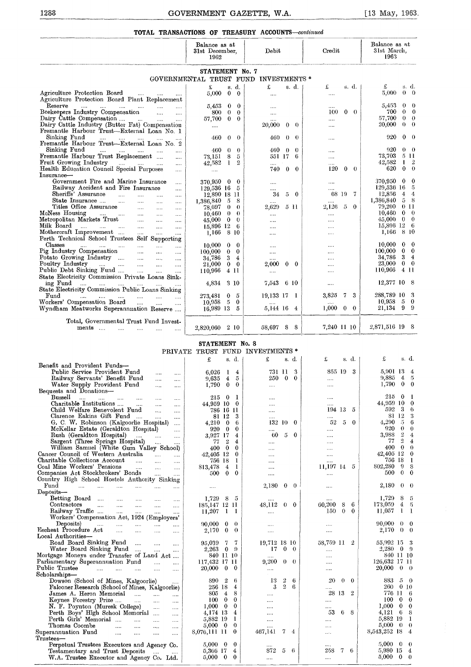| 1288                                                                                                                    | GOVERNMENT GAZETTE, W.A.                                 |                                  |                      |                    |               |                          | [13 May, 1963                        |                                             |
|-------------------------------------------------------------------------------------------------------------------------|----------------------------------------------------------|----------------------------------|----------------------|--------------------|---------------|--------------------------|--------------------------------------|---------------------------------------------|
| TOTAL TRANSACTIONS OF TREASURY ACCOUNTS-continued                                                                       |                                                          |                                  |                      |                    |               |                          |                                      |                                             |
|                                                                                                                         | Balance as at<br>31st December,<br>1962                  |                                  | Debit                |                    |               | Credit                   | Balance as at<br>31st March,<br>1963 |                                             |
|                                                                                                                         | STATEMENT No. 7<br>GOVERNMENTAL TRUST FUND INVESTMENTS * |                                  |                      |                    |               |                          |                                      |                                             |
|                                                                                                                         |                                                          |                                  |                      |                    |               |                          | £                                    |                                             |
| Agriculture Protection Board<br>and the contract of the state.<br>Agriculture Protection Board Plant Replacement        | £<br>5,000                                               | s. d.<br>$\bf{0}$<br>$\bf{0}$    | £<br>$\cdots$        |                    | s. d.         | £<br>s. d.<br>$\cdots$   | 5,000                                | s d<br>$0 \quad 0$                          |
| Reserve<br>المتناد المتناد المتداد المتداد المتداد<br>$\cdots$                                                          | 5,453                                                    | $\bf{0}$<br>0                    | $\cdots$             |                    |               | $\cdots$                 | 5,453                                | $\mathbf{0}$<br>$\theta$                    |
| Beekeepers Industry Compensation<br>$\cdots$<br>Dairy Cattle Compensation                                               | 800                                                      | $\bf{0}$<br>$\theta$<br>$\theta$ | $\cdots$             |                    |               | 100<br>$0\quad 0$        | 700<br>57,700                        | 0<br>$\Omega$<br>$\overline{0}$<br>$\theta$ |
| $\sim$ $\sim$ $\sim$<br>Dairy Cattle Industry (Butter Fat) Compensation<br>Fremantle Harbour Trust-External Loan No. 1  | 57,700<br>$\cdots$                                       | $\bf{0}$                         | 20,000               | $0 \quad 0$        |               | $\cdots$                 | 20,000                               | 0<br>$\bf{0}$                               |
| Sinking Fund<br><b>Service</b> Contractor<br>$\cdots$<br>$\sim$                                                         | 460                                                      | $\theta$<br>$\theta$             | 460                  | $\theta$           | $\theta$      | $\cdots$                 | 920                                  | $0 \quad 0$                                 |
| Fremantle Harbour Trust-External Loan No. 2                                                                             |                                                          |                                  |                      |                    |               |                          |                                      | $0 \quad 0$                                 |
| Sinking Fund<br>and the company of the company of<br>Fremantle Harbour Trust Replacement                                | 460<br>73,151                                            | $\theta$<br>$\bf{0}$<br>8<br>5   | 460                  | $\theta$<br>551 17 | $\theta$<br>6 |                          | 920<br>73,703                        | 5 11                                        |
| $\cdots$<br>Fruit Growing Industry<br>التبيان المتبادر المتنا<br>$\cdots$                                               | 42,582                                                   | 1<br>2                           | $\sim$ .             |                    |               | <br>                     | 42,582                               | 1<br>-2                                     |
| Health Education Council Special Purposes<br>$\sim 100$                                                                 | $\cdots$                                                 |                                  |                      | 740 0 0            |               | 120<br>$\bf{0}$<br>- 0   | 620                                  | $\bf{0}$<br>$\theta$                        |
| Insurance-                                                                                                              |                                                          |                                  |                      |                    |               |                          |                                      |                                             |
| Government Fire and Marine Insurance<br>$\cdots$                                                                        | 370,950                                                  | $\bf{0}$<br>$\bf{0}$             | $\ldots$             |                    |               |                          | 370,950                              | $\bf{0}$<br>- 0                             |
| Railway Accident and Fire Insurance<br>$\ldots$                                                                         | 129,536 16 5                                             |                                  |                      |                    |               | $\cdots$                 | 129,536 16                           | - 5                                         |
| Sheriffs' Assurance<br><b>Contractor</b><br>$\cdots$<br>$\sim 100$ and $\sim 100$<br>$\sim 100$                         | 12,890 18 11                                             |                                  | 34                   | $5\quad 0$         |               | 68 19<br>- 7             | 12,856                               | $\overline{4}$<br>$4 -$                     |
| State Insurance<br>$\cdots$<br>$\sim$ . $\sim$<br>$\sim$ $\sim$<br>Titles Office Assurance                              | 1,386,840                                                | 8<br>- 5                         | $\cdots$             |                    |               | $\cdots$                 | 1,386,840<br>79,200                  | 58<br>$0\,11$                               |
| $\sim 100$<br>$\sim 100$<br>McNess Housing<br>and the company of the company                                            | 78,697<br>$10.460 \quad 0$                               | $\bf{0}$<br>$\theta$<br>$\theta$ | $2{,}629$            | 5 11               |               | 2,126<br>-5<br>$\bf{0}$  | 10,460                               | $0 \quad 0$                                 |
| $\cdots$<br>$\sim$<br>Metropolitan Markets Trust<br><b>Contract</b><br>$\cdots$<br>$\cdots$                             | 45,000                                                   | $\mathbf{0}$<br>$\bf{0}$         | $\cdots$<br>$\cdots$ |                    |               | $\cdots$<br>$\cdots$     | 45,000                               | $0 \quad 0$                                 |
| Milk Board<br>$\mathbf{r}$ and $\mathbf{r}$ are associated to the set of $\mathbf{r}$<br>$\sim$<br>$\sim$<br>$\sim 100$ | 15,896 12                                                | - 6                              | $\cdots$             |                    |               |                          | 15,896 12 6                          |                                             |
| Mothercraft Improvement<br>$\cdots$<br>$\cdots$                                                                         | 1,166                                                    | -8-10                            | $\cdots$             |                    |               | $\cdots$                 | 1,166                                | 8 10                                        |
| Perth Technical School Trustees Self Supporting                                                                         |                                                          |                                  |                      |                    |               |                          |                                      |                                             |
| Classes<br>and the man of the state<br>$\cdots$<br>$\cdots$<br>$\cdots$                                                 | 10,000                                                   | $\bf{0}$<br>$\bf{0}$             | $\cdots$             |                    |               | $\cdots$                 | 10,000                               | $0\quad 0$                                  |
| Pig Industry Compensation<br>$\cdots$<br>$\ldots$<br>$\sim$                                                             | 100,000                                                  | $\bf{0}$<br>$\bf{0}$             | $\cdots$             |                    |               |                          | 100,000                              | $0\quad 0$                                  |
| Potato Growing Industry<br>$\sim$ 1000 $\mu$<br>$\cdots$                                                                | 34,786                                                   | 3<br>4                           | $\cdots$             |                    |               | $\cdots$                 | 34,786                               | 34                                          |
| Poultry Industry<br>التبيدات التبيدات التبيدات التبيدات<br>$\ldots$<br>Public Debt Sinking Fund                         | 21,000                                                   | $\bf{0}$<br>$\bf{0}$             | 2,000                | $0\quad 0$         |               |                          | 23,000<br>110,966                    | $0\quad 0$<br>411                           |
| $\dots$ .<br>State Electricity Commission Private Loans Sink-                                                           | 110,966                                                  | 4 11                             | $\cdots$             |                    |               |                          |                                      |                                             |
| ing Fund<br>and the same state of the state of the                                                                      | 4,834                                                    | 3 10                             | $7{,}543$            | 610                |               | $\cdots$                 | 12,377 10 8                          |                                             |
| State Electricity Commission Public Loans Sinking                                                                       |                                                          |                                  |                      |                    |               |                          |                                      |                                             |
| Fund<br>المتقادم المتنفر المتفقين<br>$\cdots$<br>$\cdots$<br>$\sim$                                                     | 273,481                                                  | $\bf{0}$<br>5                    | 19,133 17 1          |                    |               | 3,825<br>3<br>7          | 288,789 10 3                         |                                             |
| Workers' Compensation Board<br>$\cdots$<br>$\sim 100$<br>$\sim$                                                         | 10,958                                                   | 5<br>$\bf{0}$                    |                      |                    |               |                          | 10,958                               | 5 0                                         |
| Wyndham Meatworks Superannuation Reserve                                                                                | 16,989 13                                                | -5                               | 5,144 16 4           |                    |               | 1,000<br>$\bf{0}$<br>- 0 | 21,134 9 9                           |                                             |
|                                                                                                                         |                                                          |                                  |                      |                    |               |                          |                                      |                                             |
| Total, Governmental Trust Fund Invest-<br>ments<br>$\cdots$                                                             | 2,820,060 2 10                                           |                                  | 58,697 8             |                    | - 8           | 7,240 11 10              | 2,871,516 19 8                       |                                             |
|                                                                                                                         |                                                          |                                  |                      |                    |               |                          |                                      |                                             |
|                                                                                                                         | STATEMENT No. 8                                          |                                  |                      |                    |               |                          |                                      |                                             |
|                                                                                                                         | PRIVATE TRUST FUND INVESTMENTS *                         |                                  |                      |                    |               |                          |                                      |                                             |
|                                                                                                                         | £                                                        | s. d.                            | £                    | s. d.              |               | £<br>s. d.               | £                                    | s. d.                                       |
| Benefit and Provident Funds-                                                                                            |                                                          |                                  |                      |                    |               |                          |                                      |                                             |
| Public Service Provident Fund<br>$\cdots$<br>$\sim$ $\sim$                                                              | $6{,}026$                                                | 1<br>$\overline{4}$              |                      | 731 11             | 3             | 855 19<br>-3             | 5,901 13 4                           |                                             |
| Railway Servants' Benefit Fund<br><br>$\cdots$                                                                          | 9,635                                                    | 4<br>5                           | 250                  | $\bf{0}$           | $\bf{0}$      |                          | 9,885<br>1.790                       | 45<br>$0\quad 0$                            |
| Water Supply Provident Fund<br><br><br>Bequests and Donations-                                                          | 1,790                                                    | $\bf{0}$<br>$\bf{0}$             |                      |                    |               |                          |                                      |                                             |
| Bussell                                                                                                                 | 215                                                      | -1<br>$\bf{0}$                   |                      |                    |               | $\cdots$                 | 215<br>0                             | $\mathbf{I}$                                |
| <br><br>Charitable Institutions<br>$\cdots$<br><br>                                                                     | 44,959 10                                                | $\bf{0}$                         |                      |                    |               |                          | 44,959 10 0                          |                                             |
| Child Welfare Benevolent Fund<br>$\cdots$<br>                                                                           | 786 16 11                                                |                                  | $\cdots$             |                    |               | 194 13<br>5              | 592                                  | 3<br>-6                                     |
| Clarence Eakins Gift Fund<br>$\cdots$<br>                                                                               | 81 12                                                    | 3                                |                      |                    |               | $\cdots$                 | 81 12                                | 3                                           |
| G. C. W. Robinson (Kalgoorlie Hospital)<br>                                                                             | $4,210$ 0                                                | 6                                |                      | 132 10 0           |               | 52<br>5<br>$\bf{0}$      | 4,290                                | -5 -<br>6                                   |
| McKellar Estate (Geraldton Hospital)<br>                                                                                | 920 0                                                    | $\bf{0}$                         |                      |                    |               |                          | 920                                  | $\mathbf{0}$<br>$\bf{0}$                    |
| Rush (Geraldton Hospital)<br>                                                                                           | 3,927 17                                                 | 4                                |                      | $60\quad 5\quad 0$ |               |                          | 3,988                                | $2 -$<br>$\boldsymbol{4}$                   |

|                                                                                   |            |                 |                |          | PRIVATE TRUST FUND INVESTMENTS * |                |               |           |                            |                                       |
|-----------------------------------------------------------------------------------|------------|-----------------|----------------|----------|----------------------------------|----------------|---------------|-----------|----------------------------|---------------------------------------|
|                                                                                   |            | £               |                | s. d.    | £                                |                | s. d.         | £         | s. d.                      | £<br>s. d.                            |
| Benefit and Provident Funds-                                                      |            |                 |                |          |                                  |                |               |           |                            |                                       |
| Public Service Provident Fund<br>$\cdots$                                         | $\cdots$   | 6.026           | -1             | 4        | 731 11                           |                | 3             | 855 19    | 3                          | 5,901 13 4                            |
| Railway Servants' Benefit Fund<br>$\cdots$                                        |            | 9,635           | $\overline{4}$ | 5        | 250                              | $\bf{0}$       | $\bf{0}$      |           |                            | 4<br>9,885<br>- 5                     |
| Water Supply Provident Fund<br>$\cdots$                                           | $\cdots$   | 1,790           | $\bf{0}$       | $\bf{0}$ |                                  |                |               |           |                            | $0\quad 0$<br>1,790                   |
| Bequests and Donations-                                                           |            |                 |                |          |                                  |                |               |           |                            |                                       |
| Bussell<br>$\cdots$<br>$\cdots$<br>$\cdots$<br>$\cdots$<br>$\cdots$               | $\cdots$   | 215             | $\bf{0}$       | 1        |                                  |                |               | $\cdots$  |                            | 215<br>0<br>-1                        |
| Charitable Institutions<br>$\cdots$<br>$\cdots$                                   |            | 44,959 10       |                | $\bf{0}$ |                                  |                |               |           |                            | 44,959 10<br>$\overline{\phantom{0}}$ |
| Child Welfare Benevolent Fund<br>$\cdots$                                         |            | 786 16          |                | -11      | $\ldots$                         |                |               | 194 13    | 5                          | 3<br>592<br>6                         |
| Clarence Eakins Gift Fund<br>$\ldots$<br>$\cdots$                                 | $\cdots$   |                 | 81 12          | 3        |                                  |                |               |           |                            | 81 12<br>3                            |
| G. C. W. Robinson (Kalgoorlie Hospital)                                           | $\cdots$   | 4,210           | $\bf{0}$       | 6        | 132 10                           |                | - 0           | 52        | $\mathfrak{H}$<br>$\bf{0}$ | 5<br>6<br>4,290                       |
| McKellar Estate (Geraldton Hospital)                                              | $\cdots$   | 920             | $\bf{0}$       | $\bf{0}$ |                                  |                |               |           |                            | $\theta$<br>920<br>$\theta$           |
| Rush (Geraldton Hospital)<br><b>Service</b><br>$\cdots$                           |            | 3,927 17        |                | 4        | 60                               | 5              | $\bf{0}$      |           |                            | $\,2$<br>3.988<br>$\bf{4}$            |
| Sargent (Three Springs Hospital)<br>$\mathbf{r}_{\mathbf{r}}$                     |            | 77              | $\overline{2}$ | 4        |                                  |                |               | $\cdots$  |                            | $\overline{2}$<br>77<br>$\bf{4}$      |
| William Samuel (White Gum Valley School)                                          |            | 400             | $\bf{0}$       | $\bf{0}$ |                                  |                |               | $\cdots$  |                            | $\bf{0}$<br>400<br>$\theta$           |
| Cancer Council of Western Australia<br>$\ldots$                                   |            | 42.405 12       |                | $\bf{0}$ | $\cdots$                         |                |               |           |                            | 42,405 12<br>$\bf{0}$                 |
| Charitable Collections Account<br>$\cdots$<br>$\mathbf{r}$                        | $\ddotsc$  | 756 18          |                | 1        |                                  |                |               | $\cdots$  |                            | 18<br>756<br>- 1                      |
| Coal Mine Workers' Pensions<br>$\cdots$<br>$\mathbf{r}$                           | $\cdots$   | 813,478         | 4              | 1        | $\cdots$                         |                |               | 11,197 14 | 5                          | 802,280<br>9<br>8                     |
| Companies Act Stockbrokers' Bonds<br>$\cdots$                                     |            | 500             | $\bf{0}$       | $\bf{0}$ |                                  |                |               |           |                            | $0 \quad 0$<br>500                    |
| Country High School Hostels Authority Sinking                                     |            |                 |                |          |                                  |                |               |           |                            |                                       |
| Fund<br><b>Castle Committee</b><br>$\cdots$<br>$\cdots$<br>$\cdots$<br>$\sim 100$ | $\sim 100$ | $\cdots$        |                |          | 2,180                            | $\bf{0}$       | $\theta$      |           |                            | 2,180<br>0<br>- 0                     |
| Deposits-                                                                         |            |                 |                |          |                                  |                |               |           |                            |                                       |
| Betting Board<br>$\cdots$<br>$\cdots$<br>$\cdots$                                 | $\cdots$   | 1.729           | 8              | 5        |                                  |                |               |           |                            | 8<br>1,729<br>-5                      |
| Contractors<br>$\cdots$<br>$\cdots$<br>$\sim$<br>$\cdots$                         | $\cdots$   | 185.147 12 11   |                |          | 48,112 0 0                       |                |               | 60,200    | 6<br>8                     | 173.059<br>4<br>- 5                   |
| Railway Traffic<br>and the same<br>$\sim 100$                                     | $\cdots$   | 11,207          | -1             | - 1      |                                  |                |               | 150       | $\Omega$<br>$\theta$       | 11,057<br>1<br>$\blacksquare$         |
| Workers' Compensation Act, 1924 (Employers'                                       |            |                 |                |          |                                  |                |               |           |                            |                                       |
| Deposits)<br>$\cdots$<br>$\cdots$<br>$\cdots$<br>$\sim 10^{-11}$                  |            | 90.000          | 0              | $\theta$ |                                  |                |               |           |                            | 90,000<br>0<br>$\overline{0}$         |
| Escheat Procedure Act<br>$\cdots$<br>$\cdots$<br>                                 | $\cdots$   | 2,170           | $\bf{0}$       | $\theta$ | $\cdots$                         |                |               | $\cdots$  |                            | 2,170<br>$0\quad 0$                   |
| Local Authorities-                                                                |            |                 |                |          |                                  |                |               |           |                            |                                       |
| Road Board Sinking Fund<br>$\cdots$<br><b>College</b>                             | $\cdots$   | 95,039          | 7              | 7        | 19,712 18 10                     |                |               | 58,759 11 | -2                         | 55,992 15<br>- 3                      |
| Water Board Sinking Fund<br>$\sim$                                                | $\cdots$   | 2,263           | 0              | $\Omega$ | 17                               | $\bf{0}$       | $\theta$      |           |                            | 2.280<br>$\mathbf{0}$<br>- 9          |
| Mortgage Moneys under Transfer of Land Act                                        |            | 840 11 10       |                |          |                                  |                |               | $\cdots$  |                            | 840 11 10                             |
| Parliamentary Superannuation Fund<br>$\sim 10^{-1}$                               | $\cdots$   | 117,432 17 11   |                |          | 9,200                            |                | $0\quad 0$    | $\cdots$  |                            | 126.632 17 11                         |
| Public Trustee<br>المندار المندار المندار<br>$\sim 100$                           |            | <b>20.000</b>   | $\bf{0}$       | 0        | $\cdots$                         |                |               |           |                            | 20,000<br>$\bf{0}$<br>- 0             |
| Scholarships-                                                                     |            |                 |                |          |                                  |                |               |           |                            |                                       |
| Dowson (School of Mines, Kalgoorlie)                                              |            | 890             | -2             | 6        | 13                               | $\overline{2}$ | 6             | 20        | $\theta$<br>0              | 883<br>5<br>- 0                       |
| Falconer Research (School of Mines, Kalgoorlie)                                   |            | 256 18          |                | 4        | 3                                | $\mathbf{2}$   | 6             |           |                            | 260<br>0 <sub>10</sub>                |
| James A. Heron Memorial                                                           | $\cdots$   | 805             | 4              | 8        | $\cdots$                         |                |               | 28 13     | $\overline{2}$             | 776 11<br>-6                          |
| Keynes Forestry Prize<br><b>College</b><br>$\cdots$                               | $\ldots$   | 100             | $\bf{0}$       | $\bf{0}$ |                                  |                |               |           |                            | 100<br>$\bf{0}$<br>$\theta$           |
| N. F. Poynton (Muresk College)<br>$\cdots$                                        | $\sim$     | 1,000           | $\bf{0}$       | $\bf{0}$ |                                  |                |               | $\cdots$  |                            | 1.000<br>- 0<br>$\theta$              |
| Perth Boys' High School Memorial                                                  | $\cdots$   | 4,174 13        |                | 4        |                                  |                |               | 53        | 6.<br>- 8                  | 4,121<br>- 6<br>-8                    |
| Perth Girls' Memorial<br><b>College</b><br>$\cdots$                               | $\cdots$   | 5,882 19        |                | 1        |                                  |                |               |           |                            | 5,882 19<br>-1                        |
| Thomas Coombe<br>$\cdots$<br>$\cdots$<br>$\cdots$                                 | $\sim 100$ | $5,000 \quad 0$ |                | $\theta$ |                                  |                |               |           |                            | 5,000<br>$\overline{0}$<br>$\theta$   |
| Superannuation Fund<br>$\cdots$<br>$\cdots$                                       |            | 8,076,111 11    |                | $\bf{0}$ | 467,141                          | 7              | $\frac{4}{3}$ |           |                            | 8,543,252 18<br>$\bf{4}$              |
| $\cdots$<br>$\bar{\rm Tr_{11}}$ stees—                                            | $\cdots$   |                 |                |          |                                  |                |               |           |                            |                                       |
| Perpetual Trustees Executors and Agency Co.                                       |            | $5,000 \quad 0$ |                | 0        |                                  |                |               |           |                            | 5,000<br>$\overline{0}$<br>$\theta$   |
| Testamentary and Trust Deposits                                                   |            | 5,366 17        |                | 4        | 872                              | 5              | -6            | 258       | 7.<br>-6                   | 5,980 15<br>4                         |
| W.A. Trustee Executor and Agency Co. Ltd.                                         |            | 5,000           | $\mathbf{0}$   | $\theta$ | $\cdots$                         |                |               |           |                            | 5.000<br>$\theta$<br>$\theta$         |
|                                                                                   |            |                 |                |          |                                  |                |               |           |                            |                                       |
|                                                                                   |            |                 |                |          |                                  |                |               |           |                            |                                       |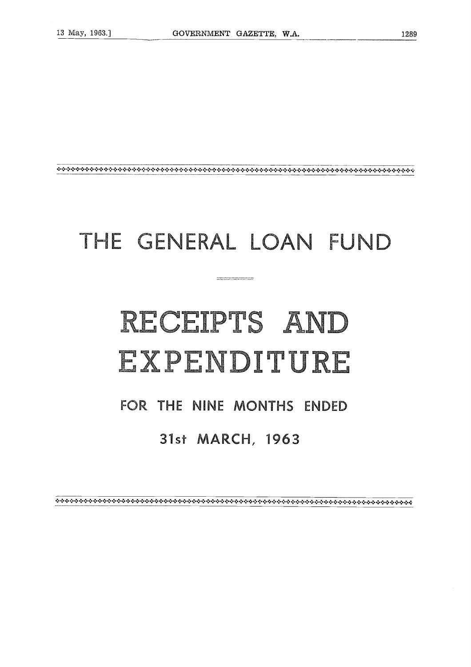### THE GENERAL LOAN FUND

## RECEIPTS AND EXPENDITURE

#### FOR THE NINE MONTHS ENDED

#### 31st MARCH, 1963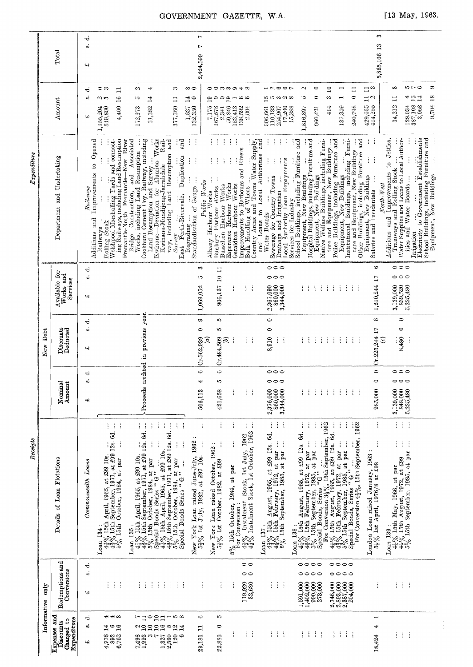| $\vec{a}$<br>5,865,166 13<br>Ņ<br>Total<br>2,424,599<br>$^{42}$<br>$\frac{1}{2}$<br>ô<br>∞⇔<br>- 900-<br>2<br>$\bullet$<br>$\Xi$<br>$\Xi$ $_{\odot}$<br>S<br>$\ddot{}$<br><b>○○☆☆ o</b> o o o o o o<br>$\blacksquare$<br>$\Xi$<br>CJ.<br>S<br>⇔ ా<br>$\Xi$<br>ರ<br>$\ddot{\circ}$<br>9,704 18<br>S.<br>$\frac{c_4}{h}$<br>$\mathbf{1}^4$<br>$\circ$<br>$\Xi$ a<br>$\overline{16}$<br>Ğ<br>$\blacksquare$<br>$\Xi$<br>ij,<br>$\sharp$<br>in 10 က ၈1 တ<br>လ တ<br>ïÖ<br>$\frac{4}{1}$<br>ల్లె<br>0<br>0<br>$\mathbf{5}$<br>ဇ ဇ<br>$\Xi$<br>Amount<br>34,212<br>429,665<br>128,034<br>387,198<br>4.400<br>377,360<br>414,255<br>3,058<br>414<br>1,637<br>132,350<br>137,359<br>240,798<br>31,382<br>59,840<br>906,661<br>110,133<br>254,967<br>17,260<br>172,373<br>$\frac{7,175}{2,341}$<br>138,592<br>2,004<br>15,388<br>1,816,897<br>960,421<br>1,155,204<br>549,890<br>183,413<br>વનર<br>$\ddot{.}$<br>Electricity to Government Establishments<br>School Buildings, including Furniture and<br>Equipment, New Buildings<br>$\vdots$<br>Buildings, including Furniture and<br>ipment, New Buildings<br>Water Supplies and Loans to Local Author-<br>Deviation for Alumina Works<br>ł<br>School Buildings, including Furniture and<br>Equipment, New Buildings<br>Furni-<br>to Jetties,<br>$0$ pened<br>Welshpool Marshalling Yards and connect-<br>ing Railways, including Land Resumption<br>New River<br>Bridge Construction, and Associated Works, including Land Resumption<br>Works, including Land Resumption<br>vekburn Cement Coy. Railway, including<br>Land Resumption and Survey<br>and<br>ł<br>ŧ<br>j<br>and<br>÷<br>Police Buildings, including Furniture and<br>Equipment, New Buildings<br>Rail-<br>Land Resumption tod<br>÷<br>ł<br>İ<br>Native Welfare Buildings, including Furni-<br>Country Areas and Towns Water Supply,<br>and Loans to Local Authorities and<br>ture and Equipment, New Buildings<br>Improvements to Harbours and Rivers<br>Bulk Handling of Wheat<br>Equipment, New Buildings<br>stitutional Buildings, including Fur<br>ture and Equipment, New Buildings<br>Duplication<br>Department and Undertaking<br>$\vdots$<br>$\vdots$<br>$\vdots$<br>Local Authority Loan Repayments<br>ţ<br>ł<br>ł<br>ŧ<br>÷<br>ŧ<br>$\boldsymbol{\mathsf{s}}$<br>Kwinana-Mundijong-Jarrahdale<br>Tramways and Rolling Stock<br>Improvements<br>Improvements<br>Haven Pous Seweras<br>Sewerage for Country Towns<br>ities and Water Boards<br>$\frac{1}{2}$<br>Standardisation of Gauge<br>Fremantle-North Fremantle-<br>Ì<br>Bunbury Harbour Works<br>Public Works<br>Esperance Harbour Works<br>North-West<br>Busselton Harbour Works<br>Geraldton Harbour Works<br>Railways<br>Equipment, New Build<br>Salaries and Incidentals<br>Albany Harbour Works<br>Drainage and Irrigation<br>Perth-Rivervale,<br>ł<br>Services for Industry<br>way, including<br>Water Boards<br>$\frac{1}{2}$<br>$\vdots$<br>Additions and<br>$_{\mathrm{and}}$<br>Rolling Stock<br>Institutional<br>Regrading<br>Railways<br>Irrigation<br>Additions<br>Kwinana-<br>Cockburn<br>Survey<br>Other<br>East<br>$\circ \circ \circ$<br>$\circ \circ \circ$<br>ల<br>c.<br>906,167 10 11<br>ಸ<br>Available for<br>Works and<br>$\vec{w}$<br>$\circ \circ \circ$<br>000<br>1,210,244 17<br>Y.<br>Services<br>$\frac{839,520}{5,225,480}$<br>3,139,000<br>$\frac{1}{2}$<br>$\frac{1}{4}$<br>$\cdot$<br>1,069,052<br>ŧ<br>$\vdots$<br>2,367,090<br>860,000<br>3,344,000<br>$\frac{1}{2}$<br>÷<br>$\frac{1}{2}$<br>÷<br>÷<br>÷<br>ļ<br>÷<br>41<br>Proceeds credited in previous year.<br>$\bullet$<br>Ġ<br>$\circ$<br>9<br>JÓ.<br>ಕ<br>i.<br>$\circ$<br>Discounts<br>Deducted<br>$\bullet$<br>$C: 225, 244$ 17<br>5<br>$\circ$<br>New Debt<br>8,480<br>Cr.562,939<br>$\mathbf{g}$<br>Cr.484,509<br>8,910<br>E)<br>ţ<br>$\frac{1}{2}$<br>$\frac{1}{2}$<br>÷<br>÷<br>÷<br>÷<br>$\mathcal{X}$<br>$\widehat{c}$<br>ŧ.<br>÷<br>÷<br>÷<br>j<br>÷<br>ŧ.<br>41<br>G<br>$\bullet$<br>$\circ \circ \circ$<br>6<br>$\circ \circ \circ$<br>ಕ<br>Nominal<br>Amount<br>œ<br>ນລ<br>985,000<br>3,139,000<br>$\frac{848,000}{5,225,480}$<br>506,113<br>2,376,000<br>860,000<br>3,344,000<br>÷<br>÷<br>÷<br>421,658<br>ŧ<br>ŧ<br>÷<br>÷<br>÷<br>÷<br>÷<br>÷<br>CH.<br>$\vdots$<br>$\left\{ \begin{array}{c} 1 \\ 1 \end{array} \right\}$<br>ţ<br>ŧ.<br>÷<br>$\cdot$<br>ŧ<br>ŧ<br>ţ<br>ţ<br>ŧ<br>÷<br>Ĵ<br>ŧ<br>ŧ.<br>÷<br>For Conversion $4\frac{1}{2}\%$ , 15th September, 1962<br>i<br>ł<br>ł<br>$4\frac{1}{4}\%$ 15th April, 1965, at £99 10s.<br>$4\frac{3}{4}\%$ 15th September, 1971, at £99 12s. 6d.<br>$5\%$ 15th October, 1984, at par<br>$\begin{tabular}{c c c} $42\sqrt{5}$ & I5th & April, 1965, at $499$ & I0s. & \\ $42\sqrt{5}$ & I5th & September, 1971, at $299$ & I2s. 6d. & \\ $5\sqrt{5}$ & I5th & October, 1984, at par\\ $5$ & Since all Bonds Series & $G$ & "\\ $44\sqrt{5}$ & I5th & Series\\ $44\sqrt{5}$ & I5th & September, 1971, at $299$ & I2s. & \\ $5\sqrt{5}$ & I5th & October, 1984, at par\\ $5\sqrt{5}$ & I5th & October, 1984, at par\\$<br>$4\frac{1}{2}\%$ Instalment Stock, 1st July, 1962<br>$4\frac{1}{2}\%$ Instalment Stock, 1st October, 1962<br>$4\frac{1}{4}\%$ 15th August, 1965, at £99 12s. 6d.<br>$4\frac{3}{4}\%$ 15th February, 1972, at par<br>$5\%$ 15th September, 1985, at par<br>$\frac{1}{2}$ ork Loan raised June-July, 1962<br>$\frac{5}{2}$ % 1st July, 1982, at £97 10s.<br>$\vdots$<br>$\vdots$<br>$\pm$ $\pm$<br>ŧ<br>ļ<br>1962.<br>London Loan raised January, 1963 :<br>$42\%$ 15th May, 1966, at par<br>$4\frac{1}{2}\%$ 15th August, 1972, at £99<br>$5\%$ 15th September, 1985, at par<br>Details of Loan Flotations<br>$5\%$ 15th October, 1984, at par<br>Special Bonds Series " $G$ "<br>5}% 1st October, 1982, at £99<br>Loans<br>York Loan raised October,<br>52% Ist April, 1976/8 at £98<br>$5\%$ 15th October, 1984, at part For Conversion:<br>Commonveatth<br>Loan 137:<br>Loan 135:<br>Loan 138:<br>$Loan$ 139:<br>Loan 134<br>New<br>New<br>Redemptions and<br>$\circ \circ \circ \circ$<br>$\circ$<br>0000<br>ಕ<br>Conversions<br>øί<br>$\circ\circ\circ$<br>$\circ$<br>0000<br>$1,591,000$<br>$1,402,000$<br>990,000<br>273,000<br>$\begin{array}{c} 2,746,000 \\ 2,893,000 \\ 2,387,000 \end{array}$<br>İ<br>÷<br>Ť<br>Ť<br>$\frac{1}{2}$<br>$\frac{1}{2}$<br>119,920<br>32,630<br>ŧ.<br>$\frac{1}{2}$<br>ĵ<br>204,000<br>÷<br>÷<br>÷<br>ŧ<br>ŧ<br>İ<br>ŧ<br>ŧ.<br>$\frac{1}{2}$<br>ŧ<br>ŧ<br>$\cdot$<br>ptao<br>વનર<br>Informative<br>211508<br>ĩO.<br>ままま<br>$\mathop{\sim}^{\mathop{\rightharpoonup}}$ 10<br>G<br>$\blacksquare$<br>ರ<br>d)<br>$\begin{array}{c} \mathfrak{a} \subseteq \mathfrak{a} \subseteq \mathfrak{a} \subseteq \mathfrak{a} \\ \mathfrak{a} \subseteq \mathfrak{a} \subseteq \mathfrak{a} \end{array}$<br>1400<br>$\circ$<br>4<br>₩<br>Ξ<br>Ĭ.<br>÷<br>$\vdots$<br>÷<br>÷<br>ŧ<br>Ť<br>ł<br>ŧ<br>÷<br>ŧ<br>÷<br>ł<br>÷<br>Ŧ<br>$\vdots$<br>÷<br>4,776<br>892<br>1493<br>1493<br>1493<br>29,181<br>22,883<br>$1,327$<br>$2,560$<br>$120$<br>18,424<br>౪ |                                                               | Receipts |  | Expenditure |   |
|-------------------------------------------------------------------------------------------------------------------------------------------------------------------------------------------------------------------------------------------------------------------------------------------------------------------------------------------------------------------------------------------------------------------------------------------------------------------------------------------------------------------------------------------------------------------------------------------------------------------------------------------------------------------------------------------------------------------------------------------------------------------------------------------------------------------------------------------------------------------------------------------------------------------------------------------------------------------------------------------------------------------------------------------------------------------------------------------------------------------------------------------------------------------------------------------------------------------------------------------------------------------------------------------------------------------------------------------------------------------------------------------------------------------------------------------------------------------------------------------------------------------------------------------------------------------------------------------------------------------------------------------------------------------------------------------------------------------------------------------------------------------------------------------------------------------------------------------------------------------------------------------------------------------------------------------------------------------------------------------------------------------------------------------------------------------------------------------------------------------------------------------------------------------------------------------------------------------------------------------------------------------------------------------------------------------------------------------------------------------------------------------------------------------------------------------------------------------------------------------------------------------------------------------------------------------------------------------------------------------------------------------------------------------------------------------------------------------------------------------------------------------------------------------------------------------------------------------------------------------------------------------------------------------------------------------------------------------------------------------------------------------------------------------------------------------------------------------------------------------------------------------------------------------------------------------------------------------------------------------------------------------------------------------------------------------------------------------------------------------------------------------------------------------------------------------------------------------------------------------------------------------------------------------------------------------------------------------------------------------------------------------------------------------------------------------------------------------------------------------------------------------------------------------------------------------------------------------------------------------------------------------------------------------------------------------------------------------------------------------------------------------------------------------------------------------------------------------------------------------------------------------------------------------------------------------------------------------------------------------------------------------------------------------------------------------------------------------------------------------------------------------------------------------------------------------------------------------------------------------------------------------------------------------------------------------------------------------------------------------------------------------------------------------------------------------------------------------------------------------------------------------------------------------------------------------------------------------------------------------------------------------------------------------------------------------------------------------------------------------------------------------------------------------------------------------------------------------------------------------------------------------------------------------------------------------------------------------------------------------------------------------------------------------------------------------------------------------------------------------------------------------------------------------------------------------------------------------------------------------------------------------------------------------------------------------------------------------------------------------------------------------------------------------------------------------------------------------------------------------------------------------------------------------------------------------------------------------------------------------------------------------------------------------------------------------------------------------------------------------------------------------------------------------------------------------------------------------------------------------------------------------------------------------------------------------------------------------------------------------------------------------------------------------------------------------------------------------------------------------------------------------------------------------------------------------------------------------------------------------------------------------------------------------------------------------------------------------------------------------------------------------------------------------------------------------------------------------------------------------------------------------------------------------------------------------------------------------------------------------------------------------------------------------------------------------------------------------------------------------------------------------------------------------|---------------------------------------------------------------|----------|--|-------------|---|
|                                                                                                                                                                                                                                                                                                                                                                                                                                                                                                                                                                                                                                                                                                                                                                                                                                                                                                                                                                                                                                                                                                                                                                                                                                                                                                                                                                                                                                                                                                                                                                                                                                                                                                                                                                                                                                                                                                                                                                                                                                                                                                                                                                                                                                                                                                                                                                                                                                                                                                                                                                                                                                                                                                                                                                                                                                                                                                                                                                                                                                                                                                                                                                                                                                                                                                                                                                                                                                                                                                                                                                                                                                                                                                                                                                                                                                                                                                                                                                                                                                                                                                                                                                                                                                                                                                                                                                                                                                                                                                                                                                                                                                                                                                                                                                                                                                                                                                                                                                                                                                                                                                                                                                                                                                                                                                                                                                                                                                                                                                                                                                                                                                                                                                                                                                                                                                                                                                                                                                                                                                                                                                                                                                                                                                                                                                                                                                                                                                                                                                                                                                                                                                                                                                                                                                                                                                                                                                                                                                                                                                           |                                                               |          |  |             |   |
|                                                                                                                                                                                                                                                                                                                                                                                                                                                                                                                                                                                                                                                                                                                                                                                                                                                                                                                                                                                                                                                                                                                                                                                                                                                                                                                                                                                                                                                                                                                                                                                                                                                                                                                                                                                                                                                                                                                                                                                                                                                                                                                                                                                                                                                                                                                                                                                                                                                                                                                                                                                                                                                                                                                                                                                                                                                                                                                                                                                                                                                                                                                                                                                                                                                                                                                                                                                                                                                                                                                                                                                                                                                                                                                                                                                                                                                                                                                                                                                                                                                                                                                                                                                                                                                                                                                                                                                                                                                                                                                                                                                                                                                                                                                                                                                                                                                                                                                                                                                                                                                                                                                                                                                                                                                                                                                                                                                                                                                                                                                                                                                                                                                                                                                                                                                                                                                                                                                                                                                                                                                                                                                                                                                                                                                                                                                                                                                                                                                                                                                                                                                                                                                                                                                                                                                                                                                                                                                                                                                                                                           | Expenses and<br>Expenditure<br>Charged to<br><b>Discounts</b> |          |  |             |   |
|                                                                                                                                                                                                                                                                                                                                                                                                                                                                                                                                                                                                                                                                                                                                                                                                                                                                                                                                                                                                                                                                                                                                                                                                                                                                                                                                                                                                                                                                                                                                                                                                                                                                                                                                                                                                                                                                                                                                                                                                                                                                                                                                                                                                                                                                                                                                                                                                                                                                                                                                                                                                                                                                                                                                                                                                                                                                                                                                                                                                                                                                                                                                                                                                                                                                                                                                                                                                                                                                                                                                                                                                                                                                                                                                                                                                                                                                                                                                                                                                                                                                                                                                                                                                                                                                                                                                                                                                                                                                                                                                                                                                                                                                                                                                                                                                                                                                                                                                                                                                                                                                                                                                                                                                                                                                                                                                                                                                                                                                                                                                                                                                                                                                                                                                                                                                                                                                                                                                                                                                                                                                                                                                                                                                                                                                                                                                                                                                                                                                                                                                                                                                                                                                                                                                                                                                                                                                                                                                                                                                                                           | پې                                                            |          |  |             | ಕ |
|                                                                                                                                                                                                                                                                                                                                                                                                                                                                                                                                                                                                                                                                                                                                                                                                                                                                                                                                                                                                                                                                                                                                                                                                                                                                                                                                                                                                                                                                                                                                                                                                                                                                                                                                                                                                                                                                                                                                                                                                                                                                                                                                                                                                                                                                                                                                                                                                                                                                                                                                                                                                                                                                                                                                                                                                                                                                                                                                                                                                                                                                                                                                                                                                                                                                                                                                                                                                                                                                                                                                                                                                                                                                                                                                                                                                                                                                                                                                                                                                                                                                                                                                                                                                                                                                                                                                                                                                                                                                                                                                                                                                                                                                                                                                                                                                                                                                                                                                                                                                                                                                                                                                                                                                                                                                                                                                                                                                                                                                                                                                                                                                                                                                                                                                                                                                                                                                                                                                                                                                                                                                                                                                                                                                                                                                                                                                                                                                                                                                                                                                                                                                                                                                                                                                                                                                                                                                                                                                                                                                                                           |                                                               |          |  |             |   |
|                                                                                                                                                                                                                                                                                                                                                                                                                                                                                                                                                                                                                                                                                                                                                                                                                                                                                                                                                                                                                                                                                                                                                                                                                                                                                                                                                                                                                                                                                                                                                                                                                                                                                                                                                                                                                                                                                                                                                                                                                                                                                                                                                                                                                                                                                                                                                                                                                                                                                                                                                                                                                                                                                                                                                                                                                                                                                                                                                                                                                                                                                                                                                                                                                                                                                                                                                                                                                                                                                                                                                                                                                                                                                                                                                                                                                                                                                                                                                                                                                                                                                                                                                                                                                                                                                                                                                                                                                                                                                                                                                                                                                                                                                                                                                                                                                                                                                                                                                                                                                                                                                                                                                                                                                                                                                                                                                                                                                                                                                                                                                                                                                                                                                                                                                                                                                                                                                                                                                                                                                                                                                                                                                                                                                                                                                                                                                                                                                                                                                                                                                                                                                                                                                                                                                                                                                                                                                                                                                                                                                                           | 6,762                                                         |          |  |             |   |
|                                                                                                                                                                                                                                                                                                                                                                                                                                                                                                                                                                                                                                                                                                                                                                                                                                                                                                                                                                                                                                                                                                                                                                                                                                                                                                                                                                                                                                                                                                                                                                                                                                                                                                                                                                                                                                                                                                                                                                                                                                                                                                                                                                                                                                                                                                                                                                                                                                                                                                                                                                                                                                                                                                                                                                                                                                                                                                                                                                                                                                                                                                                                                                                                                                                                                                                                                                                                                                                                                                                                                                                                                                                                                                                                                                                                                                                                                                                                                                                                                                                                                                                                                                                                                                                                                                                                                                                                                                                                                                                                                                                                                                                                                                                                                                                                                                                                                                                                                                                                                                                                                                                                                                                                                                                                                                                                                                                                                                                                                                                                                                                                                                                                                                                                                                                                                                                                                                                                                                                                                                                                                                                                                                                                                                                                                                                                                                                                                                                                                                                                                                                                                                                                                                                                                                                                                                                                                                                                                                                                                                           |                                                               |          |  |             |   |
|                                                                                                                                                                                                                                                                                                                                                                                                                                                                                                                                                                                                                                                                                                                                                                                                                                                                                                                                                                                                                                                                                                                                                                                                                                                                                                                                                                                                                                                                                                                                                                                                                                                                                                                                                                                                                                                                                                                                                                                                                                                                                                                                                                                                                                                                                                                                                                                                                                                                                                                                                                                                                                                                                                                                                                                                                                                                                                                                                                                                                                                                                                                                                                                                                                                                                                                                                                                                                                                                                                                                                                                                                                                                                                                                                                                                                                                                                                                                                                                                                                                                                                                                                                                                                                                                                                                                                                                                                                                                                                                                                                                                                                                                                                                                                                                                                                                                                                                                                                                                                                                                                                                                                                                                                                                                                                                                                                                                                                                                                                                                                                                                                                                                                                                                                                                                                                                                                                                                                                                                                                                                                                                                                                                                                                                                                                                                                                                                                                                                                                                                                                                                                                                                                                                                                                                                                                                                                                                                                                                                                                           |                                                               |          |  |             |   |
|                                                                                                                                                                                                                                                                                                                                                                                                                                                                                                                                                                                                                                                                                                                                                                                                                                                                                                                                                                                                                                                                                                                                                                                                                                                                                                                                                                                                                                                                                                                                                                                                                                                                                                                                                                                                                                                                                                                                                                                                                                                                                                                                                                                                                                                                                                                                                                                                                                                                                                                                                                                                                                                                                                                                                                                                                                                                                                                                                                                                                                                                                                                                                                                                                                                                                                                                                                                                                                                                                                                                                                                                                                                                                                                                                                                                                                                                                                                                                                                                                                                                                                                                                                                                                                                                                                                                                                                                                                                                                                                                                                                                                                                                                                                                                                                                                                                                                                                                                                                                                                                                                                                                                                                                                                                                                                                                                                                                                                                                                                                                                                                                                                                                                                                                                                                                                                                                                                                                                                                                                                                                                                                                                                                                                                                                                                                                                                                                                                                                                                                                                                                                                                                                                                                                                                                                                                                                                                                                                                                                                                           |                                                               |          |  |             |   |
|                                                                                                                                                                                                                                                                                                                                                                                                                                                                                                                                                                                                                                                                                                                                                                                                                                                                                                                                                                                                                                                                                                                                                                                                                                                                                                                                                                                                                                                                                                                                                                                                                                                                                                                                                                                                                                                                                                                                                                                                                                                                                                                                                                                                                                                                                                                                                                                                                                                                                                                                                                                                                                                                                                                                                                                                                                                                                                                                                                                                                                                                                                                                                                                                                                                                                                                                                                                                                                                                                                                                                                                                                                                                                                                                                                                                                                                                                                                                                                                                                                                                                                                                                                                                                                                                                                                                                                                                                                                                                                                                                                                                                                                                                                                                                                                                                                                                                                                                                                                                                                                                                                                                                                                                                                                                                                                                                                                                                                                                                                                                                                                                                                                                                                                                                                                                                                                                                                                                                                                                                                                                                                                                                                                                                                                                                                                                                                                                                                                                                                                                                                                                                                                                                                                                                                                                                                                                                                                                                                                                                                           |                                                               |          |  |             |   |
|                                                                                                                                                                                                                                                                                                                                                                                                                                                                                                                                                                                                                                                                                                                                                                                                                                                                                                                                                                                                                                                                                                                                                                                                                                                                                                                                                                                                                                                                                                                                                                                                                                                                                                                                                                                                                                                                                                                                                                                                                                                                                                                                                                                                                                                                                                                                                                                                                                                                                                                                                                                                                                                                                                                                                                                                                                                                                                                                                                                                                                                                                                                                                                                                                                                                                                                                                                                                                                                                                                                                                                                                                                                                                                                                                                                                                                                                                                                                                                                                                                                                                                                                                                                                                                                                                                                                                                                                                                                                                                                                                                                                                                                                                                                                                                                                                                                                                                                                                                                                                                                                                                                                                                                                                                                                                                                                                                                                                                                                                                                                                                                                                                                                                                                                                                                                                                                                                                                                                                                                                                                                                                                                                                                                                                                                                                                                                                                                                                                                                                                                                                                                                                                                                                                                                                                                                                                                                                                                                                                                                                           |                                                               |          |  |             |   |
|                                                                                                                                                                                                                                                                                                                                                                                                                                                                                                                                                                                                                                                                                                                                                                                                                                                                                                                                                                                                                                                                                                                                                                                                                                                                                                                                                                                                                                                                                                                                                                                                                                                                                                                                                                                                                                                                                                                                                                                                                                                                                                                                                                                                                                                                                                                                                                                                                                                                                                                                                                                                                                                                                                                                                                                                                                                                                                                                                                                                                                                                                                                                                                                                                                                                                                                                                                                                                                                                                                                                                                                                                                                                                                                                                                                                                                                                                                                                                                                                                                                                                                                                                                                                                                                                                                                                                                                                                                                                                                                                                                                                                                                                                                                                                                                                                                                                                                                                                                                                                                                                                                                                                                                                                                                                                                                                                                                                                                                                                                                                                                                                                                                                                                                                                                                                                                                                                                                                                                                                                                                                                                                                                                                                                                                                                                                                                                                                                                                                                                                                                                                                                                                                                                                                                                                                                                                                                                                                                                                                                                           |                                                               |          |  |             |   |
|                                                                                                                                                                                                                                                                                                                                                                                                                                                                                                                                                                                                                                                                                                                                                                                                                                                                                                                                                                                                                                                                                                                                                                                                                                                                                                                                                                                                                                                                                                                                                                                                                                                                                                                                                                                                                                                                                                                                                                                                                                                                                                                                                                                                                                                                                                                                                                                                                                                                                                                                                                                                                                                                                                                                                                                                                                                                                                                                                                                                                                                                                                                                                                                                                                                                                                                                                                                                                                                                                                                                                                                                                                                                                                                                                                                                                                                                                                                                                                                                                                                                                                                                                                                                                                                                                                                                                                                                                                                                                                                                                                                                                                                                                                                                                                                                                                                                                                                                                                                                                                                                                                                                                                                                                                                                                                                                                                                                                                                                                                                                                                                                                                                                                                                                                                                                                                                                                                                                                                                                                                                                                                                                                                                                                                                                                                                                                                                                                                                                                                                                                                                                                                                                                                                                                                                                                                                                                                                                                                                                                                           |                                                               |          |  |             |   |
|                                                                                                                                                                                                                                                                                                                                                                                                                                                                                                                                                                                                                                                                                                                                                                                                                                                                                                                                                                                                                                                                                                                                                                                                                                                                                                                                                                                                                                                                                                                                                                                                                                                                                                                                                                                                                                                                                                                                                                                                                                                                                                                                                                                                                                                                                                                                                                                                                                                                                                                                                                                                                                                                                                                                                                                                                                                                                                                                                                                                                                                                                                                                                                                                                                                                                                                                                                                                                                                                                                                                                                                                                                                                                                                                                                                                                                                                                                                                                                                                                                                                                                                                                                                                                                                                                                                                                                                                                                                                                                                                                                                                                                                                                                                                                                                                                                                                                                                                                                                                                                                                                                                                                                                                                                                                                                                                                                                                                                                                                                                                                                                                                                                                                                                                                                                                                                                                                                                                                                                                                                                                                                                                                                                                                                                                                                                                                                                                                                                                                                                                                                                                                                                                                                                                                                                                                                                                                                                                                                                                                                           |                                                               |          |  |             |   |
|                                                                                                                                                                                                                                                                                                                                                                                                                                                                                                                                                                                                                                                                                                                                                                                                                                                                                                                                                                                                                                                                                                                                                                                                                                                                                                                                                                                                                                                                                                                                                                                                                                                                                                                                                                                                                                                                                                                                                                                                                                                                                                                                                                                                                                                                                                                                                                                                                                                                                                                                                                                                                                                                                                                                                                                                                                                                                                                                                                                                                                                                                                                                                                                                                                                                                                                                                                                                                                                                                                                                                                                                                                                                                                                                                                                                                                                                                                                                                                                                                                                                                                                                                                                                                                                                                                                                                                                                                                                                                                                                                                                                                                                                                                                                                                                                                                                                                                                                                                                                                                                                                                                                                                                                                                                                                                                                                                                                                                                                                                                                                                                                                                                                                                                                                                                                                                                                                                                                                                                                                                                                                                                                                                                                                                                                                                                                                                                                                                                                                                                                                                                                                                                                                                                                                                                                                                                                                                                                                                                                                                           |                                                               |          |  |             |   |
|                                                                                                                                                                                                                                                                                                                                                                                                                                                                                                                                                                                                                                                                                                                                                                                                                                                                                                                                                                                                                                                                                                                                                                                                                                                                                                                                                                                                                                                                                                                                                                                                                                                                                                                                                                                                                                                                                                                                                                                                                                                                                                                                                                                                                                                                                                                                                                                                                                                                                                                                                                                                                                                                                                                                                                                                                                                                                                                                                                                                                                                                                                                                                                                                                                                                                                                                                                                                                                                                                                                                                                                                                                                                                                                                                                                                                                                                                                                                                                                                                                                                                                                                                                                                                                                                                                                                                                                                                                                                                                                                                                                                                                                                                                                                                                                                                                                                                                                                                                                                                                                                                                                                                                                                                                                                                                                                                                                                                                                                                                                                                                                                                                                                                                                                                                                                                                                                                                                                                                                                                                                                                                                                                                                                                                                                                                                                                                                                                                                                                                                                                                                                                                                                                                                                                                                                                                                                                                                                                                                                                                           |                                                               |          |  |             |   |
|                                                                                                                                                                                                                                                                                                                                                                                                                                                                                                                                                                                                                                                                                                                                                                                                                                                                                                                                                                                                                                                                                                                                                                                                                                                                                                                                                                                                                                                                                                                                                                                                                                                                                                                                                                                                                                                                                                                                                                                                                                                                                                                                                                                                                                                                                                                                                                                                                                                                                                                                                                                                                                                                                                                                                                                                                                                                                                                                                                                                                                                                                                                                                                                                                                                                                                                                                                                                                                                                                                                                                                                                                                                                                                                                                                                                                                                                                                                                                                                                                                                                                                                                                                                                                                                                                                                                                                                                                                                                                                                                                                                                                                                                                                                                                                                                                                                                                                                                                                                                                                                                                                                                                                                                                                                                                                                                                                                                                                                                                                                                                                                                                                                                                                                                                                                                                                                                                                                                                                                                                                                                                                                                                                                                                                                                                                                                                                                                                                                                                                                                                                                                                                                                                                                                                                                                                                                                                                                                                                                                                                           |                                                               |          |  |             |   |
|                                                                                                                                                                                                                                                                                                                                                                                                                                                                                                                                                                                                                                                                                                                                                                                                                                                                                                                                                                                                                                                                                                                                                                                                                                                                                                                                                                                                                                                                                                                                                                                                                                                                                                                                                                                                                                                                                                                                                                                                                                                                                                                                                                                                                                                                                                                                                                                                                                                                                                                                                                                                                                                                                                                                                                                                                                                                                                                                                                                                                                                                                                                                                                                                                                                                                                                                                                                                                                                                                                                                                                                                                                                                                                                                                                                                                                                                                                                                                                                                                                                                                                                                                                                                                                                                                                                                                                                                                                                                                                                                                                                                                                                                                                                                                                                                                                                                                                                                                                                                                                                                                                                                                                                                                                                                                                                                                                                                                                                                                                                                                                                                                                                                                                                                                                                                                                                                                                                                                                                                                                                                                                                                                                                                                                                                                                                                                                                                                                                                                                                                                                                                                                                                                                                                                                                                                                                                                                                                                                                                                                           |                                                               |          |  |             |   |
|                                                                                                                                                                                                                                                                                                                                                                                                                                                                                                                                                                                                                                                                                                                                                                                                                                                                                                                                                                                                                                                                                                                                                                                                                                                                                                                                                                                                                                                                                                                                                                                                                                                                                                                                                                                                                                                                                                                                                                                                                                                                                                                                                                                                                                                                                                                                                                                                                                                                                                                                                                                                                                                                                                                                                                                                                                                                                                                                                                                                                                                                                                                                                                                                                                                                                                                                                                                                                                                                                                                                                                                                                                                                                                                                                                                                                                                                                                                                                                                                                                                                                                                                                                                                                                                                                                                                                                                                                                                                                                                                                                                                                                                                                                                                                                                                                                                                                                                                                                                                                                                                                                                                                                                                                                                                                                                                                                                                                                                                                                                                                                                                                                                                                                                                                                                                                                                                                                                                                                                                                                                                                                                                                                                                                                                                                                                                                                                                                                                                                                                                                                                                                                                                                                                                                                                                                                                                                                                                                                                                                                           |                                                               |          |  |             |   |
|                                                                                                                                                                                                                                                                                                                                                                                                                                                                                                                                                                                                                                                                                                                                                                                                                                                                                                                                                                                                                                                                                                                                                                                                                                                                                                                                                                                                                                                                                                                                                                                                                                                                                                                                                                                                                                                                                                                                                                                                                                                                                                                                                                                                                                                                                                                                                                                                                                                                                                                                                                                                                                                                                                                                                                                                                                                                                                                                                                                                                                                                                                                                                                                                                                                                                                                                                                                                                                                                                                                                                                                                                                                                                                                                                                                                                                                                                                                                                                                                                                                                                                                                                                                                                                                                                                                                                                                                                                                                                                                                                                                                                                                                                                                                                                                                                                                                                                                                                                                                                                                                                                                                                                                                                                                                                                                                                                                                                                                                                                                                                                                                                                                                                                                                                                                                                                                                                                                                                                                                                                                                                                                                                                                                                                                                                                                                                                                                                                                                                                                                                                                                                                                                                                                                                                                                                                                                                                                                                                                                                                           |                                                               |          |  |             |   |
|                                                                                                                                                                                                                                                                                                                                                                                                                                                                                                                                                                                                                                                                                                                                                                                                                                                                                                                                                                                                                                                                                                                                                                                                                                                                                                                                                                                                                                                                                                                                                                                                                                                                                                                                                                                                                                                                                                                                                                                                                                                                                                                                                                                                                                                                                                                                                                                                                                                                                                                                                                                                                                                                                                                                                                                                                                                                                                                                                                                                                                                                                                                                                                                                                                                                                                                                                                                                                                                                                                                                                                                                                                                                                                                                                                                                                                                                                                                                                                                                                                                                                                                                                                                                                                                                                                                                                                                                                                                                                                                                                                                                                                                                                                                                                                                                                                                                                                                                                                                                                                                                                                                                                                                                                                                                                                                                                                                                                                                                                                                                                                                                                                                                                                                                                                                                                                                                                                                                                                                                                                                                                                                                                                                                                                                                                                                                                                                                                                                                                                                                                                                                                                                                                                                                                                                                                                                                                                                                                                                                                                           |                                                               |          |  |             |   |
|                                                                                                                                                                                                                                                                                                                                                                                                                                                                                                                                                                                                                                                                                                                                                                                                                                                                                                                                                                                                                                                                                                                                                                                                                                                                                                                                                                                                                                                                                                                                                                                                                                                                                                                                                                                                                                                                                                                                                                                                                                                                                                                                                                                                                                                                                                                                                                                                                                                                                                                                                                                                                                                                                                                                                                                                                                                                                                                                                                                                                                                                                                                                                                                                                                                                                                                                                                                                                                                                                                                                                                                                                                                                                                                                                                                                                                                                                                                                                                                                                                                                                                                                                                                                                                                                                                                                                                                                                                                                                                                                                                                                                                                                                                                                                                                                                                                                                                                                                                                                                                                                                                                                                                                                                                                                                                                                                                                                                                                                                                                                                                                                                                                                                                                                                                                                                                                                                                                                                                                                                                                                                                                                                                                                                                                                                                                                                                                                                                                                                                                                                                                                                                                                                                                                                                                                                                                                                                                                                                                                                                           |                                                               |          |  |             |   |
|                                                                                                                                                                                                                                                                                                                                                                                                                                                                                                                                                                                                                                                                                                                                                                                                                                                                                                                                                                                                                                                                                                                                                                                                                                                                                                                                                                                                                                                                                                                                                                                                                                                                                                                                                                                                                                                                                                                                                                                                                                                                                                                                                                                                                                                                                                                                                                                                                                                                                                                                                                                                                                                                                                                                                                                                                                                                                                                                                                                                                                                                                                                                                                                                                                                                                                                                                                                                                                                                                                                                                                                                                                                                                                                                                                                                                                                                                                                                                                                                                                                                                                                                                                                                                                                                                                                                                                                                                                                                                                                                                                                                                                                                                                                                                                                                                                                                                                                                                                                                                                                                                                                                                                                                                                                                                                                                                                                                                                                                                                                                                                                                                                                                                                                                                                                                                                                                                                                                                                                                                                                                                                                                                                                                                                                                                                                                                                                                                                                                                                                                                                                                                                                                                                                                                                                                                                                                                                                                                                                                                                           |                                                               |          |  |             |   |
|                                                                                                                                                                                                                                                                                                                                                                                                                                                                                                                                                                                                                                                                                                                                                                                                                                                                                                                                                                                                                                                                                                                                                                                                                                                                                                                                                                                                                                                                                                                                                                                                                                                                                                                                                                                                                                                                                                                                                                                                                                                                                                                                                                                                                                                                                                                                                                                                                                                                                                                                                                                                                                                                                                                                                                                                                                                                                                                                                                                                                                                                                                                                                                                                                                                                                                                                                                                                                                                                                                                                                                                                                                                                                                                                                                                                                                                                                                                                                                                                                                                                                                                                                                                                                                                                                                                                                                                                                                                                                                                                                                                                                                                                                                                                                                                                                                                                                                                                                                                                                                                                                                                                                                                                                                                                                                                                                                                                                                                                                                                                                                                                                                                                                                                                                                                                                                                                                                                                                                                                                                                                                                                                                                                                                                                                                                                                                                                                                                                                                                                                                                                                                                                                                                                                                                                                                                                                                                                                                                                                                                           |                                                               |          |  |             |   |
|                                                                                                                                                                                                                                                                                                                                                                                                                                                                                                                                                                                                                                                                                                                                                                                                                                                                                                                                                                                                                                                                                                                                                                                                                                                                                                                                                                                                                                                                                                                                                                                                                                                                                                                                                                                                                                                                                                                                                                                                                                                                                                                                                                                                                                                                                                                                                                                                                                                                                                                                                                                                                                                                                                                                                                                                                                                                                                                                                                                                                                                                                                                                                                                                                                                                                                                                                                                                                                                                                                                                                                                                                                                                                                                                                                                                                                                                                                                                                                                                                                                                                                                                                                                                                                                                                                                                                                                                                                                                                                                                                                                                                                                                                                                                                                                                                                                                                                                                                                                                                                                                                                                                                                                                                                                                                                                                                                                                                                                                                                                                                                                                                                                                                                                                                                                                                                                                                                                                                                                                                                                                                                                                                                                                                                                                                                                                                                                                                                                                                                                                                                                                                                                                                                                                                                                                                                                                                                                                                                                                                                           |                                                               |          |  |             |   |
|                                                                                                                                                                                                                                                                                                                                                                                                                                                                                                                                                                                                                                                                                                                                                                                                                                                                                                                                                                                                                                                                                                                                                                                                                                                                                                                                                                                                                                                                                                                                                                                                                                                                                                                                                                                                                                                                                                                                                                                                                                                                                                                                                                                                                                                                                                                                                                                                                                                                                                                                                                                                                                                                                                                                                                                                                                                                                                                                                                                                                                                                                                                                                                                                                                                                                                                                                                                                                                                                                                                                                                                                                                                                                                                                                                                                                                                                                                                                                                                                                                                                                                                                                                                                                                                                                                                                                                                                                                                                                                                                                                                                                                                                                                                                                                                                                                                                                                                                                                                                                                                                                                                                                                                                                                                                                                                                                                                                                                                                                                                                                                                                                                                                                                                                                                                                                                                                                                                                                                                                                                                                                                                                                                                                                                                                                                                                                                                                                                                                                                                                                                                                                                                                                                                                                                                                                                                                                                                                                                                                                                           |                                                               |          |  |             |   |
|                                                                                                                                                                                                                                                                                                                                                                                                                                                                                                                                                                                                                                                                                                                                                                                                                                                                                                                                                                                                                                                                                                                                                                                                                                                                                                                                                                                                                                                                                                                                                                                                                                                                                                                                                                                                                                                                                                                                                                                                                                                                                                                                                                                                                                                                                                                                                                                                                                                                                                                                                                                                                                                                                                                                                                                                                                                                                                                                                                                                                                                                                                                                                                                                                                                                                                                                                                                                                                                                                                                                                                                                                                                                                                                                                                                                                                                                                                                                                                                                                                                                                                                                                                                                                                                                                                                                                                                                                                                                                                                                                                                                                                                                                                                                                                                                                                                                                                                                                                                                                                                                                                                                                                                                                                                                                                                                                                                                                                                                                                                                                                                                                                                                                                                                                                                                                                                                                                                                                                                                                                                                                                                                                                                                                                                                                                                                                                                                                                                                                                                                                                                                                                                                                                                                                                                                                                                                                                                                                                                                                                           |                                                               |          |  |             |   |
|                                                                                                                                                                                                                                                                                                                                                                                                                                                                                                                                                                                                                                                                                                                                                                                                                                                                                                                                                                                                                                                                                                                                                                                                                                                                                                                                                                                                                                                                                                                                                                                                                                                                                                                                                                                                                                                                                                                                                                                                                                                                                                                                                                                                                                                                                                                                                                                                                                                                                                                                                                                                                                                                                                                                                                                                                                                                                                                                                                                                                                                                                                                                                                                                                                                                                                                                                                                                                                                                                                                                                                                                                                                                                                                                                                                                                                                                                                                                                                                                                                                                                                                                                                                                                                                                                                                                                                                                                                                                                                                                                                                                                                                                                                                                                                                                                                                                                                                                                                                                                                                                                                                                                                                                                                                                                                                                                                                                                                                                                                                                                                                                                                                                                                                                                                                                                                                                                                                                                                                                                                                                                                                                                                                                                                                                                                                                                                                                                                                                                                                                                                                                                                                                                                                                                                                                                                                                                                                                                                                                                                           |                                                               |          |  |             |   |
|                                                                                                                                                                                                                                                                                                                                                                                                                                                                                                                                                                                                                                                                                                                                                                                                                                                                                                                                                                                                                                                                                                                                                                                                                                                                                                                                                                                                                                                                                                                                                                                                                                                                                                                                                                                                                                                                                                                                                                                                                                                                                                                                                                                                                                                                                                                                                                                                                                                                                                                                                                                                                                                                                                                                                                                                                                                                                                                                                                                                                                                                                                                                                                                                                                                                                                                                                                                                                                                                                                                                                                                                                                                                                                                                                                                                                                                                                                                                                                                                                                                                                                                                                                                                                                                                                                                                                                                                                                                                                                                                                                                                                                                                                                                                                                                                                                                                                                                                                                                                                                                                                                                                                                                                                                                                                                                                                                                                                                                                                                                                                                                                                                                                                                                                                                                                                                                                                                                                                                                                                                                                                                                                                                                                                                                                                                                                                                                                                                                                                                                                                                                                                                                                                                                                                                                                                                                                                                                                                                                                                                           |                                                               |          |  |             |   |
|                                                                                                                                                                                                                                                                                                                                                                                                                                                                                                                                                                                                                                                                                                                                                                                                                                                                                                                                                                                                                                                                                                                                                                                                                                                                                                                                                                                                                                                                                                                                                                                                                                                                                                                                                                                                                                                                                                                                                                                                                                                                                                                                                                                                                                                                                                                                                                                                                                                                                                                                                                                                                                                                                                                                                                                                                                                                                                                                                                                                                                                                                                                                                                                                                                                                                                                                                                                                                                                                                                                                                                                                                                                                                                                                                                                                                                                                                                                                                                                                                                                                                                                                                                                                                                                                                                                                                                                                                                                                                                                                                                                                                                                                                                                                                                                                                                                                                                                                                                                                                                                                                                                                                                                                                                                                                                                                                                                                                                                                                                                                                                                                                                                                                                                                                                                                                                                                                                                                                                                                                                                                                                                                                                                                                                                                                                                                                                                                                                                                                                                                                                                                                                                                                                                                                                                                                                                                                                                                                                                                                                           |                                                               |          |  |             |   |

GOVERNMENT GAZETTE, W.A.

 $[13$  May, 1963.